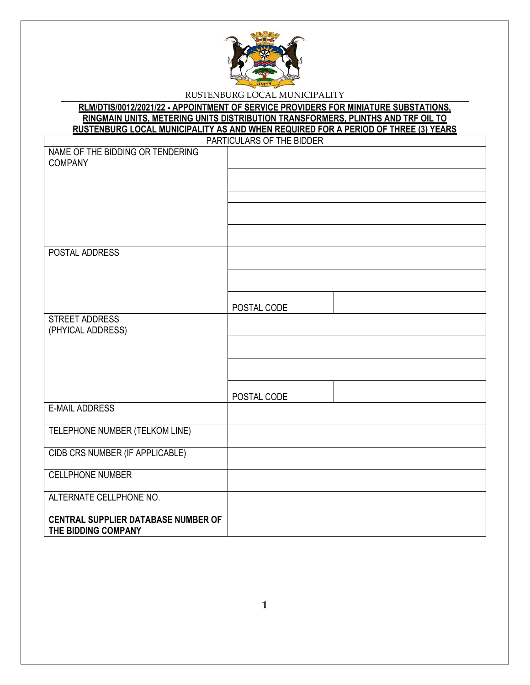

# **RLM/DTIS/0012/2021/22 - APPOINTMENT OF SERVICE PROVIDERS FOR MINIATURE SUBSTATIONS, RINGMAIN UNITS, METERING UNITS DISTRIBUTION TRANSFORMERS, PLINTHS AND TRF OIL TO RUSTENBURG LOCAL MUNICIPALITY AS AND WHEN REQUIRED FOR A PERIOD OF THREE (3) YEARS**

|                                            | PARTICULARS OF THE BIDDER |
|--------------------------------------------|---------------------------|
| NAME OF THE BIDDING OR TENDERING           |                           |
| <b>COMPANY</b>                             |                           |
|                                            |                           |
|                                            |                           |
|                                            |                           |
|                                            |                           |
|                                            |                           |
|                                            |                           |
|                                            |                           |
|                                            |                           |
| POSTAL ADDRESS                             |                           |
|                                            |                           |
|                                            |                           |
|                                            |                           |
|                                            |                           |
|                                            | POSTAL CODE               |
| <b>STREET ADDRESS</b>                      |                           |
| (PHYICAL ADDRESS)                          |                           |
|                                            |                           |
|                                            |                           |
|                                            |                           |
|                                            |                           |
|                                            |                           |
|                                            |                           |
|                                            | POSTAL CODE               |
| <b>E-MAIL ADDRESS</b>                      |                           |
|                                            |                           |
| TELEPHONE NUMBER (TELKOM LINE)             |                           |
|                                            |                           |
| CIDB CRS NUMBER (IF APPLICABLE)            |                           |
|                                            |                           |
| <b>CELLPHONE NUMBER</b>                    |                           |
|                                            |                           |
| ALTERNATE CELLPHONE NO.                    |                           |
|                                            |                           |
| <b>CENTRAL SUPPLIER DATABASE NUMBER OF</b> |                           |
|                                            |                           |
| THE BIDDING COMPANY                        |                           |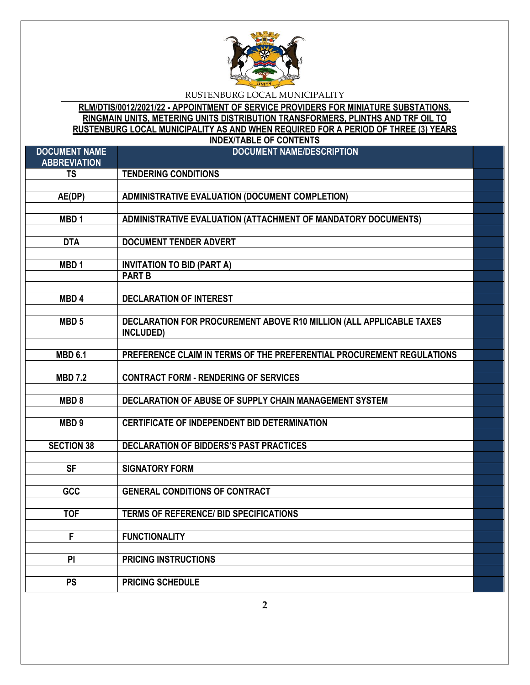

**RLM/DTIS/0012/2021/22 - APPOINTMENT OF SERVICE PROVIDERS FOR MINIATURE SUBSTATIONS, RINGMAIN UNITS, METERING UNITS DISTRIBUTION TRANSFORMERS, PLINTHS AND TRF OIL TO RUSTENBURG LOCAL MUNICIPALITY AS AND WHEN REQUIRED FOR A PERIOD OF THREE (3) YEARS INDEX/TABLE OF CONTENTS**

| <b>DOCUMENT NAME</b><br><b>ABBREVIATION</b> | <b>DOCUMENT NAME/DESCRIPTION</b>                                      |  |
|---------------------------------------------|-----------------------------------------------------------------------|--|
| <b>TS</b>                                   | <b>TENDERING CONDITIONS</b>                                           |  |
|                                             |                                                                       |  |
| $A\overline{E(DP)}$                         | <b>ADMINISTRATIVE EVALUATION (DOCUMENT COMPLETION)</b>                |  |
|                                             |                                                                       |  |
| MBD <sub>1</sub>                            | ADMINISTRATIVE EVALUATION (ATTACHMENT OF MANDATORY DOCUMENTS)         |  |
|                                             |                                                                       |  |
| <b>DTA</b>                                  | <b>DOCUMENT TENDER ADVERT</b>                                         |  |
|                                             |                                                                       |  |
| MBD <sub>1</sub>                            | <b>INVITATION TO BID (PART A)</b>                                     |  |
|                                             | <b>PART B</b>                                                         |  |
|                                             |                                                                       |  |
| MBD <sub>4</sub>                            | <b>DECLARATION OF INTEREST</b>                                        |  |
|                                             |                                                                       |  |
| MBD <sub>5</sub>                            | DECLARATION FOR PROCUREMENT ABOVE R10 MILLION (ALL APPLICABLE TAXES   |  |
|                                             | INCLUDED)                                                             |  |
|                                             |                                                                       |  |
| <b>MBD 6.1</b>                              | PREFERENCE CLAIM IN TERMS OF THE PREFERENTIAL PROCUREMENT REGULATIONS |  |
| <b>MBD 7.2</b>                              | <b>CONTRACT FORM - RENDERING OF SERVICES</b>                          |  |
|                                             |                                                                       |  |
| MBD <sub>8</sub>                            | DECLARATION OF ABUSE OF SUPPLY CHAIN MANAGEMENT SYSTEM                |  |
|                                             |                                                                       |  |
| MBD <sub>9</sub>                            | <b>CERTIFICATE OF INDEPENDENT BID DETERMINATION</b>                   |  |
|                                             |                                                                       |  |
| <b>SECTION 38</b>                           | <b>DECLARATION OF BIDDERS'S PAST PRACTICES</b>                        |  |
|                                             |                                                                       |  |
| <b>SF</b>                                   | <b>SIGNATORY FORM</b>                                                 |  |
|                                             |                                                                       |  |
| GCC                                         | <b>GENERAL CONDITIONS OF CONTRACT</b>                                 |  |
|                                             |                                                                       |  |
| <b>TOF</b>                                  | <b>TERMS OF REFERENCE/ BID SPECIFICATIONS</b>                         |  |
|                                             |                                                                       |  |
| F                                           | <b>FUNCTIONALITY</b>                                                  |  |
|                                             |                                                                       |  |
| PI                                          | PRICING INSTRUCTIONS                                                  |  |
|                                             |                                                                       |  |
| <b>PS</b>                                   | <b>PRICING SCHEDULE</b>                                               |  |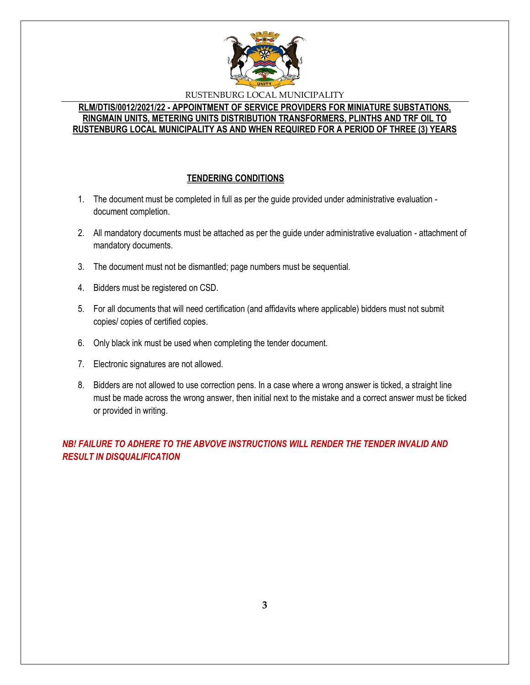

#### **RLM/DTIS/0012/2021/22 - APPOINTMENT OF SERVICE PROVIDERS FOR MINIATURE SUBSTATIONS, RINGMAIN UNITS, METERING UNITS DISTRIBUTION TRANSFORMERS, PLINTHS AND TRF OIL TO RUSTENBURG LOCAL MUNICIPALITY AS AND WHEN REQUIRED FOR A PERIOD OF THREE (3) YEARS**

# **TENDERING CONDITIONS**

- 1. The document must be completed in full as per the guide provided under administrative evaluation document completion.
- 2. All mandatory documents must be attached as per the guide under administrative evaluation attachment of mandatory documents.
- 3. The document must not be dismantled; page numbers must be sequential.
- 4. Bidders must be registered on CSD.
- 5. For all documents that will need certification (and affidavits where applicable) bidders must not submit copies/ copies of certified copies.
- 6. Only black ink must be used when completing the tender document.
- 7. Electronic signatures are not allowed.
- 8. Bidders are not allowed to use correction pens. In a case where a wrong answer is ticked, a straight line must be made across the wrong answer, then initial next to the mistake and a correct answer must be ticked or provided in writing.

*NB! FAILURE TO ADHERE TO THE ABVOVE INSTRUCTIONS WILL RENDER THE TENDER INVALID AND RESULT IN DISQUALIFICATION*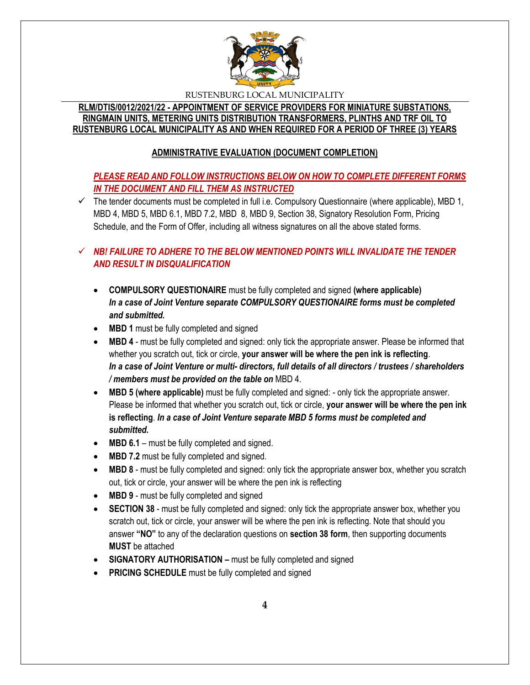

## **RLM/DTIS/0012/2021/22 - APPOINTMENT OF SERVICE PROVIDERS FOR MINIATURE SUBSTATIONS, RINGMAIN UNITS, METERING UNITS DISTRIBUTION TRANSFORMERS, PLINTHS AND TRF OIL TO RUSTENBURG LOCAL MUNICIPALITY AS AND WHEN REQUIRED FOR A PERIOD OF THREE (3) YEARS**

# **ADMINISTRATIVE EVALUATION (DOCUMENT COMPLETION)**

# *PLEASE READ AND FOLLOW INSTRUCTIONS BELOW ON HOW TO COMPLETE DIFFERENT FORMS IN THE DOCUMENT AND FILL THEM AS INSTRUCTED*

 $\checkmark$  The tender documents must be completed in full i.e. Compulsory Questionnaire (where applicable), MBD 1, MBD 4, MBD 5, MBD 6.1, MBD 7.2, MBD 8, MBD 9, Section 38, Signatory Resolution Form, Pricing Schedule, and the Form of Offer, including all witness signatures on all the above stated forms.

# $\checkmark$  **NB! FAILURE TO ADHERE TO THE BELOW MENTIONED POINTS WILL INVALIDATE THE TENDER** *AND RESULT IN DISQUALIFICATION*

- **COMPULSORY QUESTIONAIRE** must be fully completed and signed **(where applicable)** *In a case of Joint Venture separate COMPULSORY QUESTIONAIRE forms must be completed and submitted.*
- MBD 1 must be fully completed and signed
- **MBD 4** must be fully completed and signed: only tick the appropriate answer. Please be informed that whether you scratch out, tick or circle, **your answer will be where the pen ink is reflecting**. *In a case of Joint Venture or multi- directors, full details of all directors / trustees / shareholders / members must be provided on the table on* MBD 4.
- **MBD 5 (where applicable)** must be fully completed and signed: only tick the appropriate answer. Please be informed that whether you scratch out, tick or circle, **your answer will be where the pen ink is reflecting**. *In a case of Joint Venture separate MBD 5 forms must be completed and submitted.*
- MBD 6.1 must be fully completed and signed.
- **MBD 7.2** must be fully completed and signed.
- **MBD 8** must be fully completed and signed: only tick the appropriate answer box, whether you scratch out, tick or circle, your answer will be where the pen ink is reflecting
- MBD 9 must be fully completed and signed
- **SECTION 38** must be fully completed and signed: only tick the appropriate answer box, whether you scratch out, tick or circle, your answer will be where the pen ink is reflecting. Note that should you answer **"NO"** to any of the declaration questions on **section 38 form**, then supporting documents **MUST** be attached
- **SIGNATORY AUTHORISATION –** must be fully completed and signed
- **PRICING SCHEDULE** must be fully completed and signed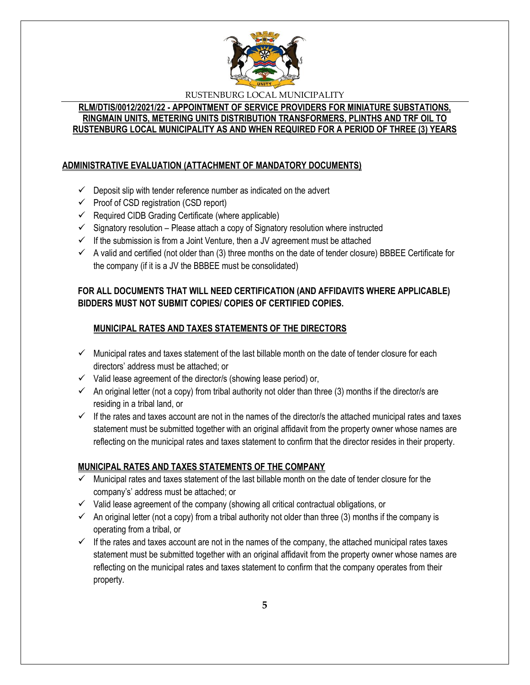

## **RLM/DTIS/0012/2021/22 - APPOINTMENT OF SERVICE PROVIDERS FOR MINIATURE SUBSTATIONS, RINGMAIN UNITS, METERING UNITS DISTRIBUTION TRANSFORMERS, PLINTHS AND TRF OIL TO RUSTENBURG LOCAL MUNICIPALITY AS AND WHEN REQUIRED FOR A PERIOD OF THREE (3) YEARS**

# **ADMINISTRATIVE EVALUATION (ATTACHMENT OF MANDATORY DOCUMENTS)**

- $\checkmark$  Deposit slip with tender reference number as indicated on the advert
- $\checkmark$  Proof of CSD registration (CSD report)
- $\checkmark$  Required CIDB Grading Certificate (where applicable)
- $\checkmark$  Signatory resolution Please attach a copy of Signatory resolution where instructed
- $\checkmark$  If the submission is from a Joint Venture, then a JV agreement must be attached
- $\checkmark$  A valid and certified (not older than (3) three months on the date of tender closure) BBBEE Certificate for the company (if it is a JV the BBBEE must be consolidated)

# **FOR ALL DOCUMENTS THAT WILL NEED CERTIFICATION (AND AFFIDAVITS WHERE APPLICABLE) BIDDERS MUST NOT SUBMIT COPIES/ COPIES OF CERTIFIED COPIES.**

# **MUNICIPAL RATES AND TAXES STATEMENTS OF THE DIRECTORS**

- $\checkmark$  Municipal rates and taxes statement of the last billable month on the date of tender closure for each directors' address must be attached; or
- $\checkmark$  Valid lease agreement of the director/s (showing lease period) or,
- $\checkmark$  An original letter (not a copy) from tribal authority not older than three (3) months if the director/s are residing in a tribal land, or
- $\checkmark$  If the rates and taxes account are not in the names of the director/s the attached municipal rates and taxes statement must be submitted together with an original affidavit from the property owner whose names are reflecting on the municipal rates and taxes statement to confirm that the director resides in their property.

# **MUNICIPAL RATES AND TAXES STATEMENTS OF THE COMPANY**

- $\checkmark$  Municipal rates and taxes statement of the last billable month on the date of tender closure for the company's' address must be attached; or
- $\checkmark$  Valid lease agreement of the company (showing all critical contractual obligations, or
- $\checkmark$  An original letter (not a copy) from a tribal authority not older than three (3) months if the company is operating from a tribal, or
- $\checkmark$  If the rates and taxes account are not in the names of the company, the attached municipal rates taxes statement must be submitted together with an original affidavit from the property owner whose names are reflecting on the municipal rates and taxes statement to confirm that the company operates from their property.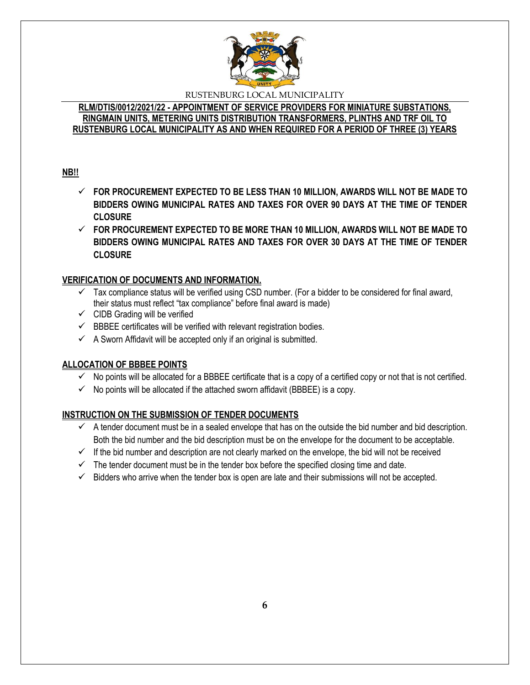

### **RLM/DTIS/0012/2021/22 - APPOINTMENT OF SERVICE PROVIDERS FOR MINIATURE SUBSTATIONS, RINGMAIN UNITS, METERING UNITS DISTRIBUTION TRANSFORMERS, PLINTHS AND TRF OIL TO RUSTENBURG LOCAL MUNICIPALITY AS AND WHEN REQUIRED FOR A PERIOD OF THREE (3) YEARS**

## **NB!!**

- **FOR PROCUREMENT EXPECTED TO BE LESS THAN 10 MILLION, AWARDS WILL NOT BE MADE TO BIDDERS OWING MUNICIPAL RATES AND TAXES FOR OVER 90 DAYS AT THE TIME OF TENDER CLOSURE**
- **FOR PROCUREMENT EXPECTED TO BE MORE THAN 10 MILLION, AWARDS WILL NOT BE MADE TO BIDDERS OWING MUNICIPAL RATES AND TAXES FOR OVER 30 DAYS AT THE TIME OF TENDER CLOSURE**

# **VERIFICATION OF DOCUMENTS AND INFORMATION.**

- $\checkmark$  Tax compliance status will be verified using CSD number. (For a bidder to be considered for final award, their status must reflect "tax compliance" before final award is made)
- $\checkmark$  CIDB Grading will be verified
- $\checkmark$  BBBEE certificates will be verified with relevant registration bodies.
- $\checkmark$  A Sworn Affidavit will be accepted only if an original is submitted.

# **ALLOCATION OF BBBEE POINTS**

- $\checkmark$  No points will be allocated for a BBBEE certificate that is a copy of a certified copy or not that is not certified.
- $\checkmark$  No points will be allocated if the attached sworn affidavit (BBBEE) is a copy.

# **INSTRUCTION ON THE SUBMISSION OF TENDER DOCUMENTS**

- $\checkmark$  A tender document must be in a sealed envelope that has on the outside the bid number and bid description. Both the bid number and the bid description must be on the envelope for the document to be acceptable.
- $\checkmark$  If the bid number and description are not clearly marked on the envelope, the bid will not be received
- $\checkmark$  The tender document must be in the tender box before the specified closing time and date.
- $\checkmark$  Bidders who arrive when the tender box is open are late and their submissions will not be accepted.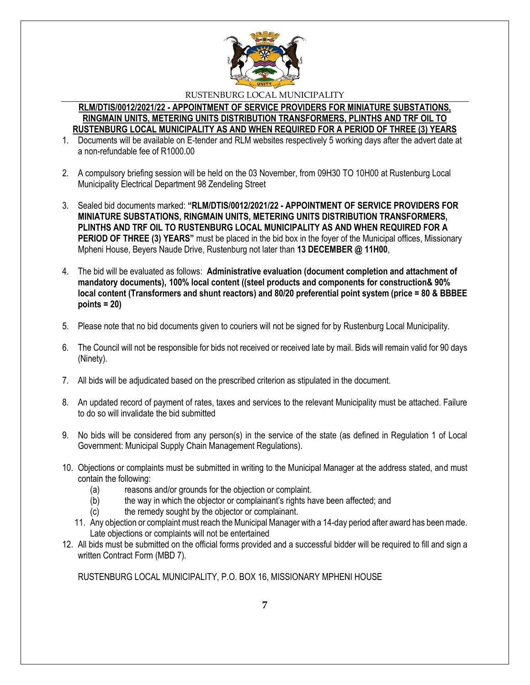

#### **RLM/DTIS/0012/2021/22 - APPOINTMENT OF SERVICE PROVIDERS FOR MINIATURE SUBSTATIONS, RINGMAIN UNITS, METERING UNITS DISTRIBUTION TRANSFORMERS, PLINTHS AND TRF OIL TO RUSTENBURG LOCAL MUNICIPALITY AS AND WHEN REQUIRED FOR A PERIOD OF THREE (3) YEARS**

- 1. Documents will be available on E-tender and RLM websites respectively 5 working days after the advert date at a non-refundable fee of R1000.00
- 2. A compulsory briefing session will be held on the 03 November, from 09H30 TO 10H00 at Rustenburg Local Municipality Electrical Department 98 Zendeling Street
- 3. Sealed bid documents marked: **"RLM/DTIS/0012/2021/22 - APPOINTMENT OF SERVICE PROVIDERS FOR MINIATURE SUBSTATIONS, RINGMAIN UNITS, METERING UNITS DISTRIBUTION TRANSFORMERS, PLINTHS AND TRF OIL TO RUSTENBURG LOCAL MUNICIPALITY AS AND WHEN REQUIRED FOR A PERIOD OF THREE (3) YEARS"** must be placed in the bid box in the foyer of the Municipal offices, Missionary Mpheni House, Beyers Naude Drive, Rustenburg not later than **13 DECEMBER @ 11H00**,
- 4. The bid will be evaluated as follows: **Administrative evaluation (document completion and attachment of mandatory documents), 100% local content ((steel products and components for construction& 90% local content (Transformers and shunt reactors) and 80/20 preferential point system (price = 80 & BBBEE points = 20)**
- 5. Please note that no bid documents given to couriers will not be signed for by Rustenburg Local Municipality.
- 6. The Council will not be responsible for bids not received or received late by mail. Bids will remain valid for 90 days (Ninety).
- 7. All bids will be adjudicated based on the prescribed criterion as stipulated in the document.
- 8. An updated record of payment of rates, taxes and services to the relevant Municipality must be attached. Failure to do so will invalidate the bid submitted
- 9. No bids will be considered from any person(s) in the service of the state (as defined in Regulation 1 of Local Government: Municipal Supply Chain Management Regulations).
- 10. Objections or complaints must be submitted in writing to the Municipal Manager at the address stated, and must contain the following:
	- (a) reasons and/or grounds for the objection or complaint.
	- (b) the way in which the objector or complainant's rights have been affected; and
	- (c) the remedy sought by the objector or complainant.
	- 11. Any objection or complaint must reach the Municipal Manager with a 14-day period after award has been made. Late objections or complaints will not be entertained
- 12. All bids must be submitted on the official forms provided and a successful bidder will be required to fill and sign a written Contract Form (MBD 7).

RUSTENBURG LOCAL MUNICIPALITY, P.O. BOX 16, MISSIONARY MPHENI HOUSE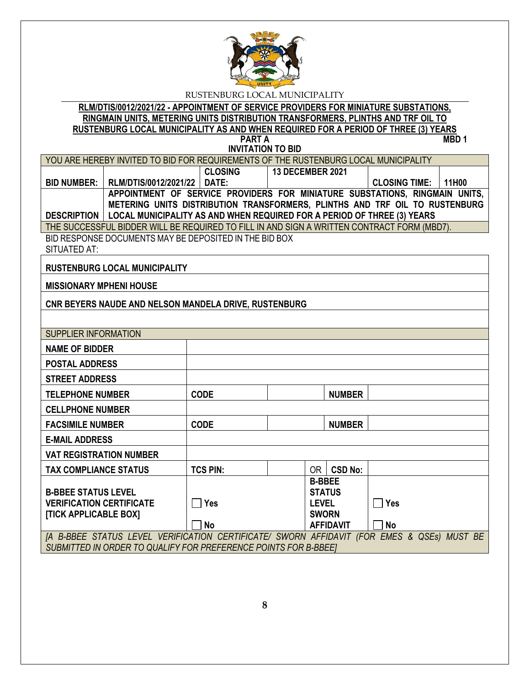

#### **RLM/DTIS/0012/2021/22 - APPOINTMENT OF SERVICE PROVIDERS FOR MINIATURE SUBSTATIONS, RINGMAIN UNITS, METERING UNITS DISTRIBUTION TRANSFORMERS, PLINTHS AND TRF OIL TO RUSTENBURG LOCAL MUNICIPALITY AS AND WHEN REQUIRED FOR A PERIOD OF THREE (3) YEARS PART A**

**INVITATION TO BID**

| YOU ARE HEREBY INVITED TO BID FOR REQUIREMENTS OF THE RUSTENBURG LOCAL MUNICIPALITY          |                             |                |                         |                            |  |
|----------------------------------------------------------------------------------------------|-----------------------------|----------------|-------------------------|----------------------------|--|
|                                                                                              |                             | <b>CLOSING</b> | <b>13 DECEMBER 2021</b> |                            |  |
| <b>BID NUMBER: I</b>                                                                         | RLM/DTIS/0012/2021/22 DATE: |                |                         | <b>CLOSING TIME: 11H00</b> |  |
| APPOINTMENT OF SERVICE PROVIDERS FOR MINIATURE SUBSTATIONS, RINGMAIN UNITS,                  |                             |                |                         |                            |  |
| METERING UNITS DISTRIBUTION TRANSFORMERS, PLINTHS AND TRF OIL TO RUSTENBURG                  |                             |                |                         |                            |  |
| <b>DESCRIPTION   LOCAL MUNICIPALITY AS AND WHEN REQUIRED FOR A PERIOD OF THREE (3) YEARS</b> |                             |                |                         |                            |  |
| THE SUCCESSFUL BIDDER WILL BE REQUIRED TO FILL IN AND SIGN A WRITTEN CONTRACT FORM (MBD7).   |                             |                |                         |                            |  |

BID RESPONSE DOCUMENTS MAY BE DEPOSITED IN THE BID BOX SITUATED AT:

**RUSTENBURG LOCAL MUNICIPALITY**

**MISSIONARY MPHENI HOUSE**

**CNR BEYERS NAUDE AND NELSON MANDELA DRIVE, RUSTENBURG**

| <b>SUPPLIER INFORMATION</b>                                                                   |                 |  |               |                  |           |  |  |
|-----------------------------------------------------------------------------------------------|-----------------|--|---------------|------------------|-----------|--|--|
| <b>NAME OF BIDDER</b>                                                                         |                 |  |               |                  |           |  |  |
| <b>POSTAL ADDRESS</b>                                                                         |                 |  |               |                  |           |  |  |
| <b>STREET ADDRESS</b>                                                                         |                 |  |               |                  |           |  |  |
| <b>TELEPHONE NUMBER</b>                                                                       | <b>CODE</b>     |  |               | <b>NUMBER</b>    |           |  |  |
| <b>CELLPHONE NUMBER</b>                                                                       |                 |  |               |                  |           |  |  |
| <b>FACSIMILE NUMBER</b>                                                                       | <b>CODE</b>     |  |               | <b>NUMBER</b>    |           |  |  |
| <b>E-MAIL ADDRESS</b>                                                                         |                 |  |               |                  |           |  |  |
| <b>VAT REGISTRATION NUMBER</b>                                                                |                 |  |               |                  |           |  |  |
| <b>TAX COMPLIANCE STATUS</b>                                                                  | <b>TCS PIN:</b> |  | 0R            | <b>CSD No:</b>   |           |  |  |
|                                                                                               |                 |  | <b>B-BBEE</b> |                  |           |  |  |
| <b>B-BBEE STATUS LEVEL</b>                                                                    |                 |  | <b>STATUS</b> |                  |           |  |  |
| <b>VERIFICATION CERTIFICATE</b>                                                               | <b>Yes</b>      |  | <b>LEVEL</b>  |                  | Yes       |  |  |
|                                                                                               |                 |  |               |                  |           |  |  |
| [TICK APPLICABLE BOX]                                                                         |                 |  | <b>SWORN</b>  |                  |           |  |  |
|                                                                                               | No              |  |               | <b>AFFIDAVIT</b> | <b>No</b> |  |  |
| [A B-BBEE STATUS LEVEL VERIFICATION CERTIFICATE/ SWORN AFFIDAVIT<br>(FOR EMES & QSEs) MUST BE |                 |  |               |                  |           |  |  |
| SUBMITTED IN ORDER TO QUALIFY FOR PREFERENCE POINTS FOR B-BBEET                               |                 |  |               |                  |           |  |  |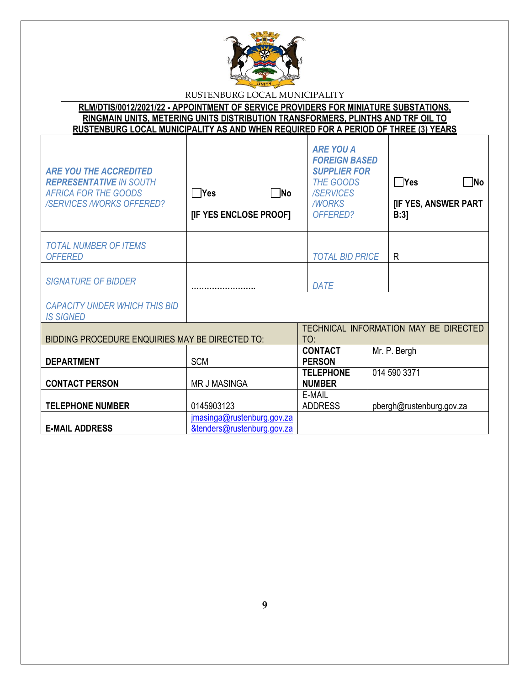

**RLM/DTIS/0012/2021/22 - APPOINTMENT OF SERVICE PROVIDERS FOR MINIATURE SUBSTATIONS, RINGMAIN UNITS, METERING UNITS DISTRIBUTION TRANSFORMERS, PLINTHS AND TRF OIL TO RUSTENBURG LOCAL MUNICIPALITY AS AND WHEN REQUIRED FOR A PERIOD OF THREE (3) YEARS**

| <b>ARE YOU THE ACCREDITED</b><br><b>REPRESENTATIVE IN SOUTH</b><br><b>AFRICA FOR THE GOODS</b><br><b>/SERVICES /WORKS OFFERED?</b> | $\neg$ No<br>l lYes<br>[IF YES ENCLOSE PROOF]            | <b>ARE YOU A</b><br><b>FOREIGN BASED</b><br><b>SUPPLIER FOR</b><br><b>THE GOODS</b><br><b>/SERVICES</b><br><b>MORKS</b><br>OFFERED? | ∏ Yes<br>$\neg$ No<br>[IF YES, ANSWER PART<br>B:3] |
|------------------------------------------------------------------------------------------------------------------------------------|----------------------------------------------------------|-------------------------------------------------------------------------------------------------------------------------------------|----------------------------------------------------|
| <b>TOTAL NUMBER OF ITEMS</b><br><b>OFFERED</b>                                                                                     |                                                          | <b>TOTAL BID PRICE</b>                                                                                                              | R                                                  |
| <b>SIGNATURE OF BIDDER</b>                                                                                                         |                                                          | <b>DATE</b>                                                                                                                         |                                                    |
| <b>CAPACITY UNDER WHICH THIS BID</b><br><b>IS SIGNED</b>                                                                           |                                                          |                                                                                                                                     |                                                    |
| BIDDING PROCEDURE ENQUIRIES MAY BE DIRECTED TO:                                                                                    |                                                          | TO:                                                                                                                                 | TECHNICAL INFORMATION MAY BE DIRECTED              |
| <b>DEPARTMENT</b>                                                                                                                  | <b>SCM</b>                                               | <b>CONTACT</b><br><b>PERSON</b>                                                                                                     | Mr. P. Bergh                                       |
| <b>CONTACT PERSON</b>                                                                                                              | <b>MR J MASINGA</b>                                      | <b>TELEPHONE</b><br><b>NUMBER</b>                                                                                                   | 014 590 3371                                       |
| <b>TELEPHONE NUMBER</b>                                                                                                            | 0145903123                                               | E-MAIL<br><b>ADDRESS</b>                                                                                                            | pbergh@rustenburg.gov.za                           |
| <b>E-MAIL ADDRESS</b>                                                                                                              | jmasinga@rustenburg.gov.za<br>&tenders@rustenburg.gov.za |                                                                                                                                     |                                                    |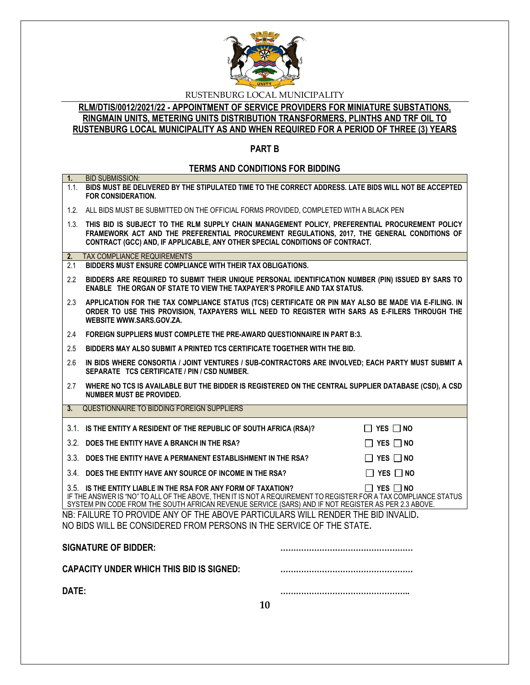

**RLM/DTIS/0012/2021/22 - APPOINTMENT OF SERVICE PROVIDERS FOR MINIATURE SUBSTATIONS, RINGMAIN UNITS, METERING UNITS DISTRIBUTION TRANSFORMERS, PLINTHS AND TRF OIL TO RUSTENBURG LOCAL MUNICIPALITY AS AND WHEN REQUIRED FOR A PERIOD OF THREE (3) YEARS**

# **PART B**

# **TERMS AND CONDITIONS FOR BIDDING**

| 1.    | <b>BID SUBMISSION:</b>                                                                                                                                                                                                                                                                                           |  |  |
|-------|------------------------------------------------------------------------------------------------------------------------------------------------------------------------------------------------------------------------------------------------------------------------------------------------------------------|--|--|
|       | 1.1. BIDS MUST BE DELIVERED BY THE STIPULATED TIME TO THE CORRECT ADDRESS. LATE BIDS WILL NOT BE ACCEPTED<br><b>FOR CONSIDERATION.</b>                                                                                                                                                                           |  |  |
|       | 1.2. ALL BIDS MUST BE SUBMITTED ON THE OFFICIAL FORMS PROVIDED, COMPLETED WITH A BLACK PEN                                                                                                                                                                                                                       |  |  |
|       | 1.3. THIS BID IS SUBJECT TO THE RLM SUPPLY CHAIN MANAGEMENT POLICY, PREFERENTIAL PROCUREMENT POLICY<br>FRAMEWORK ACT AND THE PREFERENTIAL PROCUREMENT REGULATIONS, 2017, THE GENERAL CONDITIONS OF<br>CONTRACT (GCC) AND, IF APPLICABLE, ANY OTHER SPECIAL CONDITIONS OF CONTRACT.                               |  |  |
| 2.    | TAX COMPLIANCE REQUIREMENTS                                                                                                                                                                                                                                                                                      |  |  |
| 2.1   | BIDDERS MUST ENSURE COMPLIANCE WITH THEIR TAX OBLIGATIONS.                                                                                                                                                                                                                                                       |  |  |
| 2.2   | BIDDERS ARE REQUIRED TO SUBMIT THEIR UNIQUE PERSONAL IDENTIFICATION NUMBER (PIN) ISSUED BY SARS TO<br>ENABLE THE ORGAN OF STATE TO VIEW THE TAXPAYER'S PROFILE AND TAX STATUS.                                                                                                                                   |  |  |
| 2.3   | APPLICATION FOR THE TAX COMPLIANCE STATUS (TCS) CERTIFICATE OR PIN MAY ALSO BE MADE VIA E-FILING. IN<br>ORDER TO USE THIS PROVISION, TAXPAYERS WILL NEED TO REGISTER WITH SARS AS E-FILERS THROUGH THE<br>WEBSITE WWW.SARS.GOV.ZA.                                                                               |  |  |
| 2.4   | FOREIGN SUPPLIERS MUST COMPLETE THE PRE-AWARD QUESTIONNAIRE IN PART B:3.                                                                                                                                                                                                                                         |  |  |
| 2.5   | BIDDERS MAY ALSO SUBMIT A PRINTED TCS CERTIFICATE TOGETHER WITH THE BID.                                                                                                                                                                                                                                         |  |  |
| 2.6   | IN BIDS WHERE CONSORTIA / JOINT VENTURES / SUB-CONTRACTORS ARE INVOLVED; EACH PARTY MUST SUBMIT A<br>SEPARATE TCS CERTIFICATE / PIN / CSD NUMBER.                                                                                                                                                                |  |  |
| 2.7   | WHERE NO TCS IS AVAILABLE BUT THE BIDDER IS REGISTERED ON THE CENTRAL SUPPLIER DATABASE (CSD), A CSD<br><b>NUMBER MUST BE PROVIDED.</b>                                                                                                                                                                          |  |  |
| 3.    | QUESTIONNAIRE TO BIDDING FOREIGN SUPPLIERS                                                                                                                                                                                                                                                                       |  |  |
|       | 3.1. IS THE ENTITY A RESIDENT OF THE REPUBLIC OF SOUTH AFRICA (RSA)?<br>$\Box$ YES $\Box$ No                                                                                                                                                                                                                     |  |  |
|       | 3.2. DOES THE ENTITY HAVE A BRANCH IN THE RSA?<br>$\Box$ YES $\Box$ NO                                                                                                                                                                                                                                           |  |  |
|       | 3.3. DOES THE ENTITY HAVE A PERMANENT ESTABLISHMENT IN THE RSA?<br>$\Box$ YES $\Box$ NO                                                                                                                                                                                                                          |  |  |
|       | 3.4. DOES THE ENTITY HAVE ANY SOURCE OF INCOME IN THE RSA?<br>$\Box$ YES $\Box$ NO                                                                                                                                                                                                                               |  |  |
|       | 3.5. IS THE ENTITY LIABLE IN THE RSA FOR ANY FORM OF TAXATION?<br>$\Box$ Yes $\Box$ No<br>IF THE ANSWER IS "NO" TO ALL OF THE ABOVE, THEN IT IS NOT A REQUIREMENT TO REGISTER FOR A TAX COMPLIANCE STATUS<br>SYSTEM PIN CODE FROM THE SOUTH AFRICAN REVENUE SERVICE (SARS) AND IF NOT REGISTER AS PER 2.3 ABOVE. |  |  |
|       | NB: FAILURE TO PROVIDE ANY OF THE ABOVE PARTICULARS WILL RENDER THE BID INVALID.<br>NO BIDS WILL BE CONSIDERED FROM PERSONS IN THE SERVICE OF THE STATE.                                                                                                                                                         |  |  |
|       | <b>SIGNATURE OF BIDDER:</b>                                                                                                                                                                                                                                                                                      |  |  |
|       | CAPACITY UNDER WHICH THIS BID IS SIGNED:                                                                                                                                                                                                                                                                         |  |  |
| DATE: |                                                                                                                                                                                                                                                                                                                  |  |  |
|       | 10                                                                                                                                                                                                                                                                                                               |  |  |
|       |                                                                                                                                                                                                                                                                                                                  |  |  |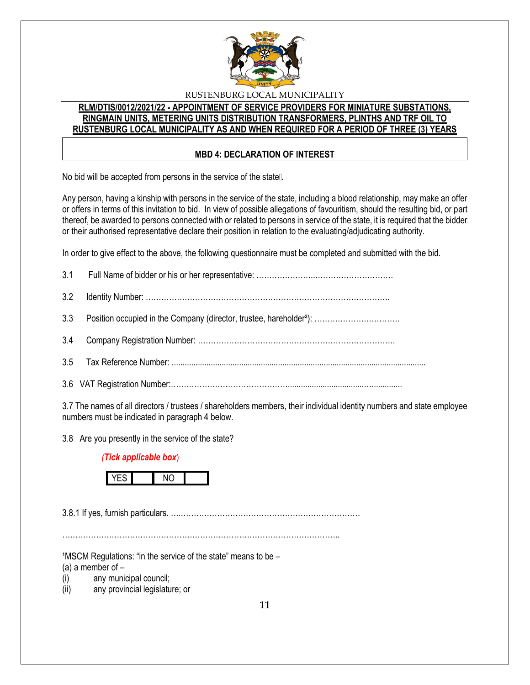

## **RLM/DTIS/0012/2021/22 - APPOINTMENT OF SERVICE PROVIDERS FOR MINIATURE SUBSTATIONS, RINGMAIN UNITS, METERING UNITS DISTRIBUTION TRANSFORMERS, PLINTHS AND TRF OIL TO RUSTENBURG LOCAL MUNICIPALITY AS AND WHEN REQUIRED FOR A PERIOD OF THREE (3) YEARS**

#### **MBD 4: DECLARATION OF INTEREST**

No bid will be accepted from persons in the service of the state...

Any person, having a kinship with persons in the service of the state, including a blood relationship, may make an offer or offers in terms of this invitation to bid. In view of possible allegations of favouritism, should the resulting bid, or part thereof, be awarded to persons connected with or related to persons in service of the state, it is required that the bidder or their authorised representative declare their position in relation to the evaluating/adjudicating authority.

In order to give effect to the above, the following questionnaire must be completed and submitted with the bid.

3.7 The names of all directors / trustees / shareholders members, their individual identity numbers and state employee numbers must be indicated in paragraph 4 below.

3.8 Are you presently in the service of the state?

#### *(Tick applicable box*)



3.8.1 If yes, furnish particulars. ….……………………………………………………………

……………………………………………………………………………………………..

 $1$ MSCM Regulations: "in the service of the state" means to be  $-$ 

(a) a member of  $-$ 

(i) any municipal council;

(ii) any provincial legislature; or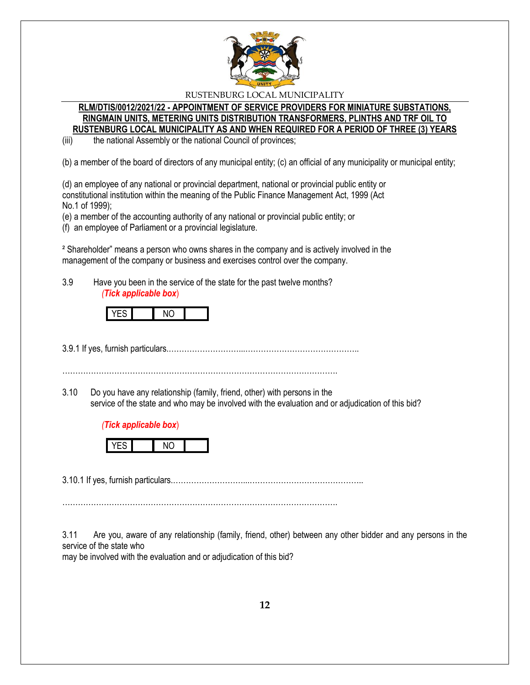

#### **RLM/DTIS/0012/2021/22 - APPOINTMENT OF SERVICE PROVIDERS FOR MINIATURE SUBSTATIONS, RINGMAIN UNITS, METERING UNITS DISTRIBUTION TRANSFORMERS, PLINTHS AND TRF OIL TO RUSTENBURG LOCAL MUNICIPALITY AS AND WHEN REQUIRED FOR A PERIOD OF THREE (3) YEARS**

(iii) the national Assembly or the national Council of provinces;

(b) a member of the board of directors of any municipal entity; (c) an official of any municipality or municipal entity;

(d) an employee of any national or provincial department, national or provincial public entity or constitutional institution within the meaning of the Public Finance Management Act, 1999 (Act No.1 of 1999);

(e) a member of the accounting authority of any national or provincial public entity; or

(f) an employee of Parliament or a provincial legislature.

² Shareholder" means a person who owns shares in the company and is actively involved in the management of the company or business and exercises control over the company.

3.9 Have you been in the service of the state for the past twelve months? *(Tick applicable box*)



3.9.1 If yes, furnish particulars.………………………...……………………………………..

…………………………………………………………………………………………….

3.10 Do you have any relationship (family, friend, other) with persons in the service of the state and who may be involved with the evaluation and or adjudication of this bid?





3.10.1 If yes, furnish particulars.………………………...……………………………………..

…………………………………………………………………………………………….

3.11 Are you, aware of any relationship (family, friend, other) between any other bidder and any persons in the service of the state who

may be involved with the evaluation and or adjudication of this bid?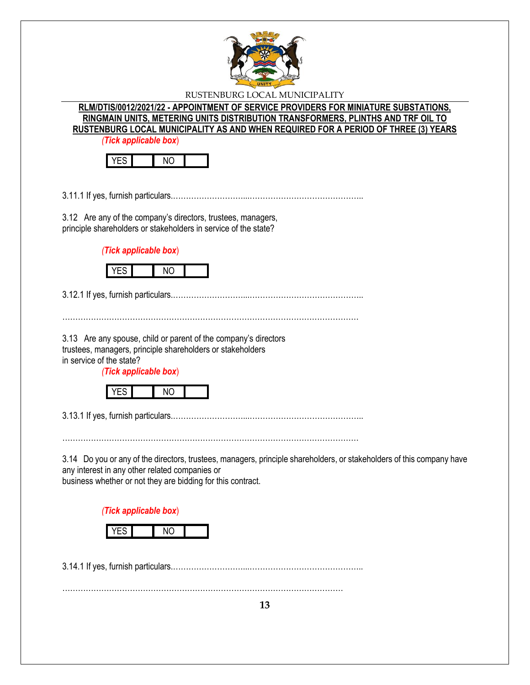

**RLM/DTIS/0012/2021/22 - APPOINTMENT OF SERVICE PROVIDERS FOR MINIATURE SUBSTATIONS, RINGMAIN UNITS, METERING UNITS DISTRIBUTION TRANSFORMERS, PLINTHS AND TRF OIL TO RUSTENBURG LOCAL MUNICIPALITY AS AND WHEN REQUIRED FOR A PERIOD OF THREE (3) YEARS**

*(Tick applicable box*)



3.11.1 If yes, furnish particulars.………………………...……………………………………..

3.12 Are any of the company's directors, trustees, managers, principle shareholders or stakeholders in service of the state?

*(Tick applicable box*)



3.12.1 If yes, furnish particulars.………………………...……………………………………..

3.13 Are any spouse, child or parent of the company's directors trustees, managers, principle shareholders or stakeholders

in service of the state?

*(Tick applicable box*)



3.13.1 If yes, furnish particulars.………………………...……………………………………..

……………………………………………………………………………………………………

3.14 Do you or any of the directors, trustees, managers, principle shareholders, or stakeholders of this company have any interest in any other related companies or business whether or not they are bidding for this contract.

……………………………………………………………………………………………………

*(Tick applicable box*)

3.14.1 If yes, furnish particulars.………………………...……………………………………..

………………………………………………………………………………………………

**13**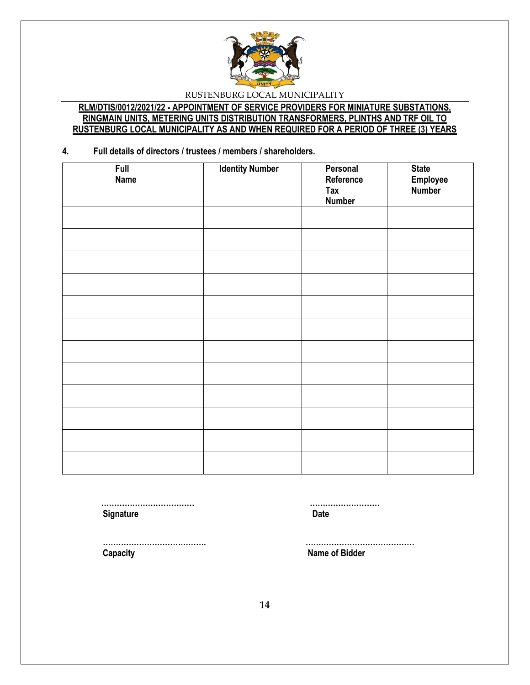

## **RLM/DTIS/0012/2021/22 - APPOINTMENT OF SERVICE PROVIDERS FOR MINIATURE SUBSTATIONS, RINGMAIN UNITS, METERING UNITS DISTRIBUTION TRANSFORMERS, PLINTHS AND TRF OIL TO RUSTENBURG LOCAL MUNICIPALITY AS AND WHEN REQUIRED FOR A PERIOD OF THREE (3) YEARS**

**4. Full details of directors / trustees / members / shareholders.**

| <b>Full</b><br><b>Name</b> | <b>Identity Number</b> | Personal<br>Reference<br><b>Tax</b><br><b>Number</b> | <b>State</b><br>Employee<br>Number |
|----------------------------|------------------------|------------------------------------------------------|------------------------------------|
|                            |                        |                                                      |                                    |
|                            |                        |                                                      |                                    |
|                            |                        |                                                      |                                    |
|                            |                        |                                                      |                                    |
|                            |                        |                                                      |                                    |
|                            |                        |                                                      |                                    |
|                            |                        |                                                      |                                    |
|                            |                        |                                                      |                                    |
|                            |                        |                                                      |                                    |
|                            |                        |                                                      |                                    |
|                            |                        |                                                      |                                    |
|                            |                        |                                                      |                                    |

**Signature Date** 

 **……………………………… ………………………**

 **…………………………………. …………………………………… Capacity Name of Bidder**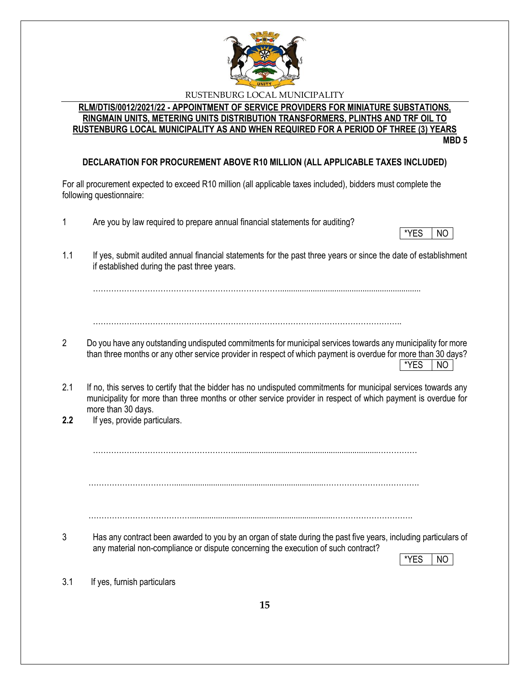

#### **RLM/DTIS/0012/2021/22 - APPOINTMENT OF SERVICE PROVIDERS FOR MINIATURE SUBSTATIONS, RINGMAIN UNITS, METERING UNITS DISTRIBUTION TRANSFORMERS, PLINTHS AND TRF OIL TO RUSTENBURG LOCAL MUNICIPALITY AS AND WHEN REQUIRED FOR A PERIOD OF THREE (3) YEARS MBD 5**

# **DECLARATION FOR PROCUREMENT ABOVE R10 MILLION (ALL APPLICABLE TAXES INCLUDED)**

For all procurement expected to exceed R10 million (all applicable taxes included), bidders must complete the following questionnaire:

1 Are you by law required to prepare annual financial statements for auditing?

1.1 If yes, submit audited annual financial statements for the past three years or since the date of establishment if established during the past three years.

……………………………………………………………….................................................................

………………………………………………………………………………………………………..

- 2 Do you have any outstanding undisputed commitments for municipal services towards any municipality for more than three months or any other service provider in respect of which payment is overdue for more than 30 days?  $*$ YES  $|$  NO
- 2.1 If no, this serves to certify that the bidder has no undisputed commitments for municipal services towards any municipality for more than three months or other service provider in respect of which payment is overdue for more than 30 days.
- **2.2** If yes, provide particulars.

………………………………………………...................................................................……………

…………………………….....................................................................……………………………….

…………………………………..................................................................………………………….

3 Has any contract been awarded to you by an organ of state during the past five years, including particulars of any material non-compliance or dispute concerning the execution of such contract?

\*YES I NO

3.1 If yes, furnish particulars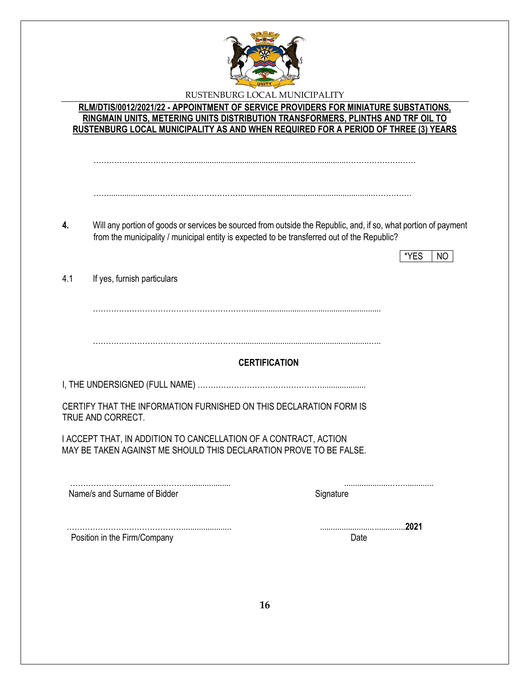

**RLM/DTIS/0012/2021/22 - APPOINTMENT OF SERVICE PROVIDERS FOR MINIATURE SUBSTATIONS, RINGMAIN UNITS, METERING UNITS DISTRIBUTION TRANSFORMERS, PLINTHS AND TRF OIL TO RUSTENBURG LOCAL MUNICIPALITY AS AND WHEN REQUIRED FOR A PERIOD OF THREE (3) YEARS**

…………………………….............................................................................………………………

…….....................…………………………….............................................................……………

- **4.** Will any portion of goods or services be sourced from outside the Republic, and, if so, what portion of payment from the municipality / municipal entity is expected to be transferred out of the Republic?
	- $*YES$  NO

4.1 If yes, furnish particulars

…………………………………………………….............................................................

…………………………………………………...........................................................…..

## **CERTIFICATION**

I, THE UNDERSIGNED (FULL NAME) …………………………………………....................

CERTIFY THAT THE INFORMATION FURNISHED ON THIS DECLARATION FORM IS TRUE AND CORRECT.

 I ACCEPT THAT, IN ADDITION TO CANCELLATION OF A CONTRACT, ACTION MAY BE TAKEN AGAINST ME SHOULD THIS DECLARATION PROVE TO BE FALSE.

……………………………………….................... .....................……............. Name/s and Surname of Bidder Signature Signature

Position in the Firm/Company Date by the Second Late of the Second Date of the Date of the Date of the Date of the Date of the Date of the Date of the Date of the Date of the Date of the Date of the Date of the Date of the

………………………………………...................... .......................................**2021**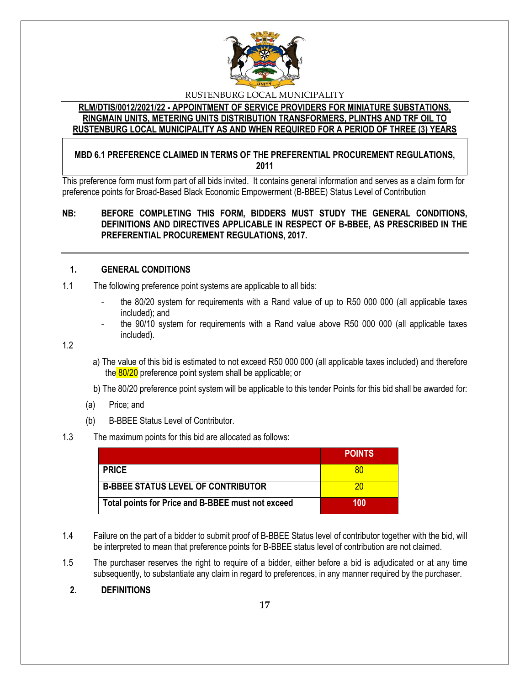

## **RLM/DTIS/0012/2021/22 - APPOINTMENT OF SERVICE PROVIDERS FOR MINIATURE SUBSTATIONS, RINGMAIN UNITS, METERING UNITS DISTRIBUTION TRANSFORMERS, PLINTHS AND TRF OIL TO RUSTENBURG LOCAL MUNICIPALITY AS AND WHEN REQUIRED FOR A PERIOD OF THREE (3) YEARS**

## **MBD 6.1 PREFERENCE CLAIMED IN TERMS OF THE PREFERENTIAL PROCUREMENT REGULATIONS, 2011**

This preference form must form part of all bids invited. It contains general information and serves as a claim form for preference points for Broad-Based Black Economic Empowerment (B-BBEE) Status Level of Contribution

## **NB: BEFORE COMPLETING THIS FORM, BIDDERS MUST STUDY THE GENERAL CONDITIONS, DEFINITIONS AND DIRECTIVES APPLICABLE IN RESPECT OF B-BBEE, AS PRESCRIBED IN THE PREFERENTIAL PROCUREMENT REGULATIONS, 2017.**

## **1. GENERAL CONDITIONS**

- 1.1 The following preference point systems are applicable to all bids:
	- the 80/20 system for requirements with a Rand value of up to R50 000 000 (all applicable taxes included); and
	- the 90/10 system for requirements with a Rand value above R50 000 000 (all applicable taxes included).

1.2

- a) The value of this bid is estimated to not exceed R50 000 000 (all applicable taxes included) and therefore the 80/20 preference point system shall be applicable; or
- b) The 80/20 preference point system will be applicable to this tender Points for this bid shall be awarded for:
- (a) Price; and
- (b) B-BBEE Status Level of Contributor.

## 1.3 The maximum points for this bid are allocated as follows:

|                                                   | <b>POINTS</b> |
|---------------------------------------------------|---------------|
| <b>PRICE</b>                                      |               |
| <b>B-BBEE STATUS LEVEL OF CONTRIBUTOR</b>         | 70            |
| Total points for Price and B-BBEE must not exceed | 100           |

- 1.4 Failure on the part of a bidder to submit proof of B-BBEE Status level of contributor together with the bid, will be interpreted to mean that preference points for B-BBEE status level of contribution are not claimed.
- 1.5 The purchaser reserves the right to require of a bidder, either before a bid is adjudicated or at any time subsequently, to substantiate any claim in regard to preferences, in any manner required by the purchaser.

## **2. DEFINITIONS**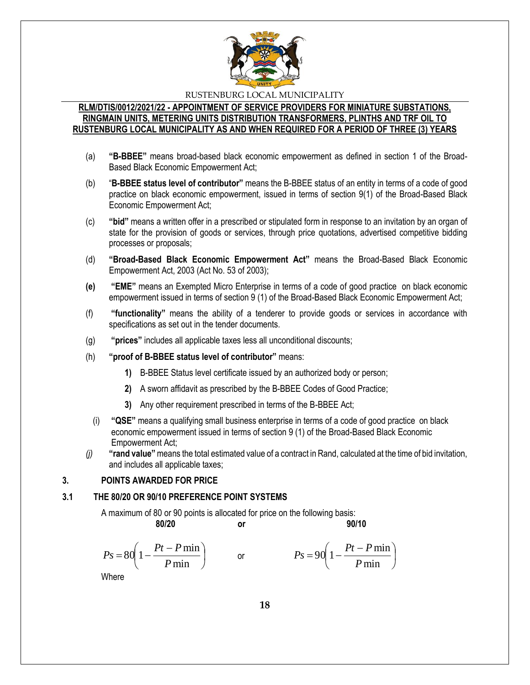

#### **RLM/DTIS/0012/2021/22 - APPOINTMENT OF SERVICE PROVIDERS FOR MINIATURE SUBSTATIONS, RINGMAIN UNITS, METERING UNITS DISTRIBUTION TRANSFORMERS, PLINTHS AND TRF OIL TO RUSTENBURG LOCAL MUNICIPALITY AS AND WHEN REQUIRED FOR A PERIOD OF THREE (3) YEARS**

- (a) **"B-BBEE"** means broad-based black economic empowerment as defined in section 1 of the Broad-Based Black Economic Empowerment Act;
- (b) "**B-BBEE status level of contributor"** means the B-BBEE status of an entity in terms of a code of good practice on black economic empowerment, issued in terms of section 9(1) of the Broad-Based Black Economic Empowerment Act;
- (c) **"bid"** means a written offer in a prescribed or stipulated form in response to an invitation by an organ of state for the provision of goods or services, through price quotations, advertised competitive bidding processes or proposals;
- (d) **"Broad-Based Black Economic Empowerment Act"** means the Broad-Based Black Economic Empowerment Act, 2003 (Act No. 53 of 2003);
- **(e) "EME"** means an Exempted Micro Enterprise in terms of a code of good practice on black economic empowerment issued in terms of section 9 (1) of the Broad-Based Black Economic Empowerment Act;
- (f) **"functionality"** means the ability of a tenderer to provide goods or services in accordance with specifications as set out in the tender documents.
- (g) **"prices"** includes all applicable taxes less all unconditional discounts;
- (h) **"proof of B-BBEE status level of contributor"** means:
	- **1)** B-BBEE Status level certificate issued by an authorized body or person;
	- **2)** A sworn affidavit as prescribed by the B-BBEE Codes of Good Practice;
	- **3)** Any other requirement prescribed in terms of the B-BBEE Act;
	- (i) **"QSE"** means a qualifying small business enterprise in terms of a code of good practice on black economic empowerment issued in terms of section 9 (1) of the Broad-Based Black Economic Empowerment Act;
- *(j)* **"rand value"**means the total estimated value of a contract in Rand, calculated at the time of bid invitation, and includes all applicable taxes;

## **3. POINTS AWARDED FOR PRICE**

#### **3.1 THE 80/20 OR 90/10 PREFERENCE POINT SYSTEMS**

A maximum of 80 or 90 points is allocated for price on the following basis:

$$
f_{\rm{max}}
$$

**80/20 or 90/10**

$$
Ps = 80\left(1 - \frac{Pt - P\min P}{\min}\right) \qquad \text{or} \qquad \qquad Ps = 90\left(1 - \frac{Pt - P\min P}{\min}\right)
$$

Where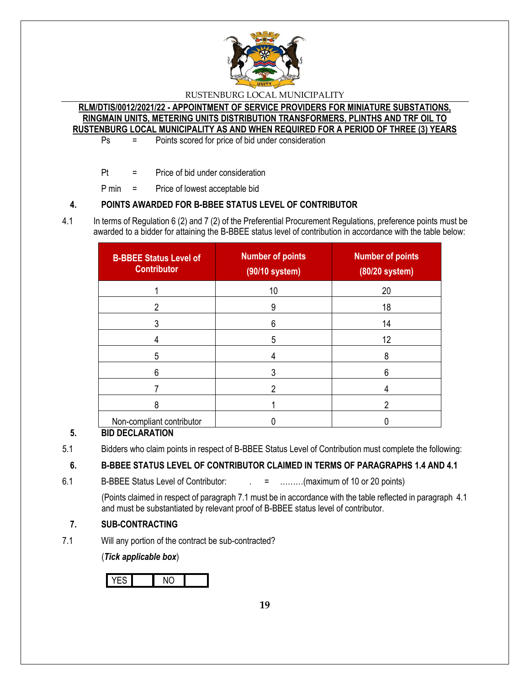

**RLM/DTIS/0012/2021/22 - APPOINTMENT OF SERVICE PROVIDERS FOR MINIATURE SUBSTATIONS, RINGMAIN UNITS, METERING UNITS DISTRIBUTION TRANSFORMERS, PLINTHS AND TRF OIL TO RUSTENBURG LOCAL MUNICIPALITY AS AND WHEN REQUIRED FOR A PERIOD OF THREE (3) YEARS**

Ps = Points scored for price of bid under consideration

Pt = Price of bid under consideration

P min = Price of lowest acceptable bid

## **4. POINTS AWARDED FOR B-BBEE STATUS LEVEL OF CONTRIBUTOR**

4.1 In terms of Regulation 6 (2) and 7 (2) of the Preferential Procurement Regulations, preference points must be awarded to a bidder for attaining the B-BBEE status level of contribution in accordance with the table below:

| <b>B-BBEE Status Level of</b><br><b>Contributor</b> | <b>Number of points</b><br>(90/10 system) | <b>Number of points</b><br>(80/20 system) |
|-----------------------------------------------------|-------------------------------------------|-------------------------------------------|
|                                                     | 10                                        | 20                                        |
| 2                                                   | 9                                         | 18                                        |
|                                                     | 6                                         | 14                                        |
|                                                     | 5                                         | 12                                        |
| 5                                                   |                                           | 8                                         |
| 6                                                   |                                           | 6                                         |
|                                                     |                                           |                                           |
| 8                                                   |                                           | າ                                         |
| Non-compliant contributor                           |                                           |                                           |

# **5. BID DECLARATION**

5.1 Bidders who claim points in respect of B-BBEE Status Level of Contribution must complete the following:

# **6. B-BBEE STATUS LEVEL OF CONTRIBUTOR CLAIMED IN TERMS OF PARAGRAPHS 1.4 AND 4.1**

6.1 B-BBEE Status Level of Contributor:  $\qquad \qquad = \qquad \qquad \qquad$  .........(maximum of 10 or 20 points)

(Points claimed in respect of paragraph 7.1 must be in accordance with the table reflected in paragraph 4.1 and must be substantiated by relevant proof of B-BBEE status level of contributor.

# **7. SUB-CONTRACTING**

7.1 Will any portion of the contract be sub-contracted?

(*Tick applicable box*)

YES NO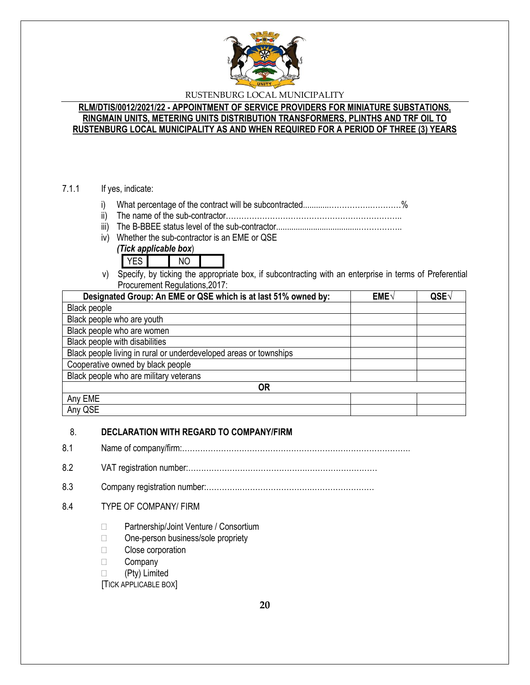

## **RLM/DTIS/0012/2021/22 - APPOINTMENT OF SERVICE PROVIDERS FOR MINIATURE SUBSTATIONS, RINGMAIN UNITS, METERING UNITS DISTRIBUTION TRANSFORMERS, PLINTHS AND TRF OIL TO RUSTENBURG LOCAL MUNICIPALITY AS AND WHEN REQUIRED FOR A PERIOD OF THREE (3) YEARS**

## 7.1.1 If yes, indicate:

- i) What percentage of the contract will be subcontracted............…………….…………%
- ii) The name of the sub-contractor…………………………………………………………..
- iii) The B-BBEE status level of the sub-contractor......................................……………..
- iv) Whether the sub-contractor is an EME or QSE
	- *(Tick applicable box*)



v) Specify, by ticking the appropriate box, if subcontracting with an enterprise in terms of Preferential Procurement Regulations,2017:

| Designated Group: An EME or QSE which is at last 51% owned by:    | EME√ | QSE |
|-------------------------------------------------------------------|------|-----|
| Black people                                                      |      |     |
| Black people who are youth                                        |      |     |
| Black people who are women                                        |      |     |
| Black people with disabilities                                    |      |     |
| Black people living in rural or underdeveloped areas or townships |      |     |
| Cooperative owned by black people                                 |      |     |
| Black people who are military veterans                            |      |     |
| 0R                                                                |      |     |
| Any EME                                                           |      |     |
| Any QSE                                                           |      |     |

## 8. **DECLARATION WITH REGARD TO COMPANY/FIRM**

8.1 Name of company/firm:…………………………………………………………………………….

8.2 VAT registration number:……………………………………….………………………

8.3 Company registration number:………….……………………….……………………

## 8.4 TYPE OF COMPANY/ FIRM

- □ Partnership/Joint Venture / Consortium
- □ One-person business/sole propriety
- □ Close corporation
- **Company**
- (Pty) Limited

[TICK APPLICABLE BOX]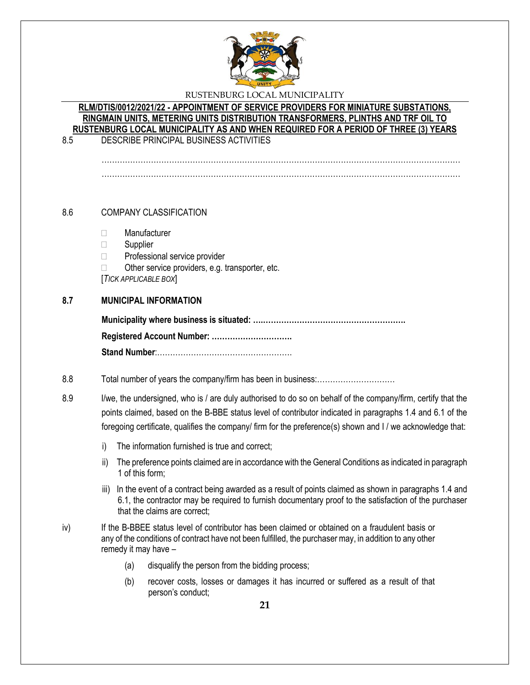

## **RLM/DTIS/0012/2021/22 - APPOINTMENT OF SERVICE PROVIDERS FOR MINIATURE SUBSTATIONS, RINGMAIN UNITS, METERING UNITS DISTRIBUTION TRANSFORMERS, PLINTHS AND TRF OIL TO RUSTENBURG LOCAL MUNICIPALITY AS AND WHEN REQUIRED FOR A PERIOD OF THREE (3) YEARS**

8.5 DESCRIBE PRINCIPAL BUSINESS ACTIVITIES

………………………………………………………………………………………………………………………… …………………………………………………………………………………………………………………………

# 8.6 COMPANY CLASSIFICATION

- Manufacturer
- □ Supplier
- □ Professional service provider
- $\Box$  Other service providers, e.g. transporter, etc.

[*TICK APPLICABLE BOX*]

## **8.7 MUNICIPAL INFORMATION**

## 8.8 Total number of years the company/firm has been in business:…………………………

8.9 I/we, the undersigned, who is / are duly authorised to do so on behalf of the company/firm, certify that the points claimed, based on the B-BBE status level of contributor indicated in paragraphs 1.4 and 6.1 of the foregoing certificate, qualifies the company/ firm for the preference(s) shown and I / we acknowledge that:

- i) The information furnished is true and correct;
- ii) The preference points claimed are in accordance with the General Conditions as indicated in paragraph 1 of this form;
- iii) In the event of a contract being awarded as a result of points claimed as shown in paragraphs 1.4 and 6.1, the contractor may be required to furnish documentary proof to the satisfaction of the purchaser that the claims are correct;
- iv) If the B-BBEE status level of contributor has been claimed or obtained on a fraudulent basis or any of the conditions of contract have not been fulfilled, the purchaser may, in addition to any other remedy it may have –
	- (a) disqualify the person from the bidding process;
	- (b) recover costs, losses or damages it has incurred or suffered as a result of that person's conduct;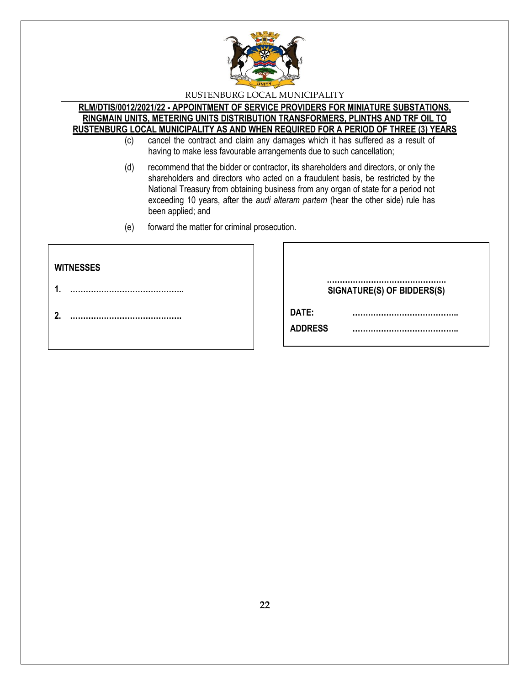

#### **RLM/DTIS/0012/2021/22 - APPOINTMENT OF SERVICE PROVIDERS FOR MINIATURE SUBSTATIONS, RINGMAIN UNITS, METERING UNITS DISTRIBUTION TRANSFORMERS, PLINTHS AND TRF OIL TO RUSTENBURG LOCAL MUNICIPALITY AS AND WHEN REQUIRED FOR A PERIOD OF THREE (3) YEARS**

- (c) cancel the contract and claim any damages which it has suffered as a result of having to make less favourable arrangements due to such cancellation;
- (d) recommend that the bidder or contractor, its shareholders and directors, or only the shareholders and directors who acted on a fraudulent basis, be restricted by the National Treasury from obtaining business from any organ of state for a period not exceeding 10 years, after the *audi alteram partem* (hear the other side) rule has been applied; and
- (e) forward the matter for criminal prosecution.

| <b>WITNESSES</b> |                            |
|------------------|----------------------------|
| 4                | SIGNATURE(S) OF BIDDERS(S) |
| 2.               | DATE:<br><b>ADDRESS</b>    |
|                  |                            |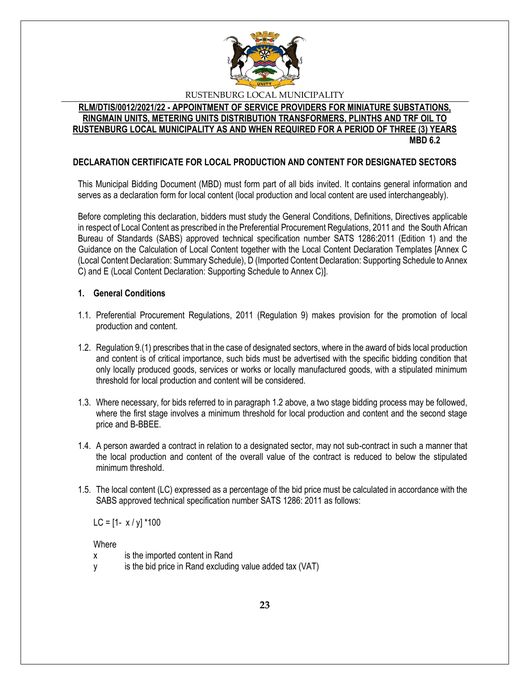

#### **RLM/DTIS/0012/2021/22 - APPOINTMENT OF SERVICE PROVIDERS FOR MINIATURE SUBSTATIONS, RINGMAIN UNITS, METERING UNITS DISTRIBUTION TRANSFORMERS, PLINTHS AND TRF OIL TO RUSTENBURG LOCAL MUNICIPALITY AS AND WHEN REQUIRED FOR A PERIOD OF THREE (3) YEARS MBD 6.2**

## **DECLARATION CERTIFICATE FOR LOCAL PRODUCTION AND CONTENT FOR DESIGNATED SECTORS**

This Municipal Bidding Document (MBD) must form part of all bids invited. It contains general information and serves as a declaration form for local content (local production and local content are used interchangeably).

Before completing this declaration, bidders must study the General Conditions, Definitions, Directives applicable in respect of Local Content as prescribed in the Preferential Procurement Regulations, 2011 and the South African Bureau of Standards (SABS) approved technical specification number SATS 1286:2011 (Edition 1) and the Guidance on the Calculation of Local Content together with the Local Content Declaration Templates [Annex C (Local Content Declaration: Summary Schedule), D (Imported Content Declaration: Supporting Schedule to Annex C) and E (Local Content Declaration: Supporting Schedule to Annex C)].

#### **1. General Conditions**

- 1.1. Preferential Procurement Regulations, 2011 (Regulation 9) makes provision for the promotion of local production and content.
- 1.2. Regulation 9.(1) prescribes that in the case of designated sectors, where in the award of bids local production and content is of critical importance, such bids must be advertised with the specific bidding condition that only locally produced goods, services or works or locally manufactured goods, with a stipulated minimum threshold for local production and content will be considered.
- 1.3. Where necessary, for bids referred to in paragraph 1.2 above, a two stage bidding process may be followed, where the first stage involves a minimum threshold for local production and content and the second stage price and B-BBEE.
- 1.4. A person awarded a contract in relation to a designated sector, may not sub-contract in such a manner that the local production and content of the overall value of the contract is reduced to below the stipulated minimum threshold.
- 1.5. The local content (LC) expressed as a percentage of the bid price must be calculated in accordance with the SABS approved technical specification number SATS 1286: 2011 as follows:

LC =  $[1 - x / y]$  \*100

**Where** 

- x is the imported content in Rand
- y is the bid price in Rand excluding value added tax (VAT)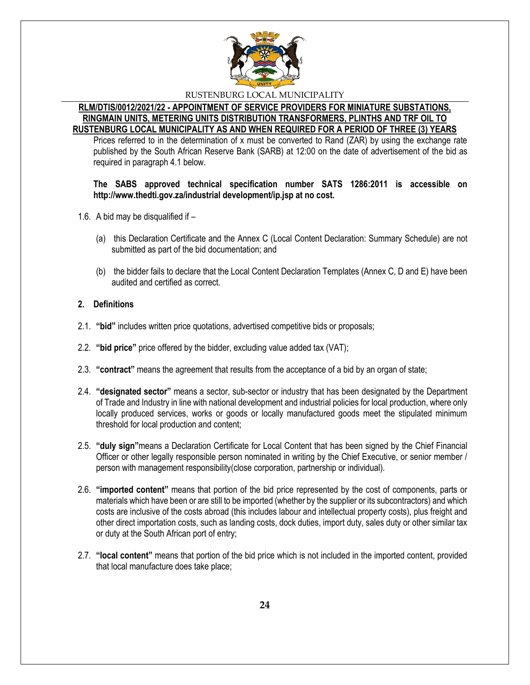

#### **RLM/DTIS/0012/2021/22 - APPOINTMENT OF SERVICE PROVIDERS FOR MINIATURE SUBSTATIONS, RINGMAIN UNITS, METERING UNITS DISTRIBUTION TRANSFORMERS, PLINTHS AND TRF OIL TO RUSTENBURG LOCAL MUNICIPALITY AS AND WHEN REQUIRED FOR A PERIOD OF THREE (3) YEARS**

Prices referred to in the determination of x must be converted to Rand (ZAR) by using the exchange rate published by the South African Reserve Bank (SARB) at 12:00 on the date of advertisement of the bid as required in paragraph 4.1 below.

#### **The SABS approved technical specification number SATS 1286:2011 is accessible on http://www.thedti.gov.za/industrial development/ip.jsp at no cost.**

- 1.6. A bid may be disqualified if
	- (a) this Declaration Certificate and the Annex C (Local Content Declaration: Summary Schedule) are not submitted as part of the bid documentation; and
	- (b) the bidder fails to declare that the Local Content Declaration Templates (Annex C, D and E) have been audited and certified as correct.

## **2. Definitions**

- 2.1. **"bid"** includes written price quotations, advertised competitive bids or proposals;
- 2.2. **"bid price"** price offered by the bidder, excluding value added tax (VAT);
- 2.3. **"contract"** means the agreement that results from the acceptance of a bid by an organ of state;
- 2.4. **"designated sector"** means a sector, sub-sector or industry that has been designated by the Department of Trade and Industry in line with national development and industrial policies for local production, where only locally produced services, works or goods or locally manufactured goods meet the stipulated minimum threshold for local production and content;
- 2.5. **"duly sign"**means a Declaration Certificate for Local Content that has been signed by the Chief Financial Officer or other legally responsible person nominated in writing by the Chief Executive, or senior member / person with management responsibility(close corporation, partnership or individual).
- 2.6. **"imported content"** means that portion of the bid price represented by the cost of components, parts or materials which have been or are still to be imported (whether by the supplier or its subcontractors) and which costs are inclusive of the costs abroad (this includes labour and intellectual property costs), plus freight and other direct importation costs, such as landing costs, dock duties, import duty, sales duty or other similar tax or duty at the South African port of entry;
- 2.7. **"local content"** means that portion of the bid price which is not included in the imported content, provided that local manufacture does take place;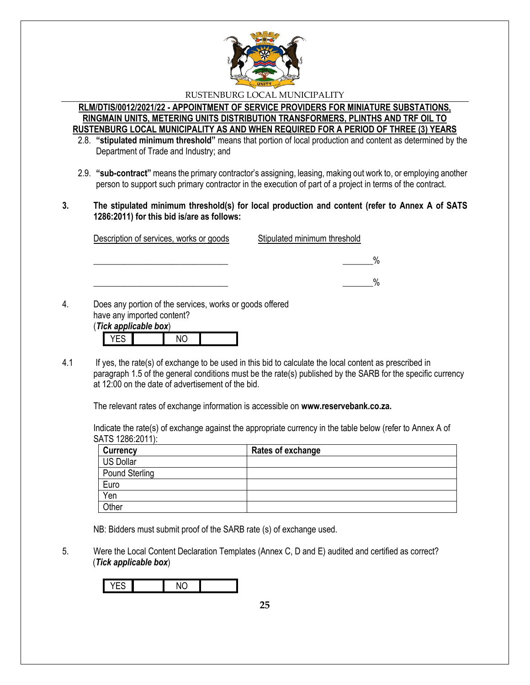

#### **RLM/DTIS/0012/2021/22 - APPOINTMENT OF SERVICE PROVIDERS FOR MINIATURE SUBSTATIONS, RINGMAIN UNITS, METERING UNITS DISTRIBUTION TRANSFORMERS, PLINTHS AND TRF OIL TO RUSTENBURG LOCAL MUNICIPALITY AS AND WHEN REQUIRED FOR A PERIOD OF THREE (3) YEARS**

- 2.8. **"stipulated minimum threshold"** means that portion of local production and content as determined by the Department of Trade and Industry; and
- 2.9. **"sub-contract"** means the primary contractor's assigning, leasing, making out work to, or employing another person to support such primary contractor in the execution of part of a project in terms of the contract.
- **3. The stipulated minimum threshold(s) for local production and content (refer to Annex A of SATS 1286:2011) for this bid is/are as follows:**

| Description of services, works or goods | Stipulated minimum threshold |
|-----------------------------------------|------------------------------|
|                                         |                              |
|                                         |                              |

have any imported content?

| (Tick applicable box) |  |  |  |  |
|-----------------------|--|--|--|--|
|                       |  |  |  |  |

4.1 If yes, the rate(s) of exchange to be used in this bid to calculate the local content as prescribed in paragraph 1.5 of the general conditions must be the rate(s) published by the SARB for the specific currency at 12:00 on the date of advertisement of the bid.

The relevant rates of exchange information is accessible on **www.reservebank.co.za.**

Indicate the rate(s) of exchange against the appropriate currency in the table below (refer to Annex A of SATS 1286:2011):

| <b>Currency</b> | Rates of exchange |
|-----------------|-------------------|
| US Dollar       |                   |
| Pound Sterling  |                   |
| Euro            |                   |
| Yen             |                   |
| <b>Other</b>    |                   |

NB: Bidders must submit proof of the SARB rate (s) of exchange used.

5. Were the Local Content Declaration Templates (Annex C, D and E) audited and certified as correct? (*Tick applicable box*)

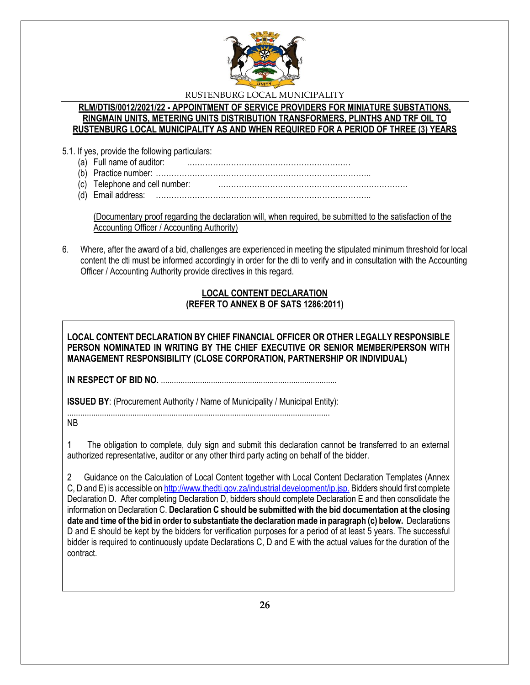

#### **RLM/DTIS/0012/2021/22 - APPOINTMENT OF SERVICE PROVIDERS FOR MINIATURE SUBSTATIONS, RINGMAIN UNITS, METERING UNITS DISTRIBUTION TRANSFORMERS, PLINTHS AND TRF OIL TO RUSTENBURG LOCAL MUNICIPALITY AS AND WHEN REQUIRED FOR A PERIOD OF THREE (3) YEARS**

- 5.1. If yes, provide the following particulars:
	- (a) Full name of auditor: ………………………………………………………
	- (b) Practice number: ………………………………………………………………………..
	- (c) Telephone and cell number: ……………………………………………………………….
	- (d) Email address: ………………………………………………………………………..

(Documentary proof regarding the declaration will, when required, be submitted to the satisfaction of the Accounting Officer / Accounting Authority)

6. Where, after the award of a bid, challenges are experienced in meeting the stipulated minimum threshold for local content the dti must be informed accordingly in order for the dti to verify and in consultation with the Accounting Officer / Accounting Authority provide directives in this regard.

# **LOCAL CONTENT DECLARATION (REFER TO ANNEX B OF SATS 1286:2011)**

**LOCAL CONTENT DECLARATION BY CHIEF FINANCIAL OFFICER OR OTHER LEGALLY RESPONSIBLE PERSON NOMINATED IN WRITING BY THE CHIEF EXECUTIVE OR SENIOR MEMBER/PERSON WITH MANAGEMENT RESPONSIBILITY (CLOSE CORPORATION, PARTNERSHIP OR INDIVIDUAL)** 

**IN RESPECT OF BID NO.** .................................................................................

**ISSUED BY:** (Procurement Authority / Name of Municipality / Municipal Entity):

......................................................................................................................... NB

1 The obligation to complete, duly sign and submit this declaration cannot be transferred to an external authorized representative, auditor or any other third party acting on behalf of the bidder.

2 Guidance on the Calculation of Local Content together with Local Content Declaration Templates (Annex C, D and E) is accessible o[n http://www.thedti.gov.za/industrial development/ip.jsp.](http://www.thedti.gov.za/industrial%20development/ip.jsp.) Bidders should first complete Declaration D. After completing Declaration D, bidders should complete Declaration E and then consolidate the information on Declaration C. **Declaration C should be submitted with the bid documentation at the closing date and time of the bid in order to substantiate the declaration made in paragraph (c) below.** Declarations D and E should be kept by the bidders for verification purposes for a period of at least 5 years. The successful bidder is required to continuously update Declarations C, D and E with the actual values for the duration of the contract.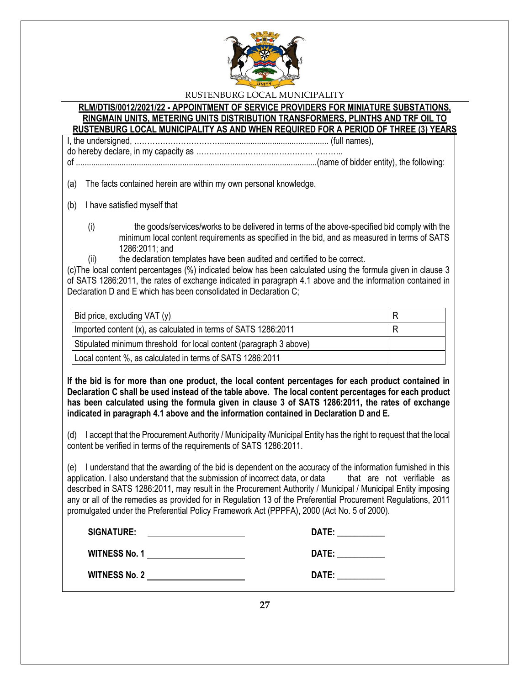

#### **RLM/DTIS/0012/2021/22 - APPOINTMENT OF SERVICE PROVIDERS FOR MINIATURE SUBSTATIONS, RINGMAIN UNITS, METERING UNITS DISTRIBUTION TRANSFORMERS, PLINTHS AND TRF OIL TO RUSTENBURG LOCAL MUNICIPALITY AS AND WHEN REQUIRED FOR A PERIOD OF THREE (3) YEARS**

I, the undersigned, …………………………….................................................. (full names), do hereby declare, in my capacity as ……………………………………… ………..

of ...............................................................................................................(name of bidder entity), the following:

(a) The facts contained herein are within my own personal knowledge.

- (b) I have satisfied myself that
	- (i) the goods/services/works to be delivered in terms of the above-specified bid comply with the minimum local content requirements as specified in the bid, and as measured in terms of SATS 1286:2011; and
	- (ii) the declaration templates have been audited and certified to be correct.

(c)The local content percentages (%) indicated below has been calculated using the formula given in clause 3 of SATS 1286:2011, the rates of exchange indicated in paragraph 4.1 above and the information contained in Declaration D and E which has been consolidated in Declaration C;

| Bid price, excluding VAT (y)                                       | R |
|--------------------------------------------------------------------|---|
| Imported content (x), as calculated in terms of SATS 1286:2011     | R |
| Stipulated minimum threshold for local content (paragraph 3 above) |   |
| Local content %, as calculated in terms of SATS 1286:2011          |   |

**If the bid is for more than one product, the local content percentages for each product contained in Declaration C shall be used instead of the table above. The local content percentages for each product has been calculated using the formula given in clause 3 of SATS 1286:2011, the rates of exchange indicated in paragraph 4.1 above and the information contained in Declaration D and E.**

(d) I accept that the Procurement Authority / Municipality /Municipal Entity has the right to request that the local content be verified in terms of the requirements of SATS 1286:2011.

(e) I understand that the awarding of the bid is dependent on the accuracy of the information furnished in this application. I also understand that the submission of incorrect data, or data that are not verifiable as described in SATS 1286:2011, may result in the Procurement Authority / Municipal / Municipal Entity imposing any or all of the remedies as provided for in Regulation 13 of the Preferential Procurement Regulations, 2011 promulgated under the Preferential Policy Framework Act (PPPFA), 2000 (Act No. 5 of 2000).

| <b>SIGNATURE:</b>    | DATE: |
|----------------------|-------|
| <b>WITNESS No. 1</b> | DATE: |
| <b>WITNESS No. 2</b> | DATE: |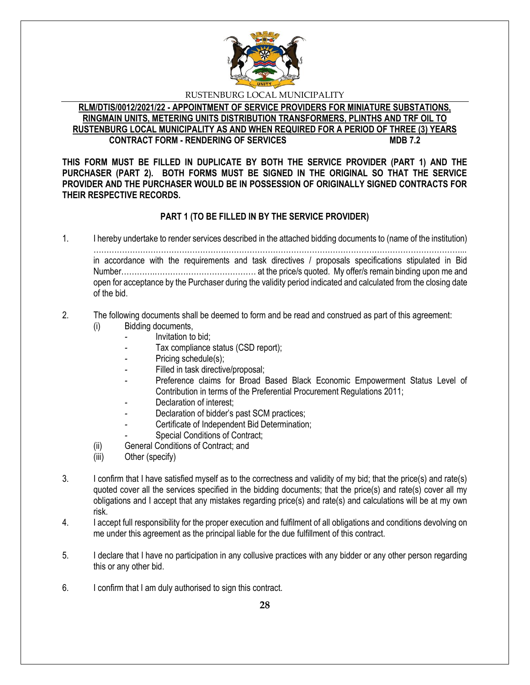

#### **RLM/DTIS/0012/2021/22 - APPOINTMENT OF SERVICE PROVIDERS FOR MINIATURE SUBSTATIONS, RINGMAIN UNITS, METERING UNITS DISTRIBUTION TRANSFORMERS, PLINTHS AND TRF OIL TO RUSTENBURG LOCAL MUNICIPALITY AS AND WHEN REQUIRED FOR A PERIOD OF THREE (3) YEARS CONTRACT FORM - RENDERING OF SERVICES**

**THIS FORM MUST BE FILLED IN DUPLICATE BY BOTH THE SERVICE PROVIDER (PART 1) AND THE PURCHASER (PART 2). BOTH FORMS MUST BE SIGNED IN THE ORIGINAL SO THAT THE SERVICE PROVIDER AND THE PURCHASER WOULD BE IN POSSESSION OF ORIGINALLY SIGNED CONTRACTS FOR THEIR RESPECTIVE RECORDS.**

# **PART 1 (TO BE FILLED IN BY THE SERVICE PROVIDER)**

1. I hereby undertake to render services described in the attached bidding documents to (name of the institution) ……………………………………………………………………………………………………………………………... in accordance with the requirements and task directives / proposals specifications stipulated in Bid Number………….………………………………… at the price/s quoted. My offer/s remain binding upon me and open for acceptance by the Purchaser during the validity period indicated and calculated from the closing date of the bid.

#### 2. The following documents shall be deemed to form and be read and construed as part of this agreement: (i) Bidding documents,

- *-* Invitation to bid;
- Tax compliance status (CSD report);
- Pricing schedule(s);
- Filled in task directive/proposal;
- Preference claims for Broad Based Black Economic Empowerment Status Level of Contribution in terms of the Preferential Procurement Regulations 2011;
- *-* Declaration of interest;
- *-* Declaration of bidder's past SCM practices;
- *-* Certificate of Independent Bid Determination;
- **Special Conditions of Contract;**
- (ii) General Conditions of Contract; and
- (iii) Other (specify)
- 3. I confirm that I have satisfied myself as to the correctness and validity of my bid; that the price(s) and rate(s) quoted cover all the services specified in the bidding documents; that the price(s) and rate(s) cover all my obligations and I accept that any mistakes regarding price(s) and rate(s) and calculations will be at my own risk.
- 4. I accept full responsibility for the proper execution and fulfilment of all obligations and conditions devolving on me under this agreement as the principal liable for the due fulfillment of this contract.
- 5. I declare that I have no participation in any collusive practices with any bidder or any other person regarding this or any other bid.
- 6. I confirm that I am duly authorised to sign this contract.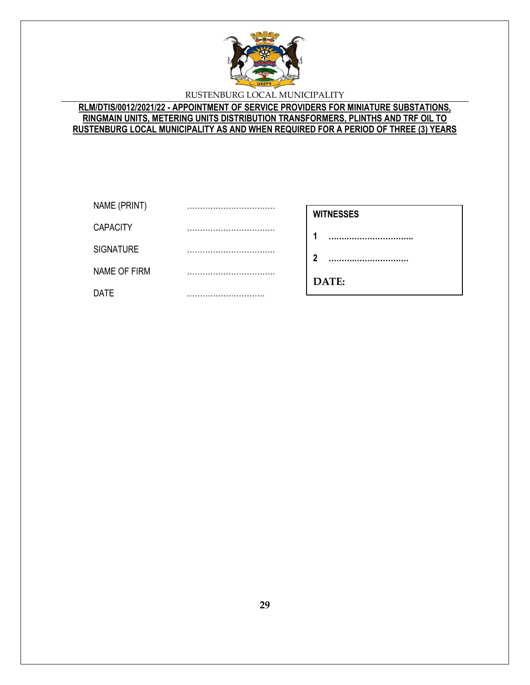

# **RLM/DTIS/0012/2021/22 - APPOINTMENT OF SERVICE PROVIDERS FOR MINIATURE SUBSTATIONS, RINGMAIN UNITS, METERING UNITS DISTRIBUTION TRANSFORMERS, PLINTHS AND TRF OIL TO RUSTENBURG LOCAL MUNICIPALITY AS AND WHEN REQUIRED FOR A PERIOD OF THREE (3) YEARS**

| NAME (PRINT)        |                      |
|---------------------|----------------------|
|                     | <br><b>WITNESSES</b> |
| <b>CAPACITY</b>     | <br>                 |
| <b>SIGNATURE</b>    | <br>າ                |
| <b>NAME OF FIRM</b> | <br>DATE:            |
| <b>DATE</b>         |                      |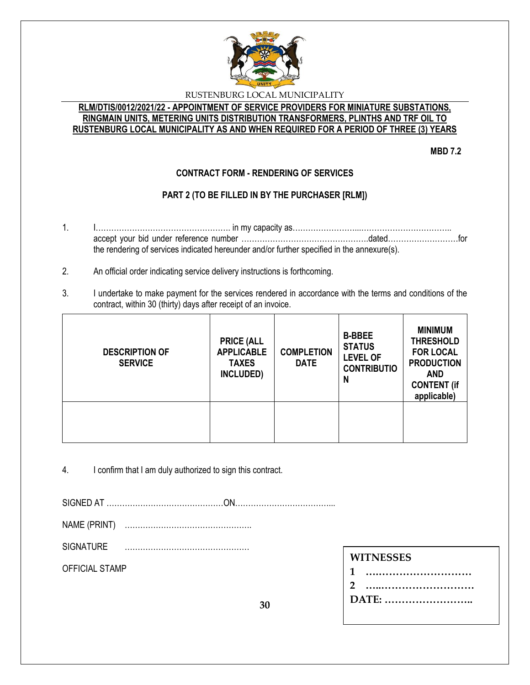

### **RLM/DTIS/0012/2021/22 - APPOINTMENT OF SERVICE PROVIDERS FOR MINIATURE SUBSTATIONS, RINGMAIN UNITS, METERING UNITS DISTRIBUTION TRANSFORMERS, PLINTHS AND TRF OIL TO RUSTENBURG LOCAL MUNICIPALITY AS AND WHEN REQUIRED FOR A PERIOD OF THREE (3) YEARS**

**MBD 7.2**

# **CONTRACT FORM - RENDERING OF SERVICES**

# **PART 2 (TO BE FILLED IN BY THE PURCHASER [RLM])**

- 1. I……………………………………………. in my capacity as……………………...…………………………….. accept your bid under reference number ………………………………………….dated………………………for the rendering of services indicated hereunder and/or further specified in the annexure(s).
- 2. An official order indicating service delivery instructions is forthcoming.
- 3. I undertake to make payment for the services rendered in accordance with the terms and conditions of the contract, within 30 (thirty) days after receipt of an invoice.

| <b>DESCRIPTION OF</b><br><b>SERVICE</b> | <b>PRICE (ALL</b><br><b>APPLICABLE</b><br><b>TAXES</b><br>INCLUDED) | <b>COMPLETION</b><br><b>DATE</b> | <b>B-BBEE</b><br><b>STATUS</b><br><b>LEVEL OF</b><br><b>CONTRIBUTIO</b><br>N | <b>MINIMUM</b><br><b>THRESHOLD</b><br><b>FOR LOCAL</b><br><b>PRODUCTION</b><br><b>AND</b><br><b>CONTENT (if</b><br>applicable) |
|-----------------------------------------|---------------------------------------------------------------------|----------------------------------|------------------------------------------------------------------------------|--------------------------------------------------------------------------------------------------------------------------------|
|                                         |                                                                     |                                  |                                                                              |                                                                                                                                |

4. I confirm that I am duly authorized to sign this contract.

SIGNED AT ………………………………………ON………………………………...

NAME (PRINT) ………………………………………….

SIGNATURE …………………………………………

OFFICIAL STAMP

# **WITNESSES**

| 1     |  |
|-------|--|
| 2     |  |
| DATE: |  |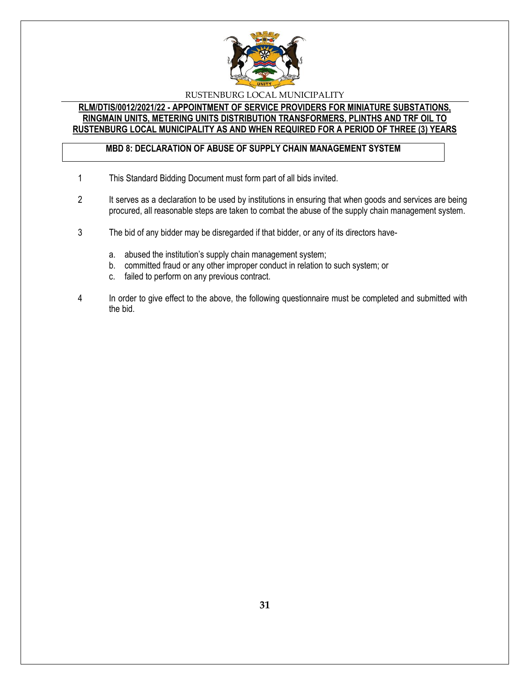

### **RLM/DTIS/0012/2021/22 - APPOINTMENT OF SERVICE PROVIDERS FOR MINIATURE SUBSTATIONS, RINGMAIN UNITS, METERING UNITS DISTRIBUTION TRANSFORMERS, PLINTHS AND TRF OIL TO RUSTENBURG LOCAL MUNICIPALITY AS AND WHEN REQUIRED FOR A PERIOD OF THREE (3) YEARS**

# **MBD 8: DECLARATION OF ABUSE OF SUPPLY CHAIN MANAGEMENT SYSTEM**

- 1 This Standard Bidding Document must form part of all bids invited.
- 2 It serves as a declaration to be used by institutions in ensuring that when goods and services are being procured, all reasonable steps are taken to combat the abuse of the supply chain management system.
- 3 The bid of any bidder may be disregarded if that bidder, or any of its directors have
	- a. abused the institution's supply chain management system;
	- b. committed fraud or any other improper conduct in relation to such system; or
	- c. failed to perform on any previous contract.
- 4 In order to give effect to the above, the following questionnaire must be completed and submitted with the bid.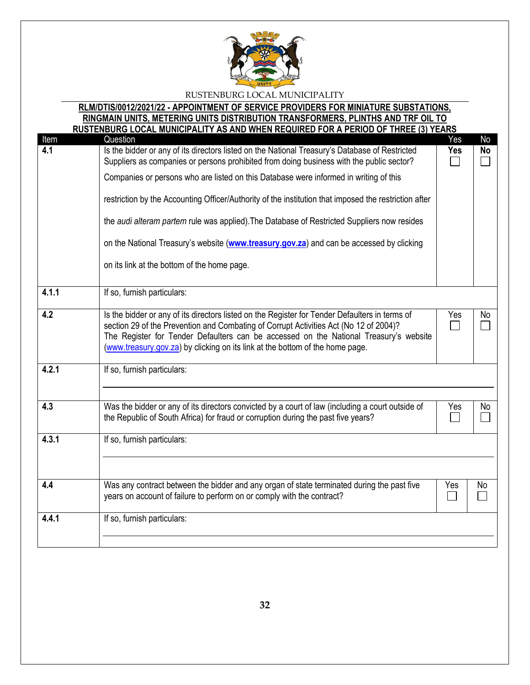

# **RLM/DTIS/0012/2021/22 - APPOINTMENT OF SERVICE PROVIDERS FOR MINIATURE SUBSTATIONS,**

**RINGMAIN UNITS, METERING UNITS DISTRIBUTION TRANSFORMERS, PLINTHS AND TRF OIL TO RUSTENBURG LOCAL MUNICIPALITY AS AND WHEN REQUIRED FOR A PERIOD OF THREE (3) YEARS**

| Item  | ולטען בוזטטולט בטטאב וויטוזוטוו אבור ראט אוזט זוובוז ולבעטוולבט ו טולא רבולוטט טו<br>11111LL1111L1L111L1<br>Question                                                                                                                                                                                                                                              | Yes        | No        |
|-------|-------------------------------------------------------------------------------------------------------------------------------------------------------------------------------------------------------------------------------------------------------------------------------------------------------------------------------------------------------------------|------------|-----------|
| 4.1   | Is the bidder or any of its directors listed on the National Treasury's Database of Restricted<br>Suppliers as companies or persons prohibited from doing business with the public sector?                                                                                                                                                                        | <b>Yes</b> | <b>No</b> |
|       | Companies or persons who are listed on this Database were informed in writing of this                                                                                                                                                                                                                                                                             |            |           |
|       | restriction by the Accounting Officer/Authority of the institution that imposed the restriction after                                                                                                                                                                                                                                                             |            |           |
|       | the audi alteram partem rule was applied). The Database of Restricted Suppliers now resides                                                                                                                                                                                                                                                                       |            |           |
|       | on the National Treasury's website (www.treasury.gov.za) and can be accessed by clicking                                                                                                                                                                                                                                                                          |            |           |
|       | on its link at the bottom of the home page.                                                                                                                                                                                                                                                                                                                       |            |           |
| 4.1.1 | If so, furnish particulars:                                                                                                                                                                                                                                                                                                                                       |            |           |
| 4.2   | Is the bidder or any of its directors listed on the Register for Tender Defaulters in terms of<br>section 29 of the Prevention and Combating of Corrupt Activities Act (No 12 of 2004)?<br>The Register for Tender Defaulters can be accessed on the National Treasury's website<br>(www.treasury.gov.za) by clicking on its link at the bottom of the home page. | Yes        | No        |
| 4.2.1 | If so, furnish particulars:                                                                                                                                                                                                                                                                                                                                       |            |           |
| 4.3   | Was the bidder or any of its directors convicted by a court of law (including a court outside of<br>the Republic of South Africa) for fraud or corruption during the past five years?                                                                                                                                                                             | Yes        | No        |
| 4.3.1 | If so, furnish particulars:                                                                                                                                                                                                                                                                                                                                       |            |           |
|       |                                                                                                                                                                                                                                                                                                                                                                   |            |           |
|       |                                                                                                                                                                                                                                                                                                                                                                   |            |           |
| 4.4   | Was any contract between the bidder and any organ of state terminated during the past five<br>years on account of failure to perform on or comply with the contract?                                                                                                                                                                                              | Yes        | No        |
| 4.4.1 | If so, furnish particulars:                                                                                                                                                                                                                                                                                                                                       |            |           |
|       |                                                                                                                                                                                                                                                                                                                                                                   |            |           |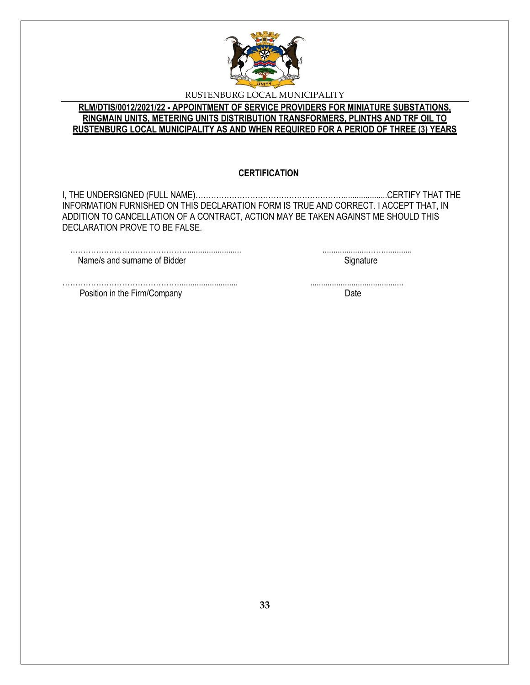

## **RLM/DTIS/0012/2021/22 - APPOINTMENT OF SERVICE PROVIDERS FOR MINIATURE SUBSTATIONS, RINGMAIN UNITS, METERING UNITS DISTRIBUTION TRANSFORMERS, PLINTHS AND TRF OIL TO RUSTENBURG LOCAL MUNICIPALITY AS AND WHEN REQUIRED FOR A PERIOD OF THREE (3) YEARS**

#### **CERTIFICATION**

I, THE UNDERSIGNED (FULL NAME)…………………………………………………....................CERTIFY THAT THE INFORMATION FURNISHED ON THIS DECLARATION FORM IS TRUE AND CORRECT. I ACCEPT THAT, IN ADDITION TO CANCELLATION OF A CONTRACT, ACTION MAY BE TAKEN AGAINST ME SHOULD THIS DECLARATION PROVE TO BE FALSE.

………………………………………........................... ...........................................

………………………………………......................... .....................……............. Name/s and surname of Bidder Signature Signature

Position in the Firm/Company Date by the Second Date of the Second Date of the Date of the Date of the Date of the Date of the Date of the Date of the Date of the Date of the Date of the Date of the Date of the Date of the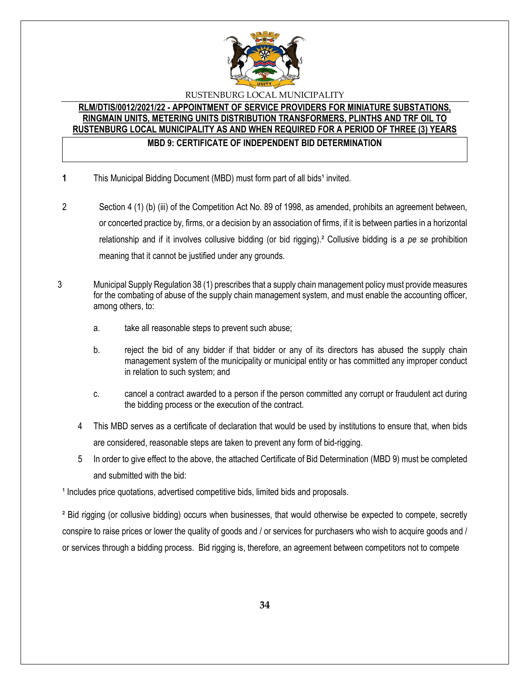

# **RLM/DTIS/0012/2021/22 - APPOINTMENT OF SERVICE PROVIDERS FOR MINIATURE SUBSTATIONS, RINGMAIN UNITS, METERING UNITS DISTRIBUTION TRANSFORMERS, PLINTHS AND TRF OIL TO RUSTENBURG LOCAL MUNICIPALITY AS AND WHEN REQUIRED FOR A PERIOD OF THREE (3) YEARS MBD 9: CERTIFICATE OF INDEPENDENT BID DETERMINATION**

- **1** This Municipal Bidding Document (MBD) must form part of all bids<sup>1</sup> invited.
- 2 Section 4 (1) (b) (iii) of the Competition Act No. 89 of 1998, as amended, prohibits an agreement between, or concerted practice by, firms, or a decision by an association of firms, if it is between parties in a horizontal relationship and if it involves collusive bidding (or bid rigging).² Collusive bidding is a *pe se* prohibition meaning that it cannot be justified under any grounds.
- 3 Municipal Supply Regulation 38 (1) prescribes that a supply chain management policy must provide measures for the combating of abuse of the supply chain management system, and must enable the accounting officer, among others, to:
	- a. take all reasonable steps to prevent such abuse;
	- b. reject the bid of any bidder if that bidder or any of its directors has abused the supply chain management system of the municipality or municipal entity or has committed any improper conduct in relation to such system; and
	- c. cancel a contract awarded to a person if the person committed any corrupt or fraudulent act during the bidding process or the execution of the contract.
	- 4 This MBD serves as a certificate of declaration that would be used by institutions to ensure that, when bids are considered, reasonable steps are taken to prevent any form of bid-rigging.
	- 5 In order to give effect to the above, the attached Certificate of Bid Determination (MBD 9) must be completed and submitted with the bid:

<sup>1</sup> Includes price quotations, advertised competitive bids, limited bids and proposals.

² Bid rigging (or collusive bidding) occurs when businesses, that would otherwise be expected to compete, secretly conspire to raise prices or lower the quality of goods and / or services for purchasers who wish to acquire goods and / or services through a bidding process. Bid rigging is, therefore, an agreement between competitors not to compete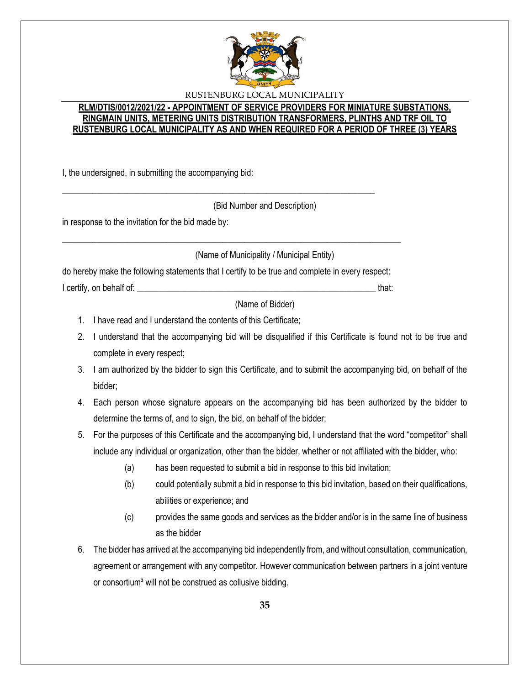

#### **RLM/DTIS/0012/2021/22 - APPOINTMENT OF SERVICE PROVIDERS FOR MINIATURE SUBSTATIONS, RINGMAIN UNITS, METERING UNITS DISTRIBUTION TRANSFORMERS, PLINTHS AND TRF OIL TO RUSTENBURG LOCAL MUNICIPALITY AS AND WHEN REQUIRED FOR A PERIOD OF THREE (3) YEARS**

I, the undersigned, in submitting the accompanying bid:

(Bid Number and Description)

in response to the invitation for the bid made by:

(Name of Municipality / Municipal Entity)

do hereby make the following statements that I certify to be true and complete in every respect:

\_\_\_\_\_\_\_\_\_\_\_\_\_\_\_\_\_\_\_\_\_\_\_\_\_\_\_\_\_\_\_\_\_\_\_\_\_\_\_\_\_\_\_\_\_\_\_\_\_\_\_\_\_\_\_\_\_\_\_\_\_\_\_\_\_\_\_\_\_\_\_\_\_\_\_\_\_\_

\_\_\_\_\_\_\_\_\_\_\_\_\_\_\_\_\_\_\_\_\_\_\_\_\_\_\_\_\_\_\_\_\_\_\_\_\_\_\_\_\_\_\_\_\_\_\_\_\_\_\_\_\_\_\_\_\_\_\_\_\_\_\_\_\_\_\_\_\_\_\_\_

I certify, on behalf of: \_\_\_\_\_\_\_\_\_\_\_\_\_\_\_\_\_\_\_\_\_\_\_\_\_\_\_\_\_\_\_\_\_\_\_\_\_\_\_\_\_\_\_\_\_\_\_\_\_\_\_\_\_\_\_ that:

(Name of Bidder)

- 1. I have read and I understand the contents of this Certificate;
- 2. I understand that the accompanying bid will be disqualified if this Certificate is found not to be true and complete in every respect;
- 3. I am authorized by the bidder to sign this Certificate, and to submit the accompanying bid, on behalf of the bidder;
- 4. Each person whose signature appears on the accompanying bid has been authorized by the bidder to determine the terms of, and to sign, the bid, on behalf of the bidder;
- 5. For the purposes of this Certificate and the accompanying bid, I understand that the word "competitor" shall include any individual or organization, other than the bidder, whether or not affiliated with the bidder, who:
	- (a) has been requested to submit a bid in response to this bid invitation;
	- (b) could potentially submit a bid in response to this bid invitation, based on their qualifications, abilities or experience; and
	- (c) provides the same goods and services as the bidder and/or is in the same line of business as the bidder
- 6. The bidder has arrived at the accompanying bid independently from, and without consultation, communication, agreement or arrangement with any competitor. However communication between partners in a joint venture or consortium<sup>3</sup> will not be construed as collusive bidding.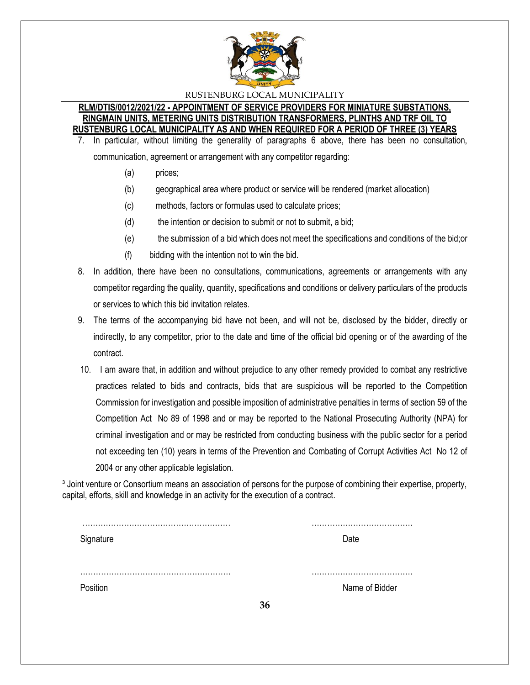

#### **RLM/DTIS/0012/2021/22 - APPOINTMENT OF SERVICE PROVIDERS FOR MINIATURE SUBSTATIONS, RINGMAIN UNITS, METERING UNITS DISTRIBUTION TRANSFORMERS, PLINTHS AND TRF OIL TO RUSTENBURG LOCAL MUNICIPALITY AS AND WHEN REQUIRED FOR A PERIOD OF THREE (3) YEARS**

7. In particular, without limiting the generality of paragraphs 6 above, there has been no consultation,

communication, agreement or arrangement with any competitor regarding:

- (a) prices;
- (b) geographical area where product or service will be rendered (market allocation)
- (c) methods, factors or formulas used to calculate prices;
- (d) the intention or decision to submit or not to submit, a bid;
- (e) the submission of a bid which does not meet the specifications and conditions of the bid;or
- (f) bidding with the intention not to win the bid.
- 8. In addition, there have been no consultations, communications, agreements or arrangements with any competitor regarding the quality, quantity, specifications and conditions or delivery particulars of the products or services to which this bid invitation relates.
- 9. The terms of the accompanying bid have not been, and will not be, disclosed by the bidder, directly or indirectly, to any competitor, prior to the date and time of the official bid opening or of the awarding of the contract.
- 10. I am aware that, in addition and without prejudice to any other remedy provided to combat any restrictive practices related to bids and contracts, bids that are suspicious will be reported to the Competition Commission for investigation and possible imposition of administrative penalties in terms of section 59 of the Competition Act No 89 of 1998 and or may be reported to the National Prosecuting Authority (NPA) for criminal investigation and or may be restricted from conducting business with the public sector for a period not exceeding ten (10) years in terms of the Prevention and Combating of Corrupt Activities Act No 12 of 2004 or any other applicable legislation.

<sup>3</sup> Joint venture or Consortium means an association of persons for the purpose of combining their expertise, property, capital, efforts, skill and knowledge in an activity for the execution of a contract.

| Signature |    | Date           |
|-----------|----|----------------|
|           |    |                |
|           |    |                |
|           |    |                |
| Position  |    | Name of Bidder |
|           | 36 |                |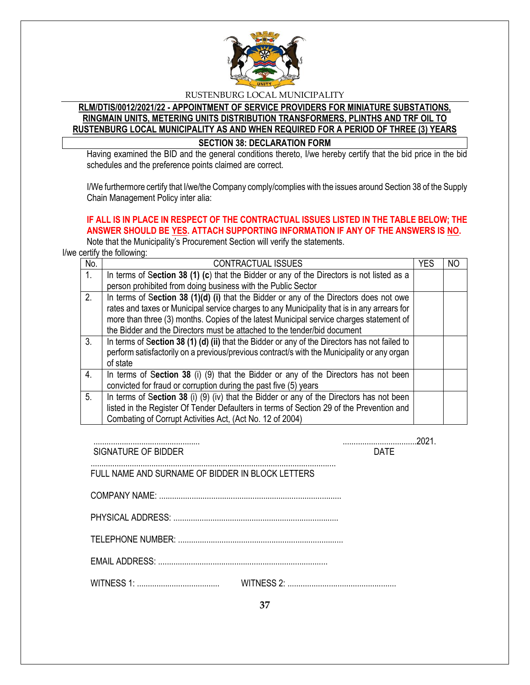

# **RLM/DTIS/0012/2021/22 - APPOINTMENT OF SERVICE PROVIDERS FOR MINIATURE SUBSTATIONS, RINGMAIN UNITS, METERING UNITS DISTRIBUTION TRANSFORMERS, PLINTHS AND TRF OIL TO RUSTENBURG LOCAL MUNICIPALITY AS AND WHEN REQUIRED FOR A PERIOD OF THREE (3) YEARS SECTION 38: DECLARATION FORM**

Having examined the BID and the general conditions thereto, I/we hereby certify that the bid price in the bid schedules and the preference points claimed are correct.

I/We furthermore certify that I/we/the Company comply/complies with the issues around Section 38 of the Supply Chain Management Policy inter alia:

# **IF ALL IS IN PLACE IN RESPECT OF THE CONTRACTUAL ISSUES LISTED IN THE TABLE BELOW; THE ANSWER SHOULD BE YES. ATTACH SUPPORTING INFORMATION IF ANY OF THE ANSWERS IS NO.**

Note that the Municipality's Procurement Section will verify the statements.

I/we certify the following:

| No. | <b>CONTRACTUAL ISSUES</b>                                                                     | <b>YES</b> | NO |
|-----|-----------------------------------------------------------------------------------------------|------------|----|
| 1.  | In terms of Section 38 (1) (c) that the Bidder or any of the Directors is not listed as a     |            |    |
|     | person prohibited from doing business with the Public Sector                                  |            |    |
| 2.  | In terms of Section 38 (1)(d) (i) that the Bidder or any of the Directors does not owe        |            |    |
|     | rates and taxes or Municipal service charges to any Municipality that is in any arrears for   |            |    |
|     | more than three (3) months. Copies of the latest Municipal service charges statement of       |            |    |
|     | the Bidder and the Directors must be attached to the tender/bid document                      |            |    |
| 3.  | In terms of Section 38 (1) (d) (ii) that the Bidder or any of the Directors has not failed to |            |    |
|     | perform satisfactorily on a previous/previous contract/s with the Municipality or any organ   |            |    |
|     | of state                                                                                      |            |    |
| 4.  | In terms of Section 38 (i) (9) that the Bidder or any of the Directors has not been           |            |    |
|     | convicted for fraud or corruption during the past five (5) years                              |            |    |
| 5.  | In terms of Section 38 (i) (9) (iv) that the Bidder or any of the Directors has not been      |            |    |
|     | listed in the Register Of Tender Defaulters in terms of Section 29 of the Prevention and      |            |    |
|     | Combating of Corrupt Activities Act, (Act No. 12 of 2004)                                     |            |    |

| SIGNATURE OF BIDDER                              | <b>DATF</b> |
|--------------------------------------------------|-------------|
| FULL NAME AND SURNAME OF BIDDER IN BLOCK LETTERS |             |
|                                                  |             |
|                                                  |             |
|                                                  |             |
|                                                  |             |
|                                                  |             |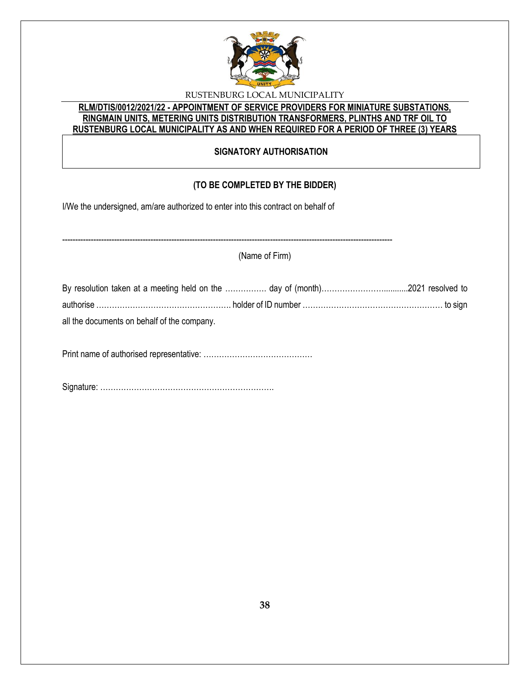

# **RLM/DTIS/0012/2021/22 - APPOINTMENT OF SERVICE PROVIDERS FOR MINIATURE SUBSTATIONS, RINGMAIN UNITS, METERING UNITS DISTRIBUTION TRANSFORMERS, PLINTHS AND TRF OIL TO RUSTENBURG LOCAL MUNICIPALITY AS AND WHEN REQUIRED FOR A PERIOD OF THREE (3) YEARS**

# **SIGNATORY AUTHORISATION**

# **(TO BE COMPLETED BY THE BIDDER)**

I/We the undersigned, am/are authorized to enter into this contract on behalf of

------------------------------------------------------------------------------------------------------------------------------- (Name of Firm) By resolution taken at a meeting held on the ……………. day of (month)……………………...........2021 resolved to authorise ……………………………………………. holder of ID number ……………………………………………… to sign all the documents on behalf of the company.

Print name of authorised representative: ……………………………………

Signature: ………………………………………………………….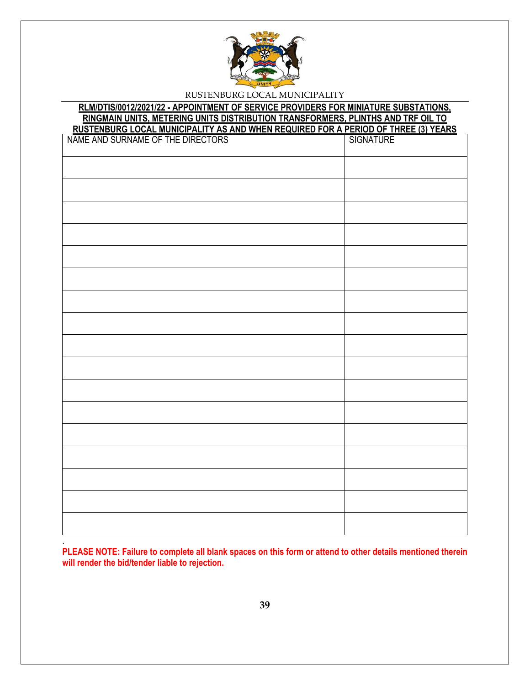

# **RLM/DTIS/0012/2021/22 - APPOINTMENT OF SERVICE PROVIDERS FOR MINIATURE SUBSTATIONS, RINGMAIN UNITS, METERING UNITS DISTRIBUTION TRANSFORMERS, PLINTHS AND TRF OIL TO**

| RUSTENBURG LOCAL MUNICIPALITY AS AND WHEN REQUIRED FOR A PERIOD OF THREE (3) YEARS<br>NAME AND SURNAME OF THE DIRECTORS   SIGNATURE   SIGNATURE |  |
|-------------------------------------------------------------------------------------------------------------------------------------------------|--|
|                                                                                                                                                 |  |
|                                                                                                                                                 |  |
|                                                                                                                                                 |  |
|                                                                                                                                                 |  |
|                                                                                                                                                 |  |
|                                                                                                                                                 |  |
|                                                                                                                                                 |  |
|                                                                                                                                                 |  |
|                                                                                                                                                 |  |
|                                                                                                                                                 |  |
|                                                                                                                                                 |  |
|                                                                                                                                                 |  |
|                                                                                                                                                 |  |
|                                                                                                                                                 |  |
|                                                                                                                                                 |  |
|                                                                                                                                                 |  |
|                                                                                                                                                 |  |
|                                                                                                                                                 |  |

**PLEASE NOTE: Failure to complete all blank spaces on this form or attend to other details mentioned therein will render the bid/tender liable to rejection.** 

.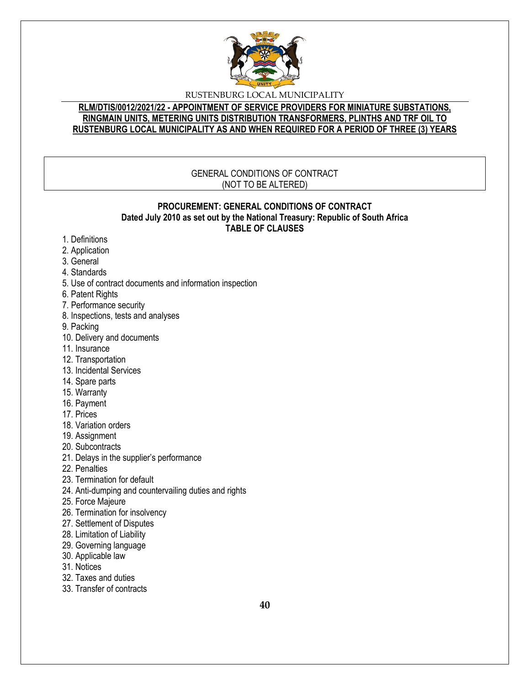

### **RLM/DTIS/0012/2021/22 - APPOINTMENT OF SERVICE PROVIDERS FOR MINIATURE SUBSTATIONS, RINGMAIN UNITS, METERING UNITS DISTRIBUTION TRANSFORMERS, PLINTHS AND TRF OIL TO RUSTENBURG LOCAL MUNICIPALITY AS AND WHEN REQUIRED FOR A PERIOD OF THREE (3) YEARS**

### GENERAL CONDITIONS OF CONTRACT (NOT TO BE ALTERED)

#### **PROCUREMENT: GENERAL CONDITIONS OF CONTRACT Dated July 2010 as set out by the National Treasury: Republic of South Africa TABLE OF CLAUSES**

- 1. Definitions
- 2. Application
- 3. General
- 4. Standards
- 5. Use of contract documents and information inspection
- 6. Patent Rights
- 7. Performance security
- 8. Inspections, tests and analyses
- 9. Packing
- 10. Delivery and documents
- 11. Insurance
- 12. Transportation
- 13. Incidental Services
- 14. Spare parts
- 15. Warranty
- 16. Payment
- 17. Prices
- 18. Variation orders
- 19. Assignment
- 20. Subcontracts
- 21. Delays in the supplier's performance
- 22. Penalties
- 23. Termination for default
- 24. Anti-dumping and countervailing duties and rights
- 25. Force Majeure
- 26. Termination for insolvency
- 27. Settlement of Disputes
- 28. Limitation of Liability
- 29. Governing language
- 30. Applicable law
- 31. Notices
- 32. Taxes and duties
- 33. Transfer of contracts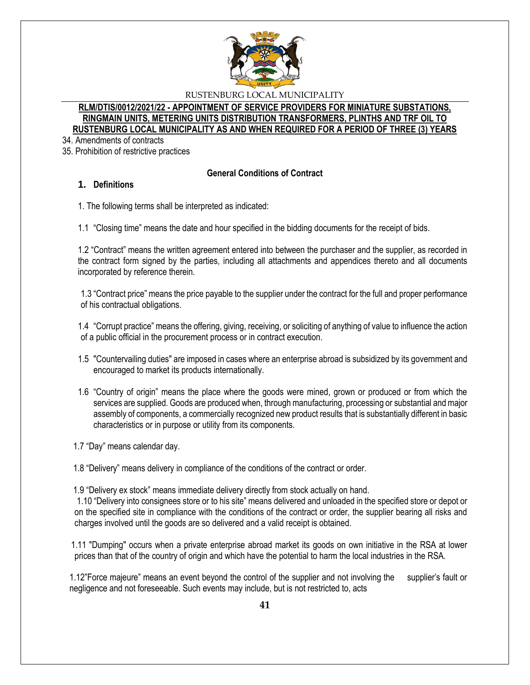

### **RLM/DTIS/0012/2021/22 - APPOINTMENT OF SERVICE PROVIDERS FOR MINIATURE SUBSTATIONS, RINGMAIN UNITS, METERING UNITS DISTRIBUTION TRANSFORMERS, PLINTHS AND TRF OIL TO RUSTENBURG LOCAL MUNICIPALITY AS AND WHEN REQUIRED FOR A PERIOD OF THREE (3) YEARS**

34. Amendments of contracts

35. Prohibition of restrictive practices

#### **General Conditions of Contract**

### **1. Definitions**

1. The following terms shall be interpreted as indicated:

1.1 "Closing time" means the date and hour specified in the bidding documents for the receipt of bids.

1.2 "Contract" means the written agreement entered into between the purchaser and the supplier, as recorded in the contract form signed by the parties, including all attachments and appendices thereto and all documents incorporated by reference therein.

1.3 "Contract price" means the price payable to the supplier under the contract for the full and proper performance of his contractual obligations.

1.4 "Corrupt practice" means the offering, giving, receiving, or soliciting of anything of value to influence the action of a public official in the procurement process or in contract execution.

- 1.5 "Countervailing duties" are imposed in cases where an enterprise abroad is subsidized by its government and encouraged to market its products internationally.
- 1.6 "Country of origin" means the place where the goods were mined, grown or produced or from which the services are supplied. Goods are produced when, through manufacturing, processing or substantial and major assembly of components, a commercially recognized new product results that is substantially different in basic characteristics or in purpose or utility from its components.

1.7 "Day" means calendar day.

1.8 "Delivery" means delivery in compliance of the conditions of the contract or order.

1.9 "Delivery ex stock" means immediate delivery directly from stock actually on hand.

1.10 "Delivery into consignees store or to his site" means delivered and unloaded in the specified store or depot or on the specified site in compliance with the conditions of the contract or order, the supplier bearing all risks and charges involved until the goods are so delivered and a valid receipt is obtained.

 1.11 "Dumping" occurs when a private enterprise abroad market its goods on own initiative in the RSA at lower prices than that of the country of origin and which have the potential to harm the local industries in the RSA.

1.12"Force majeure" means an event beyond the control of the supplier and not involving the supplier's fault or negligence and not foreseeable. Such events may include, but is not restricted to, acts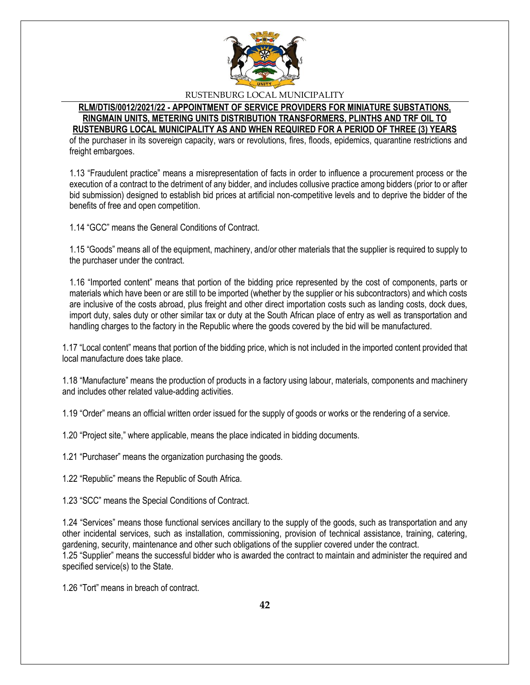

#### **RLM/DTIS/0012/2021/22 - APPOINTMENT OF SERVICE PROVIDERS FOR MINIATURE SUBSTATIONS, RINGMAIN UNITS, METERING UNITS DISTRIBUTION TRANSFORMERS, PLINTHS AND TRF OIL TO RUSTENBURG LOCAL MUNICIPALITY AS AND WHEN REQUIRED FOR A PERIOD OF THREE (3) YEARS**

of the purchaser in its sovereign capacity, wars or revolutions, fires, floods, epidemics, quarantine restrictions and freight embargoes.

1.13 "Fraudulent practice" means a misrepresentation of facts in order to influence a procurement process or the execution of a contract to the detriment of any bidder, and includes collusive practice among bidders (prior to or after bid submission) designed to establish bid prices at artificial non-competitive levels and to deprive the bidder of the benefits of free and open competition.

1.14 "GCC" means the General Conditions of Contract.

1.15 "Goods" means all of the equipment, machinery, and/or other materials that the supplier is required to supply to the purchaser under the contract.

1.16 "Imported content" means that portion of the bidding price represented by the cost of components, parts or materials which have been or are still to be imported (whether by the supplier or his subcontractors) and which costs are inclusive of the costs abroad, plus freight and other direct importation costs such as landing costs, dock dues, import duty, sales duty or other similar tax or duty at the South African place of entry as well as transportation and handling charges to the factory in the Republic where the goods covered by the bid will be manufactured.

1.17 "Local content" means that portion of the bidding price, which is not included in the imported content provided that local manufacture does take place.

1.18 "Manufacture" means the production of products in a factory using labour, materials, components and machinery and includes other related value-adding activities.

1.19 "Order" means an official written order issued for the supply of goods or works or the rendering of a service.

1.20 "Project site," where applicable, means the place indicated in bidding documents.

1.21 "Purchaser" means the organization purchasing the goods.

1.22 "Republic" means the Republic of South Africa.

1.23 "SCC" means the Special Conditions of Contract.

1.24 "Services" means those functional services ancillary to the supply of the goods, such as transportation and any other incidental services, such as installation, commissioning, provision of technical assistance, training, catering, gardening, security, maintenance and other such obligations of the supplier covered under the contract. 1.25 "Supplier" means the successful bidder who is awarded the contract to maintain and administer the required and specified service(s) to the State.

1.26 "Tort" means in breach of contract.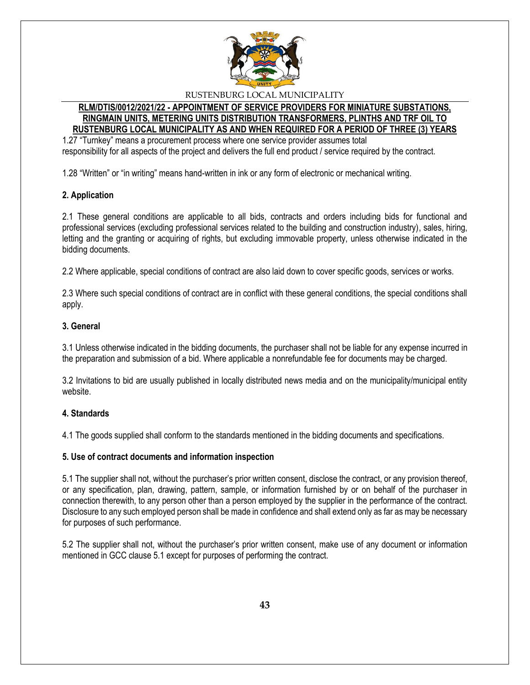

### **RLM/DTIS/0012/2021/22 - APPOINTMENT OF SERVICE PROVIDERS FOR MINIATURE SUBSTATIONS, RINGMAIN UNITS, METERING UNITS DISTRIBUTION TRANSFORMERS, PLINTHS AND TRF OIL TO RUSTENBURG LOCAL MUNICIPALITY AS AND WHEN REQUIRED FOR A PERIOD OF THREE (3) YEARS**

1.27 "Turnkey" means a procurement process where one service provider assumes total responsibility for all aspects of the project and delivers the full end product / service required by the contract.

1.28 "Written" or "in writing" means hand-written in ink or any form of electronic or mechanical writing.

# **2. Application**

2.1 These general conditions are applicable to all bids, contracts and orders including bids for functional and professional services (excluding professional services related to the building and construction industry), sales, hiring, letting and the granting or acquiring of rights, but excluding immovable property, unless otherwise indicated in the bidding documents.

2.2 Where applicable, special conditions of contract are also laid down to cover specific goods, services or works.

2.3 Where such special conditions of contract are in conflict with these general conditions, the special conditions shall apply.

### **3. General**

3.1 Unless otherwise indicated in the bidding documents, the purchaser shall not be liable for any expense incurred in the preparation and submission of a bid. Where applicable a nonrefundable fee for documents may be charged.

3.2 Invitations to bid are usually published in locally distributed news media and on the municipality/municipal entity website.

#### **4. Standards**

4.1 The goods supplied shall conform to the standards mentioned in the bidding documents and specifications.

#### **5. Use of contract documents and information inspection**

5.1 The supplier shall not, without the purchaser's prior written consent, disclose the contract, or any provision thereof, or any specification, plan, drawing, pattern, sample, or information furnished by or on behalf of the purchaser in connection therewith, to any person other than a person employed by the supplier in the performance of the contract. Disclosure to any such employed person shall be made in confidence and shall extend only as far as may be necessary for purposes of such performance.

5.2 The supplier shall not, without the purchaser's prior written consent, make use of any document or information mentioned in GCC clause 5.1 except for purposes of performing the contract.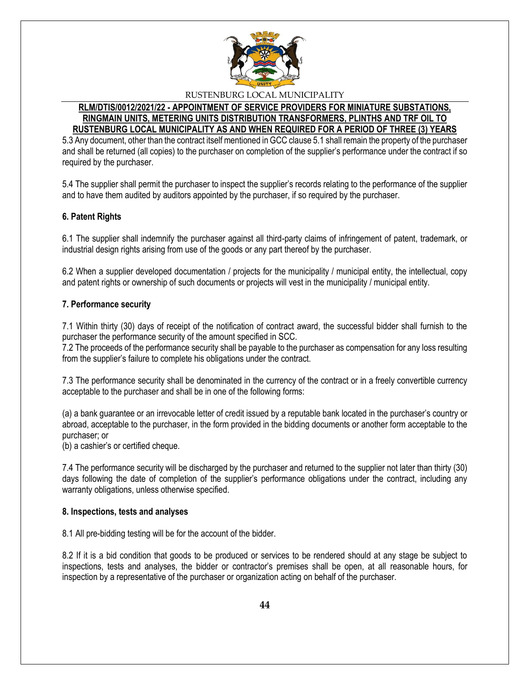

#### **RLM/DTIS/0012/2021/22 - APPOINTMENT OF SERVICE PROVIDERS FOR MINIATURE SUBSTATIONS, RINGMAIN UNITS, METERING UNITS DISTRIBUTION TRANSFORMERS, PLINTHS AND TRF OIL TO RUSTENBURG LOCAL MUNICIPALITY AS AND WHEN REQUIRED FOR A PERIOD OF THREE (3) YEARS**

5.3 Any document, other than the contract itself mentioned in GCC clause 5.1 shall remain the property of the purchaser and shall be returned (all copies) to the purchaser on completion of the supplier's performance under the contract if so required by the purchaser.

5.4 The supplier shall permit the purchaser to inspect the supplier's records relating to the performance of the supplier and to have them audited by auditors appointed by the purchaser, if so required by the purchaser.

# **6. Patent Rights**

6.1 The supplier shall indemnify the purchaser against all third-party claims of infringement of patent, trademark, or industrial design rights arising from use of the goods or any part thereof by the purchaser.

6.2 When a supplier developed documentation / projects for the municipality / municipal entity, the intellectual, copy and patent rights or ownership of such documents or projects will vest in the municipality / municipal entity.

#### **7. Performance security**

7.1 Within thirty (30) days of receipt of the notification of contract award, the successful bidder shall furnish to the purchaser the performance security of the amount specified in SCC.

7.2 The proceeds of the performance security shall be payable to the purchaser as compensation for any loss resulting from the supplier's failure to complete his obligations under the contract.

7.3 The performance security shall be denominated in the currency of the contract or in a freely convertible currency acceptable to the purchaser and shall be in one of the following forms:

(a) a bank guarantee or an irrevocable letter of credit issued by a reputable bank located in the purchaser's country or abroad, acceptable to the purchaser, in the form provided in the bidding documents or another form acceptable to the purchaser; or

(b) a cashier's or certified cheque.

7.4 The performance security will be discharged by the purchaser and returned to the supplier not later than thirty (30) days following the date of completion of the supplier's performance obligations under the contract, including any warranty obligations, unless otherwise specified.

#### **8. Inspections, tests and analyses**

8.1 All pre-bidding testing will be for the account of the bidder.

8.2 If it is a bid condition that goods to be produced or services to be rendered should at any stage be subject to inspections, tests and analyses, the bidder or contractor's premises shall be open, at all reasonable hours, for inspection by a representative of the purchaser or organization acting on behalf of the purchaser.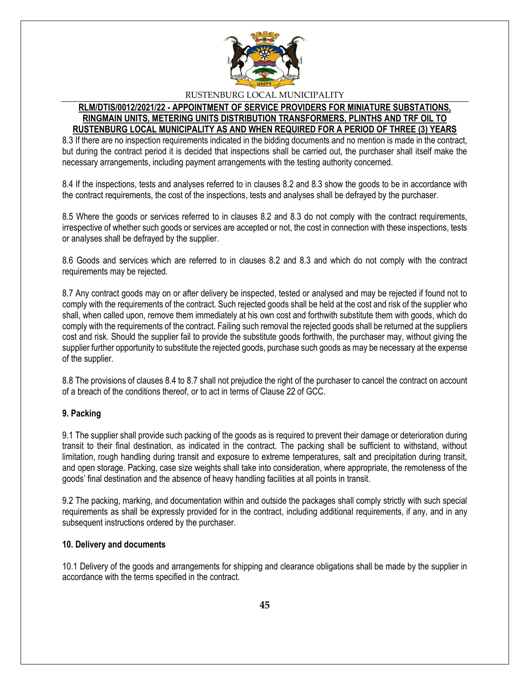

#### **RLM/DTIS/0012/2021/22 - APPOINTMENT OF SERVICE PROVIDERS FOR MINIATURE SUBSTATIONS, RINGMAIN UNITS, METERING UNITS DISTRIBUTION TRANSFORMERS, PLINTHS AND TRF OIL TO RUSTENBURG LOCAL MUNICIPALITY AS AND WHEN REQUIRED FOR A PERIOD OF THREE (3) YEARS**

8.3 If there are no inspection requirements indicated in the bidding documents and no mention is made in the contract, but during the contract period it is decided that inspections shall be carried out, the purchaser shall itself make the necessary arrangements, including payment arrangements with the testing authority concerned.

8.4 If the inspections, tests and analyses referred to in clauses 8.2 and 8.3 show the goods to be in accordance with the contract requirements, the cost of the inspections, tests and analyses shall be defrayed by the purchaser.

8.5 Where the goods or services referred to in clauses 8.2 and 8.3 do not comply with the contract requirements, irrespective of whether such goods or services are accepted or not, the cost in connection with these inspections, tests or analyses shall be defrayed by the supplier.

8.6 Goods and services which are referred to in clauses 8.2 and 8.3 and which do not comply with the contract requirements may be rejected.

8.7 Any contract goods may on or after delivery be inspected, tested or analysed and may be rejected if found not to comply with the requirements of the contract. Such rejected goods shall be held at the cost and risk of the supplier who shall, when called upon, remove them immediately at his own cost and forthwith substitute them with goods, which do comply with the requirements of the contract. Failing such removal the rejected goods shall be returned at the suppliers cost and risk. Should the supplier fail to provide the substitute goods forthwith, the purchaser may, without giving the supplier further opportunity to substitute the rejected goods, purchase such goods as may be necessary at the expense of the supplier.

8.8 The provisions of clauses 8.4 to 8.7 shall not prejudice the right of the purchaser to cancel the contract on account of a breach of the conditions thereof, or to act in terms of Clause 22 of GCC.

# **9. Packing**

9.1 The supplier shall provide such packing of the goods as is required to prevent their damage or deterioration during transit to their final destination, as indicated in the contract. The packing shall be sufficient to withstand, without limitation, rough handling during transit and exposure to extreme temperatures, salt and precipitation during transit, and open storage. Packing, case size weights shall take into consideration, where appropriate, the remoteness of the goods' final destination and the absence of heavy handling facilities at all points in transit.

9.2 The packing, marking, and documentation within and outside the packages shall comply strictly with such special requirements as shall be expressly provided for in the contract, including additional requirements, if any, and in any subsequent instructions ordered by the purchaser.

#### **10. Delivery and documents**

10.1 Delivery of the goods and arrangements for shipping and clearance obligations shall be made by the supplier in accordance with the terms specified in the contract.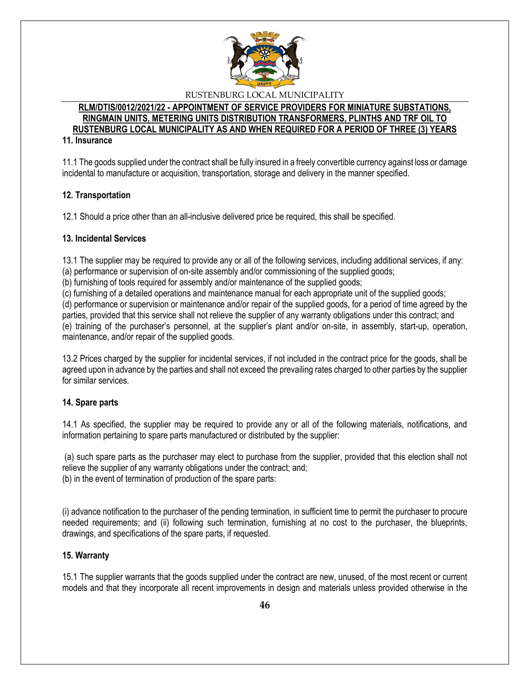

# **RLM/DTIS/0012/2021/22 - APPOINTMENT OF SERVICE PROVIDERS FOR MINIATURE SUBSTATIONS, RINGMAIN UNITS, METERING UNITS DISTRIBUTION TRANSFORMERS, PLINTHS AND TRF OIL TO RUSTENBURG LOCAL MUNICIPALITY AS AND WHEN REQUIRED FOR A PERIOD OF THREE (3) YEARS**

### **11. Insurance**

11.1 The goods supplied under the contract shall be fully insured in a freely convertible currency against loss or damage incidental to manufacture or acquisition, transportation, storage and delivery in the manner specified.

### **12. Transportation**

12.1 Should a price other than an all-inclusive delivered price be required, this shall be specified.

### **13. Incidental Services**

13.1 The supplier may be required to provide any or all of the following services, including additional services, if any: (a) performance or supervision of on-site assembly and/or commissioning of the supplied goods;

(b) furnishing of tools required for assembly and/or maintenance of the supplied goods;

(c) furnishing of a detailed operations and maintenance manual for each appropriate unit of the supplied goods;

(d) performance or supervision or maintenance and/or repair of the supplied goods, for a period of time agreed by the parties, provided that this service shall not relieve the supplier of any warranty obligations under this contract; and (e) training of the purchaser's personnel, at the supplier's plant and/or on-site, in assembly, start-up, operation, maintenance, and/or repair of the supplied goods.

13.2 Prices charged by the supplier for incidental services, if not included in the contract price for the goods, shall be agreed upon in advance by the parties and shall not exceed the prevailing rates charged to other parties by the supplier for similar services.

#### **14. Spare parts**

14.1 As specified, the supplier may be required to provide any or all of the following materials, notifications, and information pertaining to spare parts manufactured or distributed by the supplier:

(a) such spare parts as the purchaser may elect to purchase from the supplier, provided that this election shall not relieve the supplier of any warranty obligations under the contract; and; (b) in the event of termination of production of the spare parts:

(i) advance notification to the purchaser of the pending termination, in sufficient time to permit the purchaser to procure needed requirements; and (ii) following such termination, furnishing at no cost to the purchaser, the blueprints, drawings, and specifications of the spare parts, if requested.

#### **15. Warranty**

15.1 The supplier warrants that the goods supplied under the contract are new, unused, of the most recent or current models and that they incorporate all recent improvements in design and materials unless provided otherwise in the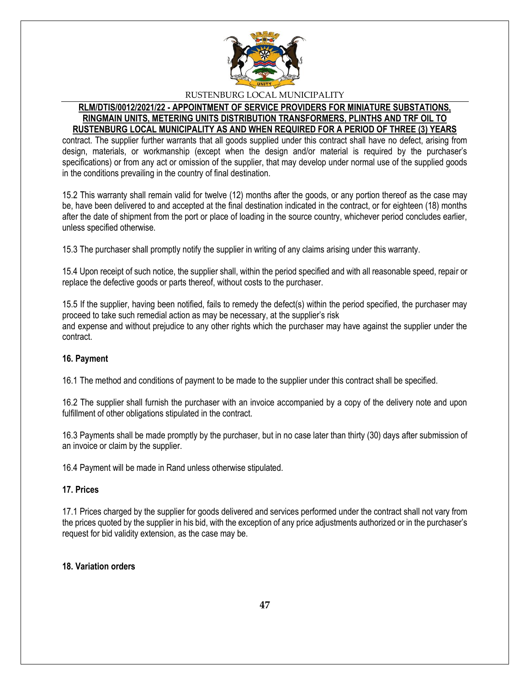

#### **RLM/DTIS/0012/2021/22 - APPOINTMENT OF SERVICE PROVIDERS FOR MINIATURE SUBSTATIONS, RINGMAIN UNITS, METERING UNITS DISTRIBUTION TRANSFORMERS, PLINTHS AND TRF OIL TO RUSTENBURG LOCAL MUNICIPALITY AS AND WHEN REQUIRED FOR A PERIOD OF THREE (3) YEARS**

contract. The supplier further warrants that all goods supplied under this contract shall have no defect, arising from design, materials, or workmanship (except when the design and/or material is required by the purchaser's specifications) or from any act or omission of the supplier, that may develop under normal use of the supplied goods in the conditions prevailing in the country of final destination.

15.2 This warranty shall remain valid for twelve (12) months after the goods, or any portion thereof as the case may be, have been delivered to and accepted at the final destination indicated in the contract, or for eighteen (18) months after the date of shipment from the port or place of loading in the source country, whichever period concludes earlier, unless specified otherwise.

15.3 The purchaser shall promptly notify the supplier in writing of any claims arising under this warranty.

15.4 Upon receipt of such notice, the supplier shall, within the period specified and with all reasonable speed, repair or replace the defective goods or parts thereof, without costs to the purchaser.

15.5 If the supplier, having been notified, fails to remedy the defect(s) within the period specified, the purchaser may proceed to take such remedial action as may be necessary, at the supplier's risk and expense and without prejudice to any other rights which the purchaser may have against the supplier under the contract.

# **16. Payment**

16.1 The method and conditions of payment to be made to the supplier under this contract shall be specified.

16.2 The supplier shall furnish the purchaser with an invoice accompanied by a copy of the delivery note and upon fulfillment of other obligations stipulated in the contract.

16.3 Payments shall be made promptly by the purchaser, but in no case later than thirty (30) days after submission of an invoice or claim by the supplier.

16.4 Payment will be made in Rand unless otherwise stipulated.

# **17. Prices**

17.1 Prices charged by the supplier for goods delivered and services performed under the contract shall not vary from the prices quoted by the supplier in his bid, with the exception of any price adjustments authorized or in the purchaser's request for bid validity extension, as the case may be.

#### **18. Variation orders**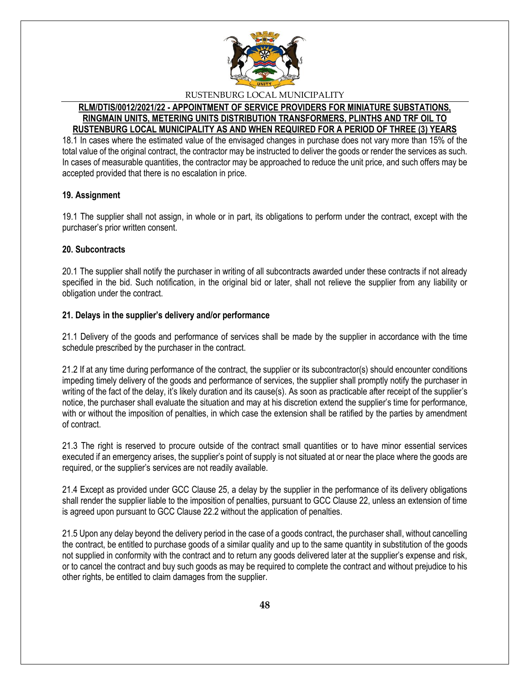

#### **RLM/DTIS/0012/2021/22 - APPOINTMENT OF SERVICE PROVIDERS FOR MINIATURE SUBSTATIONS, RINGMAIN UNITS, METERING UNITS DISTRIBUTION TRANSFORMERS, PLINTHS AND TRF OIL TO RUSTENBURG LOCAL MUNICIPALITY AS AND WHEN REQUIRED FOR A PERIOD OF THREE (3) YEARS**

18.1 In cases where the estimated value of the envisaged changes in purchase does not vary more than 15% of the total value of the original contract, the contractor may be instructed to deliver the goods or render the services as such. In cases of measurable quantities, the contractor may be approached to reduce the unit price, and such offers may be accepted provided that there is no escalation in price.

# **19. Assignment**

19.1 The supplier shall not assign, in whole or in part, its obligations to perform under the contract, except with the purchaser's prior written consent.

### **20. Subcontracts**

20.1 The supplier shall notify the purchaser in writing of all subcontracts awarded under these contracts if not already specified in the bid. Such notification, in the original bid or later, shall not relieve the supplier from any liability or obligation under the contract.

### **21. Delays in the supplier's delivery and/or performance**

21.1 Delivery of the goods and performance of services shall be made by the supplier in accordance with the time schedule prescribed by the purchaser in the contract.

21.2 If at any time during performance of the contract, the supplier or its subcontractor(s) should encounter conditions impeding timely delivery of the goods and performance of services, the supplier shall promptly notify the purchaser in writing of the fact of the delay, it's likely duration and its cause(s). As soon as practicable after receipt of the supplier's notice, the purchaser shall evaluate the situation and may at his discretion extend the supplier's time for performance, with or without the imposition of penalties, in which case the extension shall be ratified by the parties by amendment of contract.

21.3 The right is reserved to procure outside of the contract small quantities or to have minor essential services executed if an emergency arises, the supplier's point of supply is not situated at or near the place where the goods are required, or the supplier's services are not readily available.

21.4 Except as provided under GCC Clause 25, a delay by the supplier in the performance of its delivery obligations shall render the supplier liable to the imposition of penalties, pursuant to GCC Clause 22, unless an extension of time is agreed upon pursuant to GCC Clause 22.2 without the application of penalties.

21.5 Upon any delay beyond the delivery period in the case of a goods contract, the purchaser shall, without cancelling the contract, be entitled to purchase goods of a similar quality and up to the same quantity in substitution of the goods not supplied in conformity with the contract and to return any goods delivered later at the supplier's expense and risk, or to cancel the contract and buy such goods as may be required to complete the contract and without prejudice to his other rights, be entitled to claim damages from the supplier.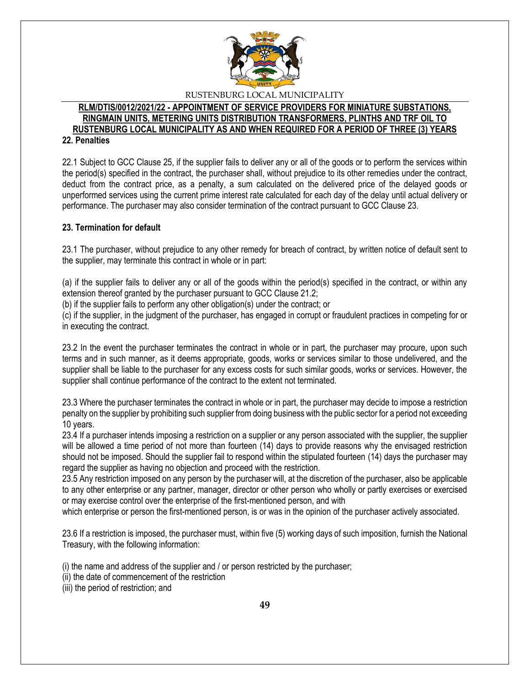

#### **RLM/DTIS/0012/2021/22 - APPOINTMENT OF SERVICE PROVIDERS FOR MINIATURE SUBSTATIONS, RINGMAIN UNITS, METERING UNITS DISTRIBUTION TRANSFORMERS, PLINTHS AND TRF OIL TO RUSTENBURG LOCAL MUNICIPALITY AS AND WHEN REQUIRED FOR A PERIOD OF THREE (3) YEARS 22. Penalties**

22.1 Subject to GCC Clause 25, if the supplier fails to deliver any or all of the goods or to perform the services within the period(s) specified in the contract, the purchaser shall, without prejudice to its other remedies under the contract, deduct from the contract price, as a penalty, a sum calculated on the delivered price of the delayed goods or unperformed services using the current prime interest rate calculated for each day of the delay until actual delivery or performance. The purchaser may also consider termination of the contract pursuant to GCC Clause 23.

### **23. Termination for default**

23.1 The purchaser, without prejudice to any other remedy for breach of contract, by written notice of default sent to the supplier, may terminate this contract in whole or in part:

(a) if the supplier fails to deliver any or all of the goods within the period(s) specified in the contract, or within any extension thereof granted by the purchaser pursuant to GCC Clause 21.2;

(b) if the supplier fails to perform any other obligation(s) under the contract; or

(c) if the supplier, in the judgment of the purchaser, has engaged in corrupt or fraudulent practices in competing for or in executing the contract.

23.2 In the event the purchaser terminates the contract in whole or in part, the purchaser may procure, upon such terms and in such manner, as it deems appropriate, goods, works or services similar to those undelivered, and the supplier shall be liable to the purchaser for any excess costs for such similar goods, works or services. However, the supplier shall continue performance of the contract to the extent not terminated.

23.3 Where the purchaser terminates the contract in whole or in part, the purchaser may decide to impose a restriction penalty on the supplier by prohibiting such supplier from doing business with the public sector for a period not exceeding 10 years.

23.4 If a purchaser intends imposing a restriction on a supplier or any person associated with the supplier, the supplier will be allowed a time period of not more than fourteen (14) days to provide reasons why the envisaged restriction should not be imposed. Should the supplier fail to respond within the stipulated fourteen (14) days the purchaser may regard the supplier as having no objection and proceed with the restriction.

23.5 Any restriction imposed on any person by the purchaser will, at the discretion of the purchaser, also be applicable to any other enterprise or any partner, manager, director or other person who wholly or partly exercises or exercised or may exercise control over the enterprise of the first-mentioned person, and with

which enterprise or person the first-mentioned person, is or was in the opinion of the purchaser actively associated.

23.6 If a restriction is imposed, the purchaser must, within five (5) working days of such imposition, furnish the National Treasury, with the following information:

(i) the name and address of the supplier and / or person restricted by the purchaser;

(ii) the date of commencement of the restriction

(iii) the period of restriction; and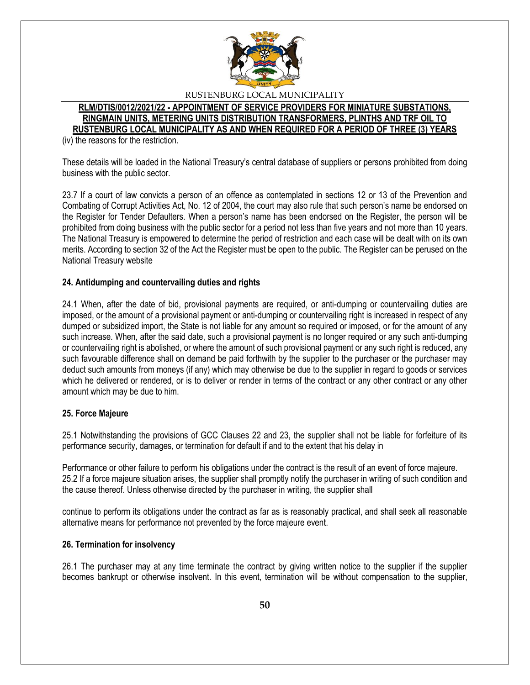

### **RLM/DTIS/0012/2021/22 - APPOINTMENT OF SERVICE PROVIDERS FOR MINIATURE SUBSTATIONS, RINGMAIN UNITS, METERING UNITS DISTRIBUTION TRANSFORMERS, PLINTHS AND TRF OIL TO RUSTENBURG LOCAL MUNICIPALITY AS AND WHEN REQUIRED FOR A PERIOD OF THREE (3) YEARS**

(iv) the reasons for the restriction.

These details will be loaded in the National Treasury's central database of suppliers or persons prohibited from doing business with the public sector.

23.7 If a court of law convicts a person of an offence as contemplated in sections 12 or 13 of the Prevention and Combating of Corrupt Activities Act, No. 12 of 2004, the court may also rule that such person's name be endorsed on the Register for Tender Defaulters. When a person's name has been endorsed on the Register, the person will be prohibited from doing business with the public sector for a period not less than five years and not more than 10 years. The National Treasury is empowered to determine the period of restriction and each case will be dealt with on its own merits. According to section 32 of the Act the Register must be open to the public. The Register can be perused on the National Treasury website

### **24. Antidumping and countervailing duties and rights**

24.1 When, after the date of bid, provisional payments are required, or anti-dumping or countervailing duties are imposed, or the amount of a provisional payment or anti-dumping or countervailing right is increased in respect of any dumped or subsidized import, the State is not liable for any amount so required or imposed, or for the amount of any such increase. When, after the said date, such a provisional payment is no longer required or any such anti-dumping or countervailing right is abolished, or where the amount of such provisional payment or any such right is reduced, any such favourable difference shall on demand be paid forthwith by the supplier to the purchaser or the purchaser may deduct such amounts from moneys (if any) which may otherwise be due to the supplier in regard to goods or services which he delivered or rendered, or is to deliver or render in terms of the contract or any other contract or any other amount which may be due to him.

#### **25. Force Majeure**

25.1 Notwithstanding the provisions of GCC Clauses 22 and 23, the supplier shall not be liable for forfeiture of its performance security, damages, or termination for default if and to the extent that his delay in

Performance or other failure to perform his obligations under the contract is the result of an event of force majeure. 25.2 If a force majeure situation arises, the supplier shall promptly notify the purchaser in writing of such condition and the cause thereof. Unless otherwise directed by the purchaser in writing, the supplier shall

continue to perform its obligations under the contract as far as is reasonably practical, and shall seek all reasonable alternative means for performance not prevented by the force majeure event.

#### **26. Termination for insolvency**

26.1 The purchaser may at any time terminate the contract by giving written notice to the supplier if the supplier becomes bankrupt or otherwise insolvent. In this event, termination will be without compensation to the supplier,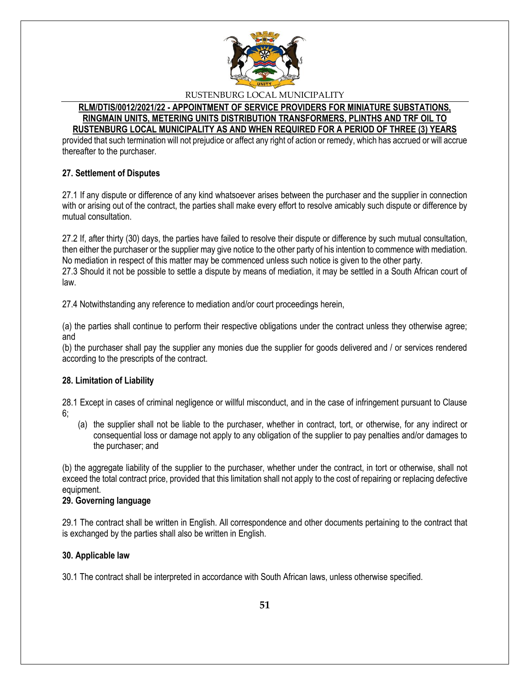

#### **RLM/DTIS/0012/2021/22 - APPOINTMENT OF SERVICE PROVIDERS FOR MINIATURE SUBSTATIONS, RINGMAIN UNITS, METERING UNITS DISTRIBUTION TRANSFORMERS, PLINTHS AND TRF OIL TO RUSTENBURG LOCAL MUNICIPALITY AS AND WHEN REQUIRED FOR A PERIOD OF THREE (3) YEARS**

provided that such termination will not prejudice or affect any right of action or remedy, which has accrued or will accrue thereafter to the purchaser.

# **27. Settlement of Disputes**

27.1 If any dispute or difference of any kind whatsoever arises between the purchaser and the supplier in connection with or arising out of the contract, the parties shall make every effort to resolve amicably such dispute or difference by mutual consultation.

27.2 If, after thirty (30) days, the parties have failed to resolve their dispute or difference by such mutual consultation, then either the purchaser or the supplier may give notice to the other party of his intention to commence with mediation. No mediation in respect of this matter may be commenced unless such notice is given to the other party. 27.3 Should it not be possible to settle a dispute by means of mediation, it may be settled in a South African court of law.

27.4 Notwithstanding any reference to mediation and/or court proceedings herein,

(a) the parties shall continue to perform their respective obligations under the contract unless they otherwise agree; and

(b) the purchaser shall pay the supplier any monies due the supplier for goods delivered and / or services rendered according to the prescripts of the contract.

# **28. Limitation of Liability**

28.1 Except in cases of criminal negligence or willful misconduct, and in the case of infringement pursuant to Clause 6;

(a) the supplier shall not be liable to the purchaser, whether in contract, tort, or otherwise, for any indirect or consequential loss or damage not apply to any obligation of the supplier to pay penalties and/or damages to the purchaser; and

(b) the aggregate liability of the supplier to the purchaser, whether under the contract, in tort or otherwise, shall not exceed the total contract price, provided that this limitation shall not apply to the cost of repairing or replacing defective equipment.

# **29. Governing language**

29.1 The contract shall be written in English. All correspondence and other documents pertaining to the contract that is exchanged by the parties shall also be written in English.

# **30. Applicable law**

30.1 The contract shall be interpreted in accordance with South African laws, unless otherwise specified.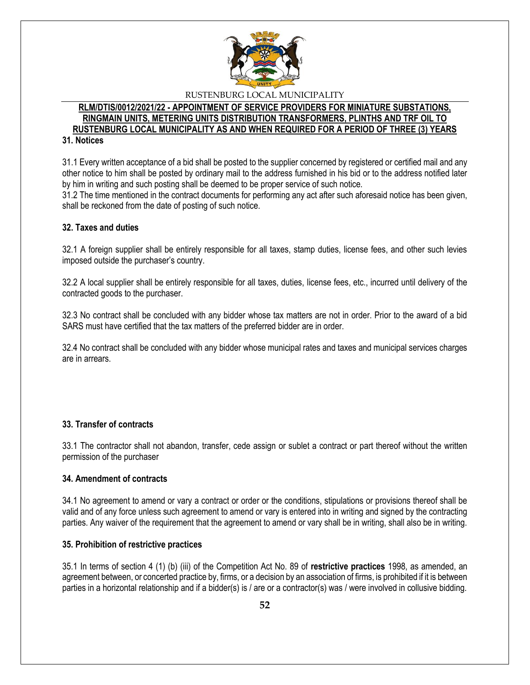

# **RLM/DTIS/0012/2021/22 - APPOINTMENT OF SERVICE PROVIDERS FOR MINIATURE SUBSTATIONS, RINGMAIN UNITS, METERING UNITS DISTRIBUTION TRANSFORMERS, PLINTHS AND TRF OIL TO RUSTENBURG LOCAL MUNICIPALITY AS AND WHEN REQUIRED FOR A PERIOD OF THREE (3) YEARS**

**31. Notices** 

31.1 Every written acceptance of a bid shall be posted to the supplier concerned by registered or certified mail and any other notice to him shall be posted by ordinary mail to the address furnished in his bid or to the address notified later by him in writing and such posting shall be deemed to be proper service of such notice.

31.2 The time mentioned in the contract documents for performing any act after such aforesaid notice has been given, shall be reckoned from the date of posting of such notice.

# **32. Taxes and duties**

32.1 A foreign supplier shall be entirely responsible for all taxes, stamp duties, license fees, and other such levies imposed outside the purchaser's country.

32.2 A local supplier shall be entirely responsible for all taxes, duties, license fees, etc., incurred until delivery of the contracted goods to the purchaser.

32.3 No contract shall be concluded with any bidder whose tax matters are not in order. Prior to the award of a bid SARS must have certified that the tax matters of the preferred bidder are in order.

32.4 No contract shall be concluded with any bidder whose municipal rates and taxes and municipal services charges are in arrears.

# **33. Transfer of contracts**

33.1 The contractor shall not abandon, transfer, cede assign or sublet a contract or part thereof without the written permission of the purchaser

#### **34. Amendment of contracts**

34.1 No agreement to amend or vary a contract or order or the conditions, stipulations or provisions thereof shall be valid and of any force unless such agreement to amend or vary is entered into in writing and signed by the contracting parties. Any waiver of the requirement that the agreement to amend or vary shall be in writing, shall also be in writing.

#### **35. Prohibition of restrictive practices**

35.1 In terms of section 4 (1) (b) (iii) of the Competition Act No. 89 of **restrictive practices** 1998, as amended, an agreement between, or concerted practice by, firms, or a decision by an association of firms, is prohibited if it is between parties in a horizontal relationship and if a bidder(s) is / are or a contractor(s) was / were involved in collusive bidding.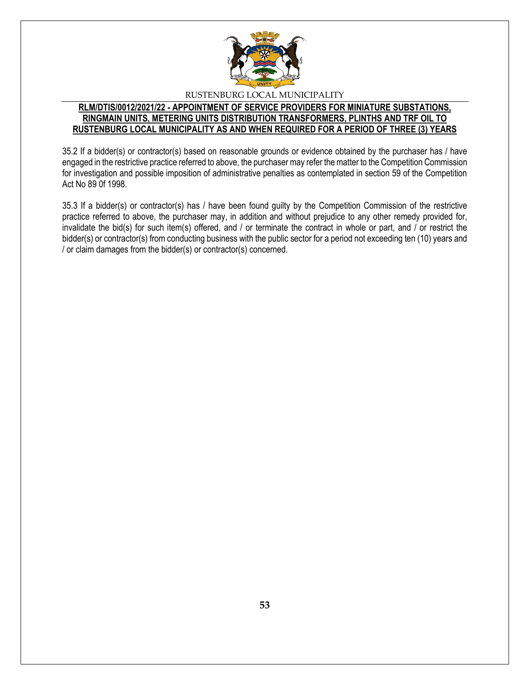

# **RLM/DTIS/0012/2021/22 - APPOINTMENT OF SERVICE PROVIDERS FOR MINIATURE SUBSTATIONS, RINGMAIN UNITS, METERING UNITS DISTRIBUTION TRANSFORMERS, PLINTHS AND TRF OIL TO RUSTENBURG LOCAL MUNICIPALITY AS AND WHEN REQUIRED FOR A PERIOD OF THREE (3) YEARS**

35.2 If a bidder(s) or contractor(s) based on reasonable grounds or evidence obtained by the purchaser has / have engaged in the restrictive practice referred to above, the purchaser may refer the matter to the Competition Commission for investigation and possible imposition of administrative penalties as contemplated in section 59 of the Competition Act No 89 0f 1998.

35.3 If a bidder(s) or contractor(s) has / have been found guilty by the Competition Commission of the restrictive practice referred to above, the purchaser may, in addition and without prejudice to any other remedy provided for, invalidate the bid(s) for such item(s) offered, and / or terminate the contract in whole or part, and / or restrict the bidder(s) or contractor(s) from conducting business with the public sector for a period not exceeding ten (10) years and / or claim damages from the bidder(s) or contractor(s) concerned.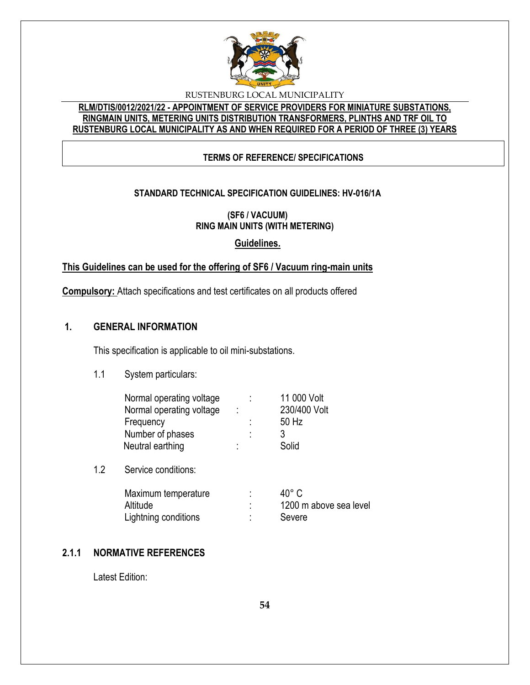

# **RLM/DTIS/0012/2021/22 - APPOINTMENT OF SERVICE PROVIDERS FOR MINIATURE SUBSTATIONS, RINGMAIN UNITS, METERING UNITS DISTRIBUTION TRANSFORMERS, PLINTHS AND TRF OIL TO RUSTENBURG LOCAL MUNICIPALITY AS AND WHEN REQUIRED FOR A PERIOD OF THREE (3) YEARS**

# **TERMS OF REFERENCE/ SPECIFICATIONS**

# **STANDARD TECHNICAL SPECIFICATION GUIDELINES: HV-016/1A**

**(SF6 / VACUUM) RING MAIN UNITS (WITH METERING)**

**Guidelines.**

# **This Guidelines can be used for the offering of SF6 / Vacuum ring-main units**

**Compulsory:** Attach specifications and test certificates on all products offered

# **1. GENERAL INFORMATION**

This specification is applicable to oil mini-substations.

1.1 System particulars:

|        | 11 000 Volt  |
|--------|--------------|
| ÷      | 230/400 Volt |
|        | 50 Hz        |
| ٠      | 3            |
| ٠<br>٠ | Solid        |
|        |              |

1.2 Service conditions:

| Maximum temperature  | 40° C                  |
|----------------------|------------------------|
| Altitude             | 1200 m above sea level |
| Lightning conditions | Severe                 |

# **2.1.1 NORMATIVE REFERENCES**

Latest Edition: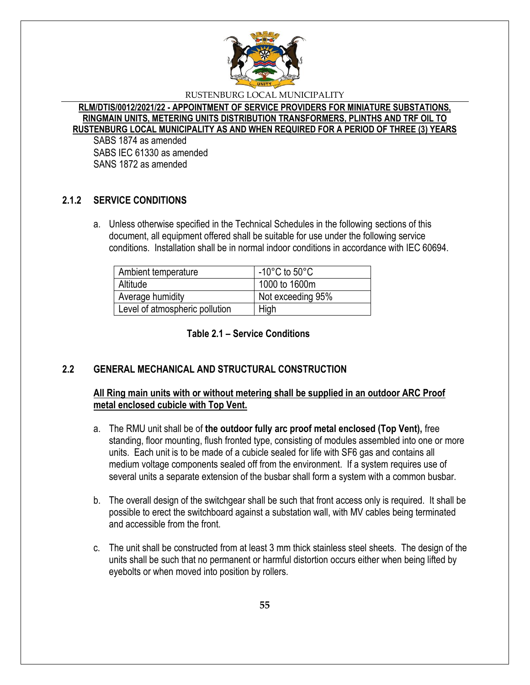

**RLM/DTIS/0012/2021/22 - APPOINTMENT OF SERVICE PROVIDERS FOR MINIATURE SUBSTATIONS, RINGMAIN UNITS, METERING UNITS DISTRIBUTION TRANSFORMERS, PLINTHS AND TRF OIL TO RUSTENBURG LOCAL MUNICIPALITY AS AND WHEN REQUIRED FOR A PERIOD OF THREE (3) YEARS**

SABS 1874 as amended SABS IEC 61330 as amended SANS 1872 as amended

# **2.1.2 SERVICE CONDITIONS**

a. Unless otherwise specified in the Technical Schedules in the following sections of this document, all equipment offered shall be suitable for use under the following service conditions. Installation shall be in normal indoor conditions in accordance with IEC 60694.

| Ambient temperature            | -10 $^{\circ}$ C to 50 $^{\circ}$ C |
|--------------------------------|-------------------------------------|
| Altitude                       | 1000 to 1600m                       |
| Average humidity               | Not exceeding 95%                   |
| Level of atmospheric pollution | High                                |

**Table 2.1 – Service Conditions**

# **2.2 GENERAL MECHANICAL AND STRUCTURAL CONSTRUCTION**

# **All Ring main units with or without metering shall be supplied in an outdoor ARC Proof metal enclosed cubicle with Top Vent.**

- a. The RMU unit shall be of **the outdoor fully arc proof metal enclosed (Top Vent),** free standing, floor mounting, flush fronted type, consisting of modules assembled into one or more units. Each unit is to be made of a cubicle sealed for life with SF6 gas and contains all medium voltage components sealed off from the environment. If a system requires use of several units a separate extension of the busbar shall form a system with a common busbar.
- b. The overall design of the switchgear shall be such that front access only is required. It shall be possible to erect the switchboard against a substation wall, with MV cables being terminated and accessible from the front.
- c. The unit shall be constructed from at least 3 mm thick stainless steel sheets. The design of the units shall be such that no permanent or harmful distortion occurs either when being lifted by eyebolts or when moved into position by rollers.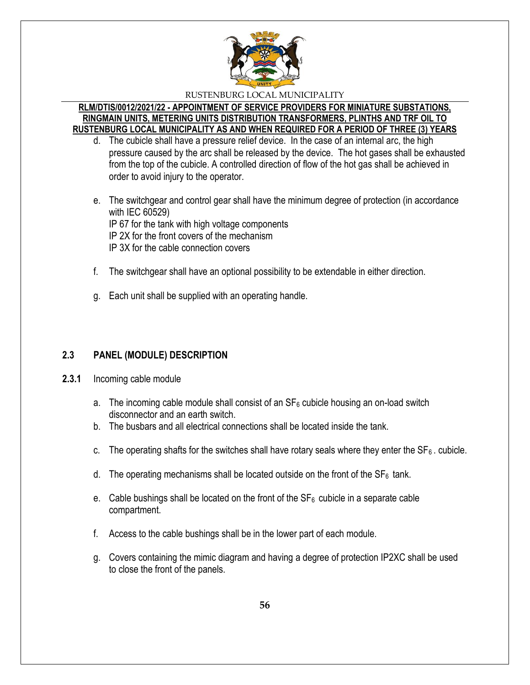

### **RLM/DTIS/0012/2021/22 - APPOINTMENT OF SERVICE PROVIDERS FOR MINIATURE SUBSTATIONS, RINGMAIN UNITS, METERING UNITS DISTRIBUTION TRANSFORMERS, PLINTHS AND TRF OIL TO RUSTENBURG LOCAL MUNICIPALITY AS AND WHEN REQUIRED FOR A PERIOD OF THREE (3) YEARS**

- d. The cubicle shall have a pressure relief device. In the case of an internal arc, the high pressure caused by the arc shall be released by the device. The hot gases shall be exhausted from the top of the cubicle. A controlled direction of flow of the hot gas shall be achieved in order to avoid injury to the operator.
- e. The switchgear and control gear shall have the minimum degree of protection (in accordance with IEC 60529) IP 67 for the tank with high voltage components IP 2X for the front covers of the mechanism IP 3X for the cable connection covers
- f. The switchgear shall have an optional possibility to be extendable in either direction.
- g. Each unit shall be supplied with an operating handle.

# **2.3 PANEL (MODULE) DESCRIPTION**

- **2.3.1** Incoming cable module
	- a. The incoming cable module shall consist of an  $SF_6$  cubicle housing an on-load switch disconnector and an earth switch.
	- b. The busbars and all electrical connections shall be located inside the tank.
	- c. The operating shafts for the switches shall have rotary seals where they enter the  $SF_6$ . cubicle.
	- d. The operating mechanisms shall be located outside on the front of the  $SF_6$  tank.
	- e. Cable bushings shall be located on the front of the  $SF<sub>6</sub>$  cubicle in a separate cable compartment.
	- f. Access to the cable bushings shall be in the lower part of each module.
	- g. Covers containing the mimic diagram and having a degree of protection IP2XC shall be used to close the front of the panels.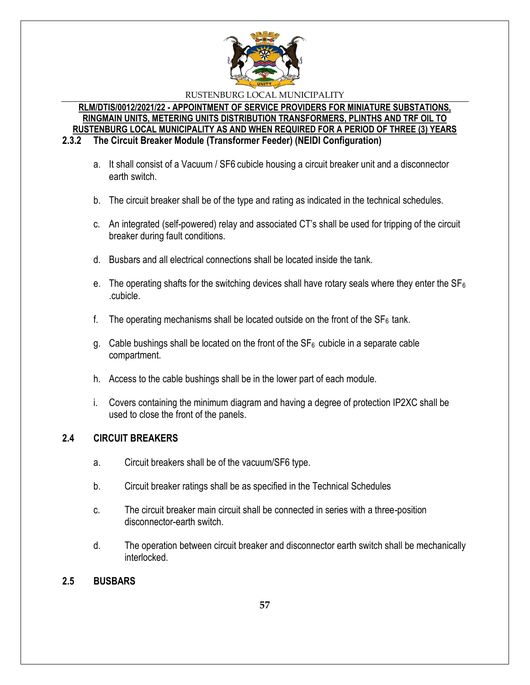

# **RLM/DTIS/0012/2021/22 - APPOINTMENT OF SERVICE PROVIDERS FOR MINIATURE SUBSTATIONS, RINGMAIN UNITS, METERING UNITS DISTRIBUTION TRANSFORMERS, PLINTHS AND TRF OIL TO RUSTENBURG LOCAL MUNICIPALITY AS AND WHEN REQUIRED FOR A PERIOD OF THREE (3) YEARS**

**2.3.2 The Circuit Breaker Module (Transformer Feeder) (NEIDI Configuration)**

- a. It shall consist of a Vacuum / SF6 cubicle housing a circuit breaker unit and a disconnector earth switch.
- b. The circuit breaker shall be of the type and rating as indicated in the technical schedules.
- c. An integrated (self-powered) relay and associated CT's shall be used for tripping of the circuit breaker during fault conditions.
- d. Busbars and all electrical connections shall be located inside the tank.
- e. The operating shafts for the switching devices shall have rotary seals where they enter the  $SF_6$ .cubicle.
- f. The operating mechanisms shall be located outside on the front of the  $SF<sub>6</sub>$  tank.
- g. Cable bushings shall be located on the front of the  $SF_6$  cubicle in a separate cable compartment.
- h. Access to the cable bushings shall be in the lower part of each module.
- i. Covers containing the minimum diagram and having a degree of protection IP2XC shall be used to close the front of the panels.

# **2.4 CIRCUIT BREAKERS**

- a. Circuit breakers shall be of the vacuum/SF6 type.
- b. Circuit breaker ratings shall be as specified in the Technical Schedules
- c. The circuit breaker main circuit shall be connected in series with a three-position disconnector-earth switch.
- d. The operation between circuit breaker and disconnector earth switch shall be mechanically interlocked.

# **2.5 BUSBARS**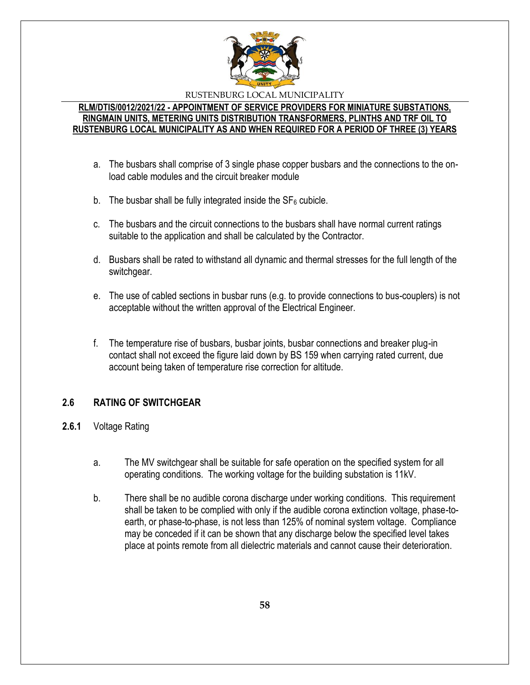

### **RLM/DTIS/0012/2021/22 - APPOINTMENT OF SERVICE PROVIDERS FOR MINIATURE SUBSTATIONS, RINGMAIN UNITS, METERING UNITS DISTRIBUTION TRANSFORMERS, PLINTHS AND TRF OIL TO RUSTENBURG LOCAL MUNICIPALITY AS AND WHEN REQUIRED FOR A PERIOD OF THREE (3) YEARS**

- a. The busbars shall comprise of 3 single phase copper busbars and the connections to the onload cable modules and the circuit breaker module
- b. The busbar shall be fully integrated inside the  $SF<sub>6</sub>$  cubicle.
- c. The busbars and the circuit connections to the busbars shall have normal current ratings suitable to the application and shall be calculated by the Contractor.
- d. Busbars shall be rated to withstand all dynamic and thermal stresses for the full length of the switchgear.
- e. The use of cabled sections in busbar runs (e.g. to provide connections to bus-couplers) is not acceptable without the written approval of the Electrical Engineer.
- f. The temperature rise of busbars, busbar joints, busbar connections and breaker plug-in contact shall not exceed the figure laid down by BS 159 when carrying rated current, due account being taken of temperature rise correction for altitude.

# **2.6 RATING OF SWITCHGEAR**

- **2.6.1** Voltage Rating
	- a. The MV switchgear shall be suitable for safe operation on the specified system for all operating conditions. The working voltage for the building substation is 11kV.
	- b. There shall be no audible corona discharge under working conditions. This requirement shall be taken to be complied with only if the audible corona extinction voltage, phase-toearth, or phase-to-phase, is not less than 125% of nominal system voltage. Compliance may be conceded if it can be shown that any discharge below the specified level takes place at points remote from all dielectric materials and cannot cause their deterioration.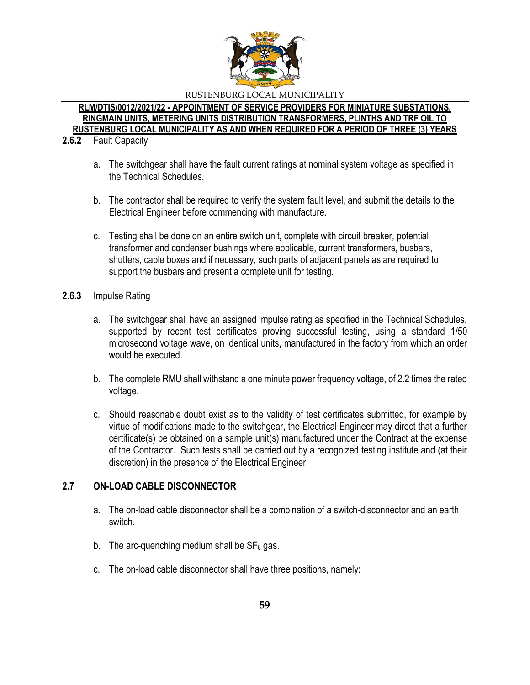

**RLM/DTIS/0012/2021/22 - APPOINTMENT OF SERVICE PROVIDERS FOR MINIATURE SUBSTATIONS, RINGMAIN UNITS, METERING UNITS DISTRIBUTION TRANSFORMERS, PLINTHS AND TRF OIL TO RUSTENBURG LOCAL MUNICIPALITY AS AND WHEN REQUIRED FOR A PERIOD OF THREE (3) YEARS**

### **2.6.2** Fault Capacity

- a. The switchgear shall have the fault current ratings at nominal system voltage as specified in the Technical Schedules.
- b. The contractor shall be required to verify the system fault level, and submit the details to the Electrical Engineer before commencing with manufacture.
- c. Testing shall be done on an entire switch unit, complete with circuit breaker, potential transformer and condenser bushings where applicable, current transformers, busbars, shutters, cable boxes and if necessary, such parts of adjacent panels as are required to support the busbars and present a complete unit for testing.
- **2.6.3** Impulse Rating
	- a. The switchgear shall have an assigned impulse rating as specified in the Technical Schedules, supported by recent test certificates proving successful testing, using a standard 1/50 microsecond voltage wave, on identical units, manufactured in the factory from which an order would be executed.
	- b. The complete RMU shall withstand a one minute power frequency voltage, of 2.2 times the rated voltage.
	- c. Should reasonable doubt exist as to the validity of test certificates submitted, for example by virtue of modifications made to the switchgear, the Electrical Engineer may direct that a further certificate(s) be obtained on a sample unit(s) manufactured under the Contract at the expense of the Contractor. Such tests shall be carried out by a recognized testing institute and (at their discretion) in the presence of the Electrical Engineer.

# **2.7 ON-LOAD CABLE DISCONNECTOR**

- a. The on-load cable disconnector shall be a combination of a switch-disconnector and an earth switch.
- b. The arc-quenching medium shall be  $SF<sub>6</sub>$  gas.
- c. The on-load cable disconnector shall have three positions, namely: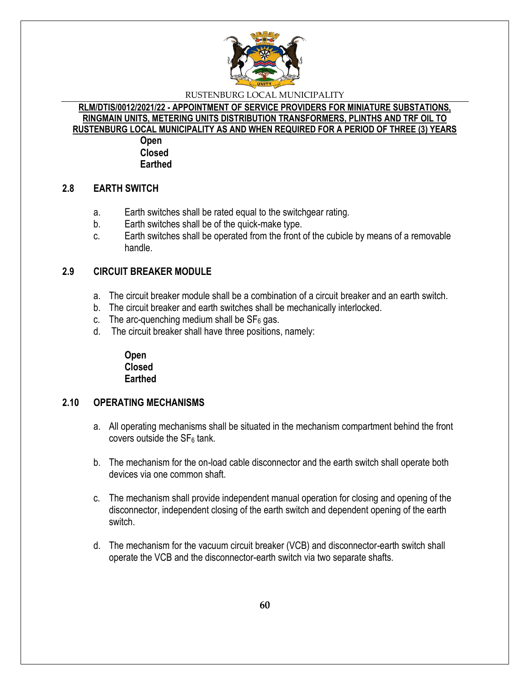

**RLM/DTIS/0012/2021/22 - APPOINTMENT OF SERVICE PROVIDERS FOR MINIATURE SUBSTATIONS, RINGMAIN UNITS, METERING UNITS DISTRIBUTION TRANSFORMERS, PLINTHS AND TRF OIL TO RUSTENBURG LOCAL MUNICIPALITY AS AND WHEN REQUIRED FOR A PERIOD OF THREE (3) YEARS**

> **Open Closed Earthed**

# **2.8 EARTH SWITCH**

- a. Earth switches shall be rated equal to the switchgear rating.
- b. Earth switches shall be of the quick-make type.
- c. Earth switches shall be operated from the front of the cubicle by means of a removable handle.

# **2.9 CIRCUIT BREAKER MODULE**

- a. The circuit breaker module shall be a combination of a circuit breaker and an earth switch.
- b. The circuit breaker and earth switches shall be mechanically interlocked.
- c. The arc-quenching medium shall be  $SF<sub>6</sub>$  gas.
- d. The circuit breaker shall have three positions, namely:

**Open Closed Earthed**

# **2.10 OPERATING MECHANISMS**

- a. All operating mechanisms shall be situated in the mechanism compartment behind the front covers outside the  $SF<sub>6</sub>$  tank.
- b. The mechanism for the on-load cable disconnector and the earth switch shall operate both devices via one common shaft.
- c. The mechanism shall provide independent manual operation for closing and opening of the disconnector, independent closing of the earth switch and dependent opening of the earth switch.
- d. The mechanism for the vacuum circuit breaker (VCB) and disconnector-earth switch shall operate the VCB and the disconnector-earth switch via two separate shafts.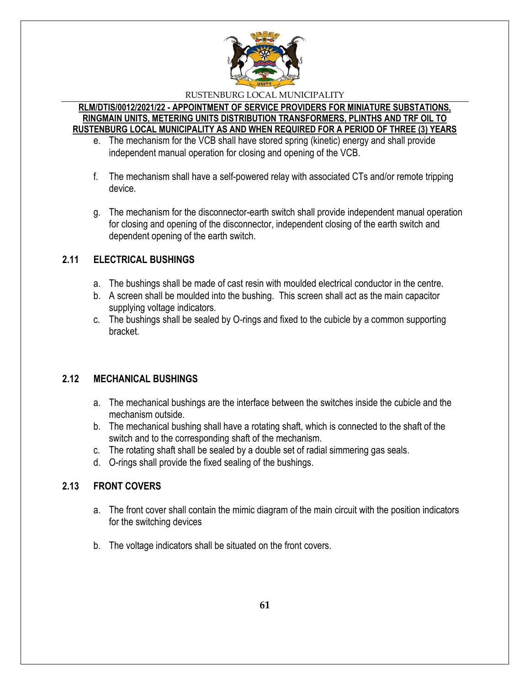

### **RLM/DTIS/0012/2021/22 - APPOINTMENT OF SERVICE PROVIDERS FOR MINIATURE SUBSTATIONS, RINGMAIN UNITS, METERING UNITS DISTRIBUTION TRANSFORMERS, PLINTHS AND TRF OIL TO RUSTENBURG LOCAL MUNICIPALITY AS AND WHEN REQUIRED FOR A PERIOD OF THREE (3) YEARS**

- e. The mechanism for the VCB shall have stored spring (kinetic) energy and shall provide independent manual operation for closing and opening of the VCB.
- f. The mechanism shall have a self-powered relay with associated CTs and/or remote tripping device.
- g. The mechanism for the disconnector-earth switch shall provide independent manual operation for closing and opening of the disconnector, independent closing of the earth switch and dependent opening of the earth switch.

# **2.11 ELECTRICAL BUSHINGS**

- a. The bushings shall be made of cast resin with moulded electrical conductor in the centre.
- b. A screen shall be moulded into the bushing. This screen shall act as the main capacitor supplying voltage indicators.
- c. The bushings shall be sealed by O-rings and fixed to the cubicle by a common supporting bracket.

# **2.12 MECHANICAL BUSHINGS**

- a. The mechanical bushings are the interface between the switches inside the cubicle and the mechanism outside.
- b. The mechanical bushing shall have a rotating shaft, which is connected to the shaft of the switch and to the corresponding shaft of the mechanism.
- c. The rotating shaft shall be sealed by a double set of radial simmering gas seals.
- d. O-rings shall provide the fixed sealing of the bushings.

# **2.13 FRONT COVERS**

- a. The front cover shall contain the mimic diagram of the main circuit with the position indicators for the switching devices
- b. The voltage indicators shall be situated on the front covers.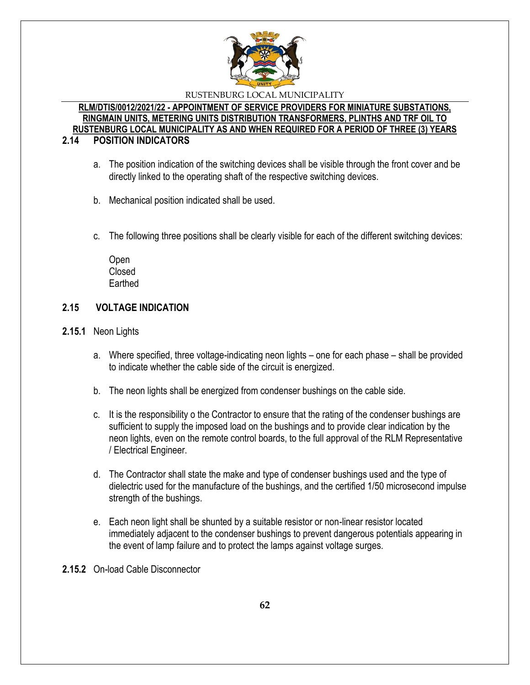

# **RLM/DTIS/0012/2021/22 - APPOINTMENT OF SERVICE PROVIDERS FOR MINIATURE SUBSTATIONS, RINGMAIN UNITS, METERING UNITS DISTRIBUTION TRANSFORMERS, PLINTHS AND TRF OIL TO RUSTENBURG LOCAL MUNICIPALITY AS AND WHEN REQUIRED FOR A PERIOD OF THREE (3) YEARS**

# **2.14 POSITION INDICATORS**

- a. The position indication of the switching devices shall be visible through the front cover and be directly linked to the operating shaft of the respective switching devices.
- b. Mechanical position indicated shall be used.
- c. The following three positions shall be clearly visible for each of the different switching devices:

Open Closed **Earthed** 

# **2.15 VOLTAGE INDICATION**

- **2.15.1** Neon Lights
	- a. Where specified, three voltage-indicating neon lights one for each phase shall be provided to indicate whether the cable side of the circuit is energized.
	- b. The neon lights shall be energized from condenser bushings on the cable side.
	- c. It is the responsibility o the Contractor to ensure that the rating of the condenser bushings are sufficient to supply the imposed load on the bushings and to provide clear indication by the neon lights, even on the remote control boards, to the full approval of the RLM Representative / Electrical Engineer.
	- d. The Contractor shall state the make and type of condenser bushings used and the type of dielectric used for the manufacture of the bushings, and the certified 1/50 microsecond impulse strength of the bushings.
	- e. Each neon light shall be shunted by a suitable resistor or non-linear resistor located immediately adjacent to the condenser bushings to prevent dangerous potentials appearing in the event of lamp failure and to protect the lamps against voltage surges.
- **2.15.2** On-load Cable Disconnector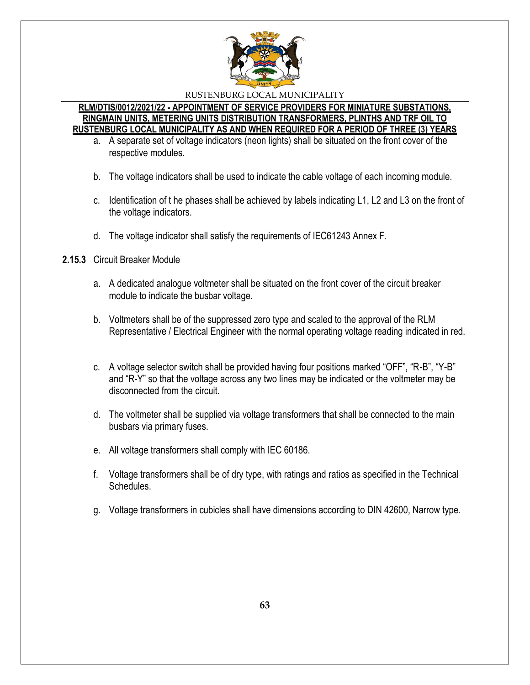

### **RLM/DTIS/0012/2021/22 - APPOINTMENT OF SERVICE PROVIDERS FOR MINIATURE SUBSTATIONS, RINGMAIN UNITS, METERING UNITS DISTRIBUTION TRANSFORMERS, PLINTHS AND TRF OIL TO RUSTENBURG LOCAL MUNICIPALITY AS AND WHEN REQUIRED FOR A PERIOD OF THREE (3) YEARS**

- a. A separate set of voltage indicators (neon lights) shall be situated on the front cover of the respective modules.
- b. The voltage indicators shall be used to indicate the cable voltage of each incoming module.
- c. Identification of t he phases shall be achieved by labels indicating L1, L2 and L3 on the front of the voltage indicators.
- d. The voltage indicator shall satisfy the requirements of IEC61243 Annex F.
- **2.15.3** Circuit Breaker Module
	- a. A dedicated analogue voltmeter shall be situated on the front cover of the circuit breaker module to indicate the busbar voltage.
	- b. Voltmeters shall be of the suppressed zero type and scaled to the approval of the RLM Representative / Electrical Engineer with the normal operating voltage reading indicated in red.
	- c. A voltage selector switch shall be provided having four positions marked "OFF", "R-B", "Y-B" and "R-Y" so that the voltage across any two lines may be indicated or the voltmeter may be disconnected from the circuit.
	- d. The voltmeter shall be supplied via voltage transformers that shall be connected to the main busbars via primary fuses.
	- e. All voltage transformers shall comply with IEC 60186.
	- f. Voltage transformers shall be of dry type, with ratings and ratios as specified in the Technical Schedules.
	- g. Voltage transformers in cubicles shall have dimensions according to DIN 42600, Narrow type.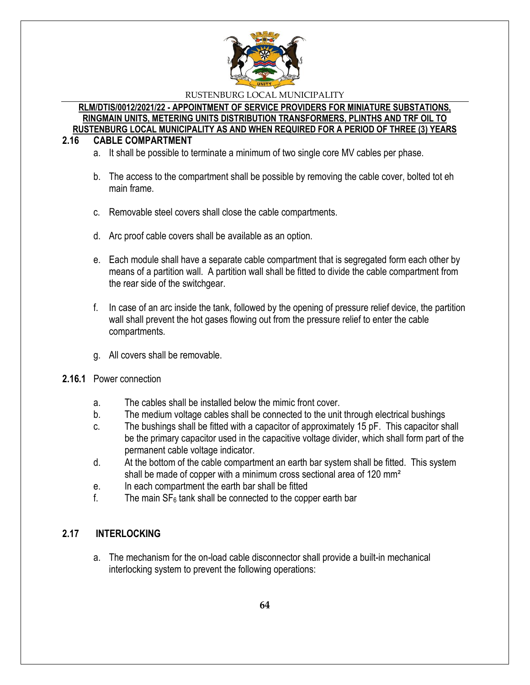

### **RLM/DTIS/0012/2021/22 - APPOINTMENT OF SERVICE PROVIDERS FOR MINIATURE SUBSTATIONS, RINGMAIN UNITS, METERING UNITS DISTRIBUTION TRANSFORMERS, PLINTHS AND TRF OIL TO RUSTENBURG LOCAL MUNICIPALITY AS AND WHEN REQUIRED FOR A PERIOD OF THREE (3) YEARS**

# **2.16 CABLE COMPARTMENT**

- a. It shall be possible to terminate a minimum of two single core MV cables per phase.
- b. The access to the compartment shall be possible by removing the cable cover, bolted tot eh main frame.
- c. Removable steel covers shall close the cable compartments.
- d. Arc proof cable covers shall be available as an option.
- e. Each module shall have a separate cable compartment that is segregated form each other by means of a partition wall. A partition wall shall be fitted to divide the cable compartment from the rear side of the switchgear.
- f. In case of an arc inside the tank, followed by the opening of pressure relief device, the partition wall shall prevent the hot gases flowing out from the pressure relief to enter the cable compartments.
- g. All covers shall be removable.

# **2.16.1** Power connection

- a. The cables shall be installed below the mimic front cover.
- b. The medium voltage cables shall be connected to the unit through electrical bushings
- c. The bushings shall be fitted with a capacitor of approximately 15 pF. This capacitor shall be the primary capacitor used in the capacitive voltage divider, which shall form part of the permanent cable voltage indicator.
- d. At the bottom of the cable compartment an earth bar system shall be fitted. This system shall be made of copper with a minimum cross sectional area of 120 mm²
- e. In each compartment the earth bar shall be fitted
- f. The main  $SF_6$  tank shall be connected to the copper earth bar

# **2.17 INTERLOCKING**

a. The mechanism for the on-load cable disconnector shall provide a built-in mechanical interlocking system to prevent the following operations: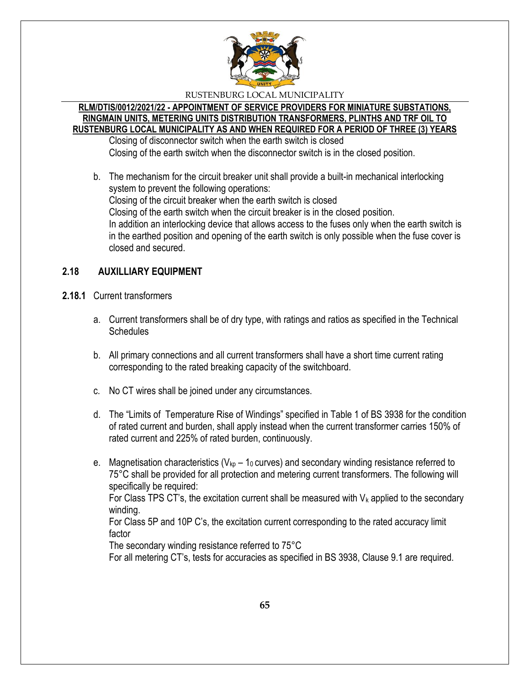

### **RLM/DTIS/0012/2021/22 - APPOINTMENT OF SERVICE PROVIDERS FOR MINIATURE SUBSTATIONS, RINGMAIN UNITS, METERING UNITS DISTRIBUTION TRANSFORMERS, PLINTHS AND TRF OIL TO RUSTENBURG LOCAL MUNICIPALITY AS AND WHEN REQUIRED FOR A PERIOD OF THREE (3) YEARS**

Closing of disconnector switch when the earth switch is closed Closing of the earth switch when the disconnector switch is in the closed position.

b. The mechanism for the circuit breaker unit shall provide a built-in mechanical interlocking system to prevent the following operations: Closing of the circuit breaker when the earth switch is closed Closing of the earth switch when the circuit breaker is in the closed position. In addition an interlocking device that allows access to the fuses only when the earth switch is in the earthed position and opening of the earth switch is only possible when the fuse cover is closed and secured.

# **2.18 AUXILLIARY EQUIPMENT**

- **2.18.1** Current transformers
	- a. Current transformers shall be of dry type, with ratings and ratios as specified in the Technical **Schedules**
	- b. All primary connections and all current transformers shall have a short time current rating corresponding to the rated breaking capacity of the switchboard.
	- c. No CT wires shall be joined under any circumstances.
	- d. The "Limits of Temperature Rise of Windings" specified in Table 1 of BS 3938 for the condition of rated current and burden, shall apply instead when the current transformer carries 150% of rated current and 225% of rated burden, continuously.
	- e. Magnetisation characteristics ( $V_{kp}$  1<sub>0</sub> curves) and secondary winding resistance referred to 75°C shall be provided for all protection and metering current transformers. The following will specifically be required:

For Class TPS CT's, the excitation current shall be measured with  $V_k$  applied to the secondary winding.

For Class 5P and 10P C's, the excitation current corresponding to the rated accuracy limit factor

The secondary winding resistance referred to 75°C

For all metering CT's, tests for accuracies as specified in BS 3938, Clause 9.1 are required.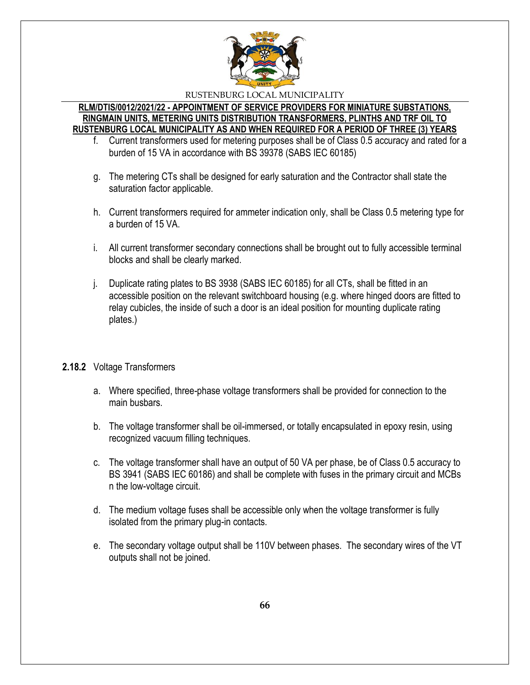

### **RLM/DTIS/0012/2021/22 - APPOINTMENT OF SERVICE PROVIDERS FOR MINIATURE SUBSTATIONS, RINGMAIN UNITS, METERING UNITS DISTRIBUTION TRANSFORMERS, PLINTHS AND TRF OIL TO RUSTENBURG LOCAL MUNICIPALITY AS AND WHEN REQUIRED FOR A PERIOD OF THREE (3) YEARS**

- f. Current transformers used for metering purposes shall be of Class 0.5 accuracy and rated for a burden of 15 VA in accordance with BS 39378 (SABS IEC 60185)
- g. The metering CTs shall be designed for early saturation and the Contractor shall state the saturation factor applicable.
- h. Current transformers required for ammeter indication only, shall be Class 0.5 metering type for a burden of 15 VA.
- i. All current transformer secondary connections shall be brought out to fully accessible terminal blocks and shall be clearly marked.
- j. Duplicate rating plates to BS 3938 (SABS IEC 60185) for all CTs, shall be fitted in an accessible position on the relevant switchboard housing (e.g. where hinged doors are fitted to relay cubicles, the inside of such a door is an ideal position for mounting duplicate rating plates.)

# **2.18.2** Voltage Transformers

- a. Where specified, three-phase voltage transformers shall be provided for connection to the main busbars.
- b. The voltage transformer shall be oil-immersed, or totally encapsulated in epoxy resin, using recognized vacuum filling techniques.
- c. The voltage transformer shall have an output of 50 VA per phase, be of Class 0.5 accuracy to BS 3941 (SABS IEC 60186) and shall be complete with fuses in the primary circuit and MCBs n the low-voltage circuit.
- d. The medium voltage fuses shall be accessible only when the voltage transformer is fully isolated from the primary plug-in contacts.
- e. The secondary voltage output shall be 110V between phases. The secondary wires of the VT outputs shall not be joined.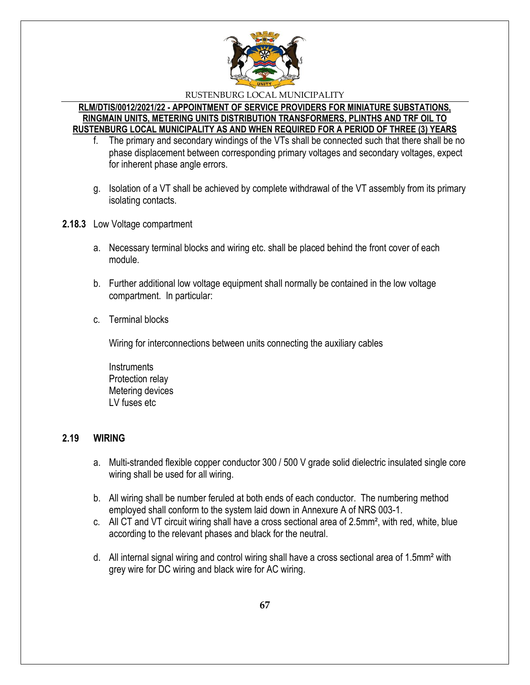

### **RLM/DTIS/0012/2021/22 - APPOINTMENT OF SERVICE PROVIDERS FOR MINIATURE SUBSTATIONS, RINGMAIN UNITS, METERING UNITS DISTRIBUTION TRANSFORMERS, PLINTHS AND TRF OIL TO RUSTENBURG LOCAL MUNICIPALITY AS AND WHEN REQUIRED FOR A PERIOD OF THREE (3) YEARS**

- f. The primary and secondary windings of the VTs shall be connected such that there shall be no phase displacement between corresponding primary voltages and secondary voltages, expect for inherent phase angle errors.
- g. Isolation of a VT shall be achieved by complete withdrawal of the VT assembly from its primary isolating contacts.
- **2.18.3** Low Voltage compartment
	- a. Necessary terminal blocks and wiring etc. shall be placed behind the front cover of each module.
	- b. Further additional low voltage equipment shall normally be contained in the low voltage compartment. In particular:
	- c. Terminal blocks

Wiring for interconnections between units connecting the auxiliary cables

**Instruments** Protection relay Metering devices LV fuses etc

# **2.19 WIRING**

- a. Multi-stranded flexible copper conductor 300 / 500 V grade solid dielectric insulated single core wiring shall be used for all wiring.
- b. All wiring shall be number feruled at both ends of each conductor. The numbering method employed shall conform to the system laid down in Annexure A of NRS 003-1.
- c. All CT and VT circuit wiring shall have a cross sectional area of 2.5mm², with red, white, blue according to the relevant phases and black for the neutral.
- d. All internal signal wiring and control wiring shall have a cross sectional area of 1.5mm² with grey wire for DC wiring and black wire for AC wiring.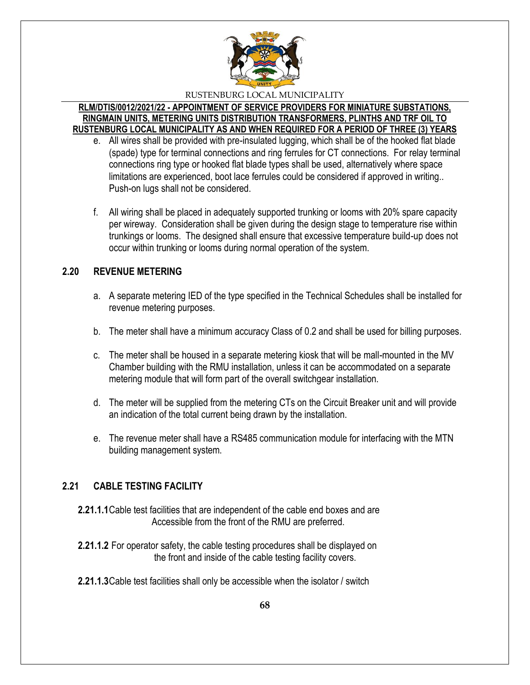

**RLM/DTIS/0012/2021/22 - APPOINTMENT OF SERVICE PROVIDERS FOR MINIATURE SUBSTATIONS, RINGMAIN UNITS, METERING UNITS DISTRIBUTION TRANSFORMERS, PLINTHS AND TRF OIL TO RUSTENBURG LOCAL MUNICIPALITY AS AND WHEN REQUIRED FOR A PERIOD OF THREE (3) YEARS**

- e. All wires shall be provided with pre-insulated lugging, which shall be of the hooked flat blade (spade) type for terminal connections and ring ferrules for CT connections. For relay terminal connections ring type or hooked flat blade types shall be used, alternatively where space limitations are experienced, boot lace ferrules could be considered if approved in writing.. Push-on lugs shall not be considered.
- f. All wiring shall be placed in adequately supported trunking or looms with 20% spare capacity per wireway. Consideration shall be given during the design stage to temperature rise within trunkings or looms. The designed shall ensure that excessive temperature build-up does not occur within trunking or looms during normal operation of the system.

# **2.20 REVENUE METERING**

- a. A separate metering IED of the type specified in the Technical Schedules shall be installed for revenue metering purposes.
- b. The meter shall have a minimum accuracy Class of 0.2 and shall be used for billing purposes.
- c. The meter shall be housed in a separate metering kiosk that will be mall-mounted in the MV Chamber building with the RMU installation, unless it can be accommodated on a separate metering module that will form part of the overall switchgear installation.
- d. The meter will be supplied from the metering CTs on the Circuit Breaker unit and will provide an indication of the total current being drawn by the installation.
- e. The revenue meter shall have a RS485 communication module for interfacing with the MTN building management system.

# **2.21 CABLE TESTING FACILITY**

- **2.21.1.1**Cable test facilities that are independent of the cable end boxes and are Accessible from the front of the RMU are preferred.
- **2.21.1.2** For operator safety, the cable testing procedures shall be displayed on the front and inside of the cable testing facility covers.
- **2.21.1.3**Cable test facilities shall only be accessible when the isolator / switch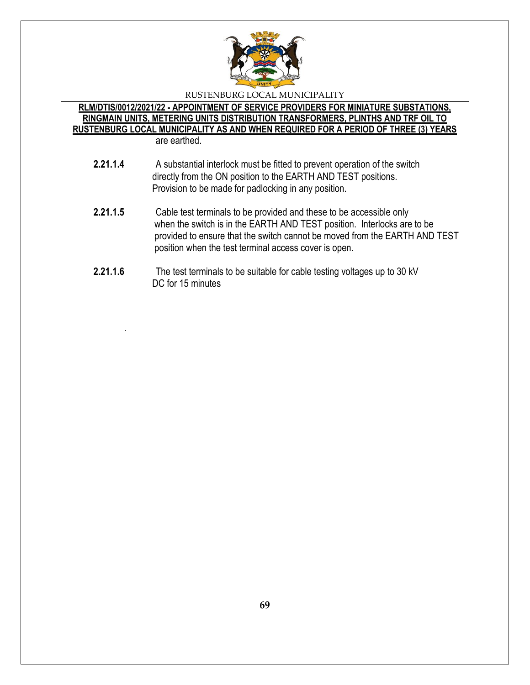

### **RLM/DTIS/0012/2021/22 - APPOINTMENT OF SERVICE PROVIDERS FOR MINIATURE SUBSTATIONS, RINGMAIN UNITS, METERING UNITS DISTRIBUTION TRANSFORMERS, PLINTHS AND TRF OIL TO RUSTENBURG LOCAL MUNICIPALITY AS AND WHEN REQUIRED FOR A PERIOD OF THREE (3) YEARS** are earthed.

.

- **2.21.1.4** A substantial interlock must be fitted to prevent operation of the switch directly from the ON position to the EARTH AND TEST positions. Provision to be made for padlocking in any position.
- **2.21.1.5** Cable test terminals to be provided and these to be accessible only when the switch is in the EARTH AND TEST position. Interlocks are to be provided to ensure that the switch cannot be moved from the EARTH AND TEST position when the test terminal access cover is open.
- **2.21.1.6** The test terminals to be suitable for cable testing voltages up to 30 kV DC for 15 minutes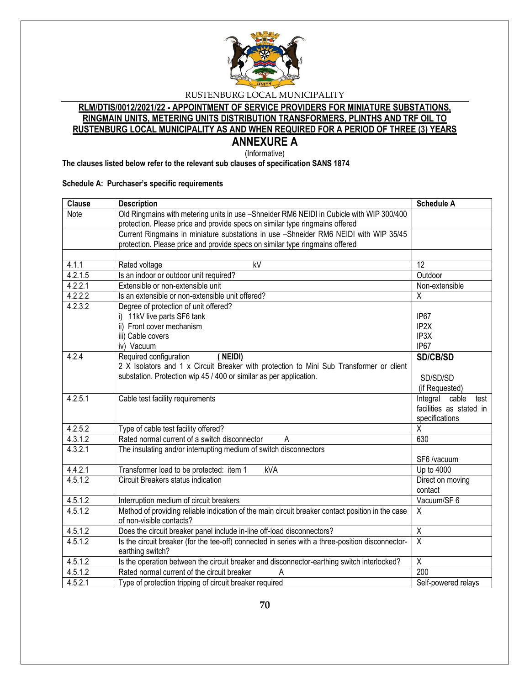

# **RLM/DTIS/0012/2021/22 - APPOINTMENT OF SERVICE PROVIDERS FOR MINIATURE SUBSTATIONS, RINGMAIN UNITS, METERING UNITS DISTRIBUTION TRANSFORMERS, PLINTHS AND TRF OIL TO RUSTENBURG LOCAL MUNICIPALITY AS AND WHEN REQUIRED FOR A PERIOD OF THREE (3) YEARS**

**ANNEXURE A** (Informative)

**The clauses listed below refer to the relevant sub clauses of specification SANS 1874**

#### **Schedule A: Purchaser's specific requirements**

| <b>Clause</b> | <b>Description</b>                                                                                                   | <b>Schedule A</b>       |
|---------------|----------------------------------------------------------------------------------------------------------------------|-------------------------|
| Note          | Old Ringmains with metering units in use -Shneider RM6 NEIDI in Cubicle with WIP 300/400                             |                         |
|               | protection. Please price and provide specs on similar type ringmains offered                                         |                         |
|               | Current Ringmains in miniature substations in use -Shneider RM6 NEIDI with WIP 35/45                                 |                         |
|               | protection. Please price and provide specs on similar type ringmains offered                                         |                         |
|               |                                                                                                                      |                         |
| 4.1.1         | kV<br>Rated voltage                                                                                                  | 12                      |
| 4.2.1.5       | Is an indoor or outdoor unit required?                                                                               | Outdoor                 |
| 4.2.2.1       | Extensible or non-extensible unit                                                                                    | Non-extensible          |
| 4.2.2.2       | Is an extensible or non-extensible unit offered?                                                                     | $\overline{X}$          |
| 4.2.3.2       | Degree of protection of unit offered?                                                                                |                         |
|               | i) 11kV live parts SF6 tank                                                                                          | IP67                    |
|               | ii) Front cover mechanism                                                                                            | IP <sub>2X</sub>        |
|               | iii) Cable covers                                                                                                    | IP3X                    |
|               | iv) Vacuum                                                                                                           | IP67                    |
| 4.2.4         | Required configuration<br>(NEIDI)                                                                                    | <b>SD/CB/SD</b>         |
|               | 2 X Isolators and 1 x Circuit Breaker with protection to Mini Sub Transformer or client                              |                         |
|               | substation. Protection wip 45 / 400 or similar as per application.                                                   | SD/SD/SD                |
|               |                                                                                                                      | (if Requested)          |
| 4.2.5.1       | Cable test facility requirements                                                                                     | Integral cable<br>test  |
|               |                                                                                                                      | facilities as stated in |
|               |                                                                                                                      | specifications          |
| 4.2.5.2       | Type of cable test facility offered?                                                                                 | $\overline{X}$          |
| 4.3.1.2       | Rated normal current of a switch disconnector<br>A                                                                   | 630                     |
| 4.3.2.1       | The insulating and/or interrupting medium of switch disconnectors                                                    |                         |
|               |                                                                                                                      | SF6 /vacuum             |
| 4.4.2.1       | Transformer load to be protected: item 1<br>kVA                                                                      | Up to 4000              |
| 4.5.1.2       | Circuit Breakers status indication                                                                                   | Direct on moving        |
|               |                                                                                                                      | contact                 |
| 4.5.1.2       | Interruption medium of circuit breakers                                                                              | Vacuum/SF 6             |
| 4.5.1.2       | Method of providing reliable indication of the main circuit breaker contact position in the case                     | $\overline{X}$          |
|               | of non-visible contacts?                                                                                             |                         |
| 4.5.1.2       | Does the circuit breaker panel include in-line off-load disconnectors?                                               | $\overline{\chi}$       |
| 4.5.1.2       | Is the circuit breaker (for the tee-off) connected in series with a three-position disconnector-<br>earthing switch? | $\overline{\mathsf{x}}$ |
| 4.5.1.2       | Is the operation between the circuit breaker and disconnector-earthing switch interlocked?                           | $\overline{X}$          |
| 4.5.1.2       | Rated normal current of the circuit breaker<br>A                                                                     | 200                     |
| 4.5.2.1       | Type of protection tripping of circuit breaker required                                                              | Self-powered relays     |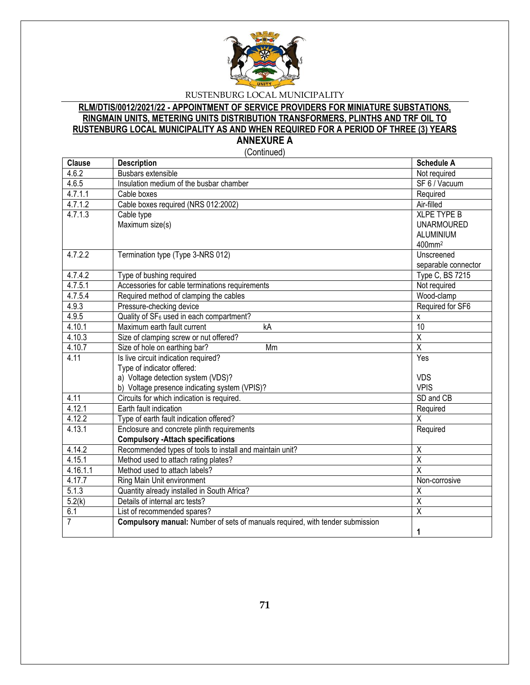

# **RLM/DTIS/0012/2021/22 - APPOINTMENT OF SERVICE PROVIDERS FOR MINIATURE SUBSTATIONS, RINGMAIN UNITS, METERING UNITS DISTRIBUTION TRANSFORMERS, PLINTHS AND TRF OIL TO RUSTENBURG LOCAL MUNICIPALITY AS AND WHEN REQUIRED FOR A PERIOD OF THREE (3) YEARS ANNEXURE A**

(Continued)

| <b>Clause</b>  | <b>Description</b>                                                            | <b>Schedule A</b>       |
|----------------|-------------------------------------------------------------------------------|-------------------------|
| 4.6.2          | Busbars extensible                                                            | Not required            |
| 4.6.5          | Insulation medium of the busbar chamber                                       | SF 6 / Vacuum           |
| 4.7.1.1        | Cable boxes                                                                   | Required                |
| 4.7.1.2        | Cable boxes required (NRS 012:2002)                                           | Air-filled              |
| 4.7.1.3        | Cable type                                                                    | <b>XLPE TYPE B</b>      |
|                | Maximum size(s)                                                               | <b>UNARMOURED</b>       |
|                |                                                                               | <b>ALUMINIUM</b>        |
|                |                                                                               | 400mm <sup>2</sup>      |
| 4.7.2.2        | Termination type (Type 3-NRS 012)                                             | Unscreened              |
|                |                                                                               | separable connector     |
| 4.7.4.2        | Type of bushing required                                                      | Type C, BS 7215         |
| 4.7.5.1        | Accessories for cable terminations requirements                               | Not required            |
| 4.7.5.4        | Required method of clamping the cables                                        | Wood-clamp              |
| 4.9.3          | Pressure-checking device                                                      | Required for SF6        |
| 4.9.5          | Quality of SF <sub>6</sub> used in each compartment?                          | X                       |
| 4.10.1         | Maximum earth fault current<br>kA                                             | 10                      |
| 4.10.3         | Size of clamping screw or nut offered?                                        | $\overline{\mathsf{X}}$ |
| 4.10.7         | Size of hole on earthing bar?<br>Mm                                           | $\overline{\mathsf{x}}$ |
| 4.11           | Is live circuit indication required?                                          | Yes                     |
|                | Type of indicator offered:                                                    |                         |
|                | a) Voltage detection system (VDS)?                                            | <b>VDS</b>              |
|                | b) Voltage presence indicating system (VPIS)?                                 | <b>VPIS</b>             |
| 4.11           | Circuits for which indication is required.                                    | SD and CB               |
| 4.12.1         | Earth fault indication                                                        | Required                |
| 4.12.2         | Type of earth fault indication offered?                                       | $\overline{X}$          |
| 4.13.1         | Enclosure and concrete plinth requirements                                    | Required                |
|                | <b>Compulsory -Attach specifications</b>                                      |                         |
| 4.14.2         | Recommended types of tools to install and maintain unit?                      | $\overline{X}$          |
| 4.15.1         | Method used to attach rating plates?                                          | $\overline{\mathsf{x}}$ |
| 4.16.1.1       | Method used to attach labels?                                                 | $\overline{\mathsf{x}}$ |
| 4.17.7         | Ring Main Unit environment                                                    | Non-corrosive           |
| 5.1.3          | Quantity already installed in South Africa?                                   | $\overline{\mathsf{x}}$ |
| 5.2(k)         | Details of internal arc tests?                                                | $\overline{\mathsf{x}}$ |
| 6.1            | List of recommended spares?                                                   | $\overline{\mathsf{x}}$ |
| $\overline{7}$ | Compulsory manual: Number of sets of manuals required, with tender submission |                         |
|                |                                                                               | 1                       |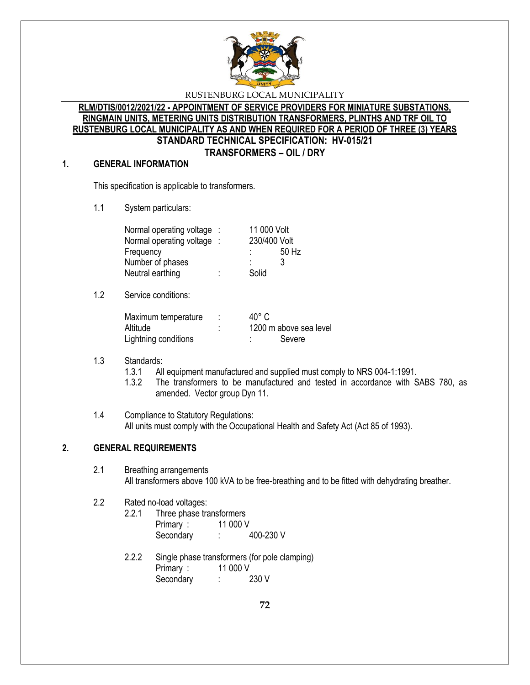

### **RLM/DTIS/0012/2021/22 - APPOINTMENT OF SERVICE PROVIDERS FOR MINIATURE SUBSTATIONS, RINGMAIN UNITS, METERING UNITS DISTRIBUTION TRANSFORMERS, PLINTHS AND TRF OIL TO RUSTENBURG LOCAL MUNICIPALITY AS AND WHEN REQUIRED FOR A PERIOD OF THREE (3) YEARS STANDARD TECHNICAL SPECIFICATION: HV-015/21 TRANSFORMERS – OIL / DRY**

### **1. GENERAL INFORMATION**

This specification is applicable to transformers.

1.1 System particulars:

| Normal operating voltage : |   | 11 000 Volt  |       |
|----------------------------|---|--------------|-------|
| Normal operating voltage : |   | 230/400 Volt |       |
| Frequency                  |   | ٠            | 50 Hz |
| Number of phases           |   | ٠<br>۰       | 3     |
| Neutral earthing           | ٠ | Solid        |       |

1.2 Service conditions:

| Maximum temperature  |   | $40^{\circ}$ C         |
|----------------------|---|------------------------|
| Altitude             | ٠ | 1200 m above sea level |
| Lightning conditions |   | Severe                 |

# 1.3 Standards:

- 1.3.1 All equipment manufactured and supplied must comply to NRS 004-1:1991.
- 1.3.2 The transformers to be manufactured and tested in accordance with SABS 780, as amended. Vector group Dyn 11.
- 1.4 Compliance to Statutory Regulations: All units must comply with the Occupational Health and Safety Act (Act 85 of 1993).

# **2. GENERAL REQUIREMENTS**

2.1 Breathing arrangements All transformers above 100 kVA to be free-breathing and to be fitted with dehydrating breather.

# 2.2 Rated no-load voltages:

- 2.2.1 Three phase transformers Primary : 11 000 V Secondary : 400-230 V
- 2.2.2 Single phase transformers (for pole clamping) Primary : 11 000 V Secondary : 230 V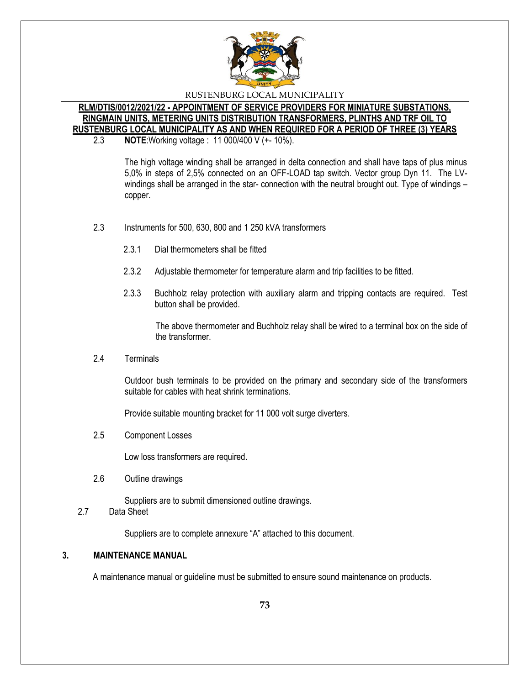

## **RLM/DTIS/0012/2021/22 - APPOINTMENT OF SERVICE PROVIDERS FOR MINIATURE SUBSTATIONS, RINGMAIN UNITS, METERING UNITS DISTRIBUTION TRANSFORMERS, PLINTHS AND TRF OIL TO RUSTENBURG LOCAL MUNICIPALITY AS AND WHEN REQUIRED FOR A PERIOD OF THREE (3) YEARS**

2.3 **NOTE**:Working voltage : 11 000/400 V (+- 10%).

The high voltage winding shall be arranged in delta connection and shall have taps of plus minus 5,0% in steps of 2,5% connected on an OFF-LOAD tap switch. Vector group Dyn 11. The LVwindings shall be arranged in the star- connection with the neutral brought out. Type of windings – copper.

- 2.3 Instruments for 500, 630, 800 and 1 250 kVA transformers
	- 2.3.1 Dial thermometers shall be fitted
	- 2.3.2 Adjustable thermometer for temperature alarm and trip facilities to be fitted.
	- 2.3.3 Buchholz relay protection with auxiliary alarm and tripping contacts are required. Test button shall be provided.

The above thermometer and Buchholz relay shall be wired to a terminal box on the side of the transformer.

2.4 Terminals

Outdoor bush terminals to be provided on the primary and secondary side of the transformers suitable for cables with heat shrink terminations.

Provide suitable mounting bracket for 11 000 volt surge diverters.

2.5 Component Losses

Low loss transformers are required.

2.6 Outline drawings

Suppliers are to submit dimensioned outline drawings.

2.7 Data Sheet

Suppliers are to complete annexure "A" attached to this document.

## **3. MAINTENANCE MANUAL**

A maintenance manual or guideline must be submitted to ensure sound maintenance on products.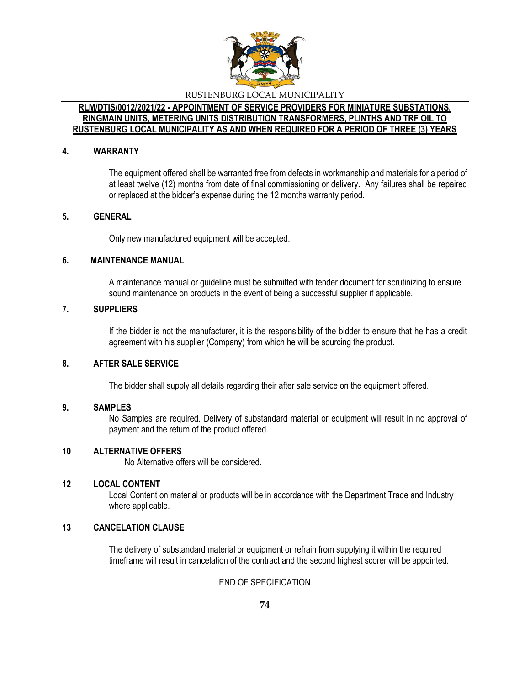

## **RLM/DTIS/0012/2021/22 - APPOINTMENT OF SERVICE PROVIDERS FOR MINIATURE SUBSTATIONS, RINGMAIN UNITS, METERING UNITS DISTRIBUTION TRANSFORMERS, PLINTHS AND TRF OIL TO RUSTENBURG LOCAL MUNICIPALITY AS AND WHEN REQUIRED FOR A PERIOD OF THREE (3) YEARS**

### **4. WARRANTY**

The equipment offered shall be warranted free from defects in workmanship and materials for a period of at least twelve (12) months from date of final commissioning or delivery. Any failures shall be repaired or replaced at the bidder's expense during the 12 months warranty period.

## **5. GENERAL**

Only new manufactured equipment will be accepted.

## **6. MAINTENANCE MANUAL**

A maintenance manual or guideline must be submitted with tender document for scrutinizing to ensure sound maintenance on products in the event of being a successful supplier if applicable.

## **7. SUPPLIERS**

If the bidder is not the manufacturer, it is the responsibility of the bidder to ensure that he has a credit agreement with his supplier (Company) from which he will be sourcing the product.

## **8. AFTER SALE SERVICE**

The bidder shall supply all details regarding their after sale service on the equipment offered.

#### **9. SAMPLES**

No Samples are required. Delivery of substandard material or equipment will result in no approval of payment and the return of the product offered.

#### **10 ALTERNATIVE OFFERS**

No Alternative offers will be considered.

#### **12 LOCAL CONTENT**

Local Content on material or products will be in accordance with the Department Trade and Industry where applicable.

## **13 CANCELATION CLAUSE**

The delivery of substandard material or equipment or refrain from supplying it within the required timeframe will result in cancelation of the contract and the second highest scorer will be appointed.

## END OF SPECIFICATION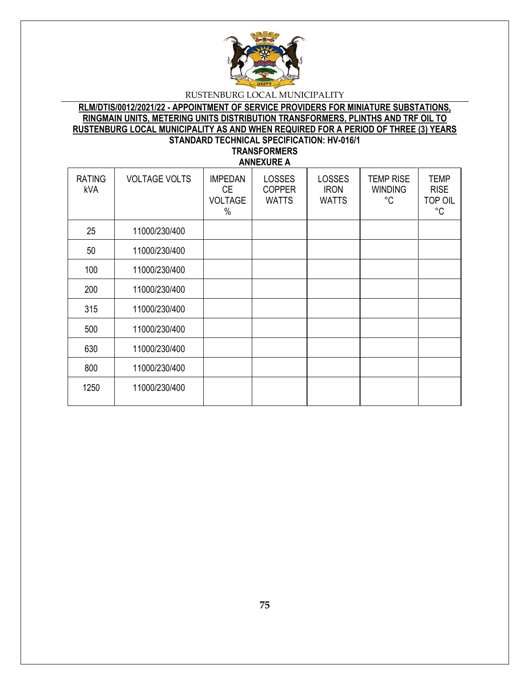

## **RLM/DTIS/0012/2021/22 - APPOINTMENT OF SERVICE PROVIDERS FOR MINIATURE SUBSTATIONS, RINGMAIN UNITS, METERING UNITS DISTRIBUTION TRANSFORMERS, PLINTHS AND TRF OIL TO RUSTENBURG LOCAL MUNICIPALITY AS AND WHEN REQUIRED FOR A PERIOD OF THREE (3) YEARS STANDARD TECHNICAL SPECIFICATION: HV-016/1 TRANSFORMERS**

**ANNEXURE A**

| <b>RATING</b><br>kVA | <b>VOLTAGE VOLTS</b> | <b>IMPEDAN</b><br><b>CE</b><br><b>VOLTAGE</b><br>$\%$ | <b>LOSSES</b><br><b>COPPER</b><br><b>WATTS</b> | <b>LOSSES</b><br><b>IRON</b><br><b>WATTS</b> | <b>TEMP RISE</b><br><b>WINDING</b><br>°C | <b>TEMP</b><br><b>RISE</b><br><b>TOP OIL</b><br>$^{\circ}$ C |
|----------------------|----------------------|-------------------------------------------------------|------------------------------------------------|----------------------------------------------|------------------------------------------|--------------------------------------------------------------|
| 25                   | 11000/230/400        |                                                       |                                                |                                              |                                          |                                                              |
| 50                   | 11000/230/400        |                                                       |                                                |                                              |                                          |                                                              |
| 100                  | 11000/230/400        |                                                       |                                                |                                              |                                          |                                                              |
| 200                  | 11000/230/400        |                                                       |                                                |                                              |                                          |                                                              |
| 315                  | 11000/230/400        |                                                       |                                                |                                              |                                          |                                                              |
| 500                  | 11000/230/400        |                                                       |                                                |                                              |                                          |                                                              |
| 630                  | 11000/230/400        |                                                       |                                                |                                              |                                          |                                                              |
| 800                  | 11000/230/400        |                                                       |                                                |                                              |                                          |                                                              |
| 1250                 | 11000/230/400        |                                                       |                                                |                                              |                                          |                                                              |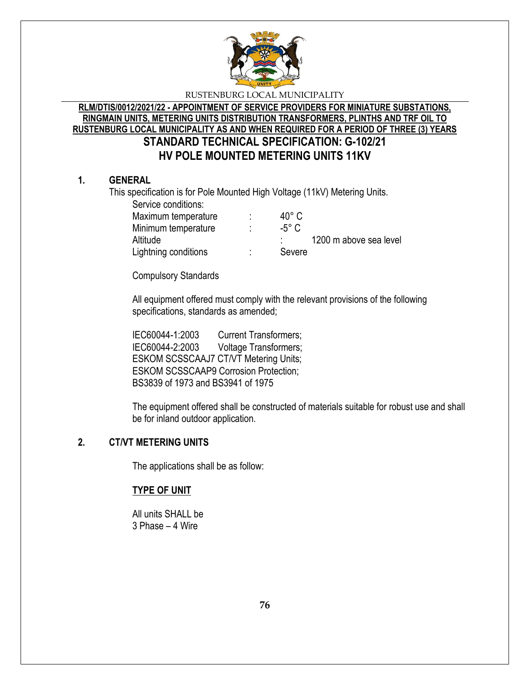

# **RLM/DTIS/0012/2021/22 - APPOINTMENT OF SERVICE PROVIDERS FOR MINIATURE SUBSTATIONS, RINGMAIN UNITS, METERING UNITS DISTRIBUTION TRANSFORMERS, PLINTHS AND TRF OIL TO RUSTENBURG LOCAL MUNICIPALITY AS AND WHEN REQUIRED FOR A PERIOD OF THREE (3) YEARS STANDARD TECHNICAL SPECIFICATION: G-102/21 HV POLE MOUNTED METERING UNITS 11KV**

## **1. GENERAL**

This specification is for Pole Mounted High Voltage (11kV) Metering Units.

Service conditions:

| Maximum temperature  | 40° C           |                        |
|----------------------|-----------------|------------------------|
| Minimum temperature  | $-5^{\circ}$ C. |                        |
| Altitude             |                 | 1200 m above sea level |
| Lightning conditions | Severe          |                        |

Compulsory Standards

All equipment offered must comply with the relevant provisions of the following specifications, standards as amended;

IEC60044-1:2003 Current Transformers; IEC60044-2:2003 Voltage Transformers; ESKOM SCSSCAAJ7 CT/VT Metering Units; ESKOM SCSSCAAP9 Corrosion Protection; BS3839 of 1973 and BS3941 of 1975

The equipment offered shall be constructed of materials suitable for robust use and shall be for inland outdoor application.

# **2. CT/VT METERING UNITS**

The applications shall be as follow:

# **TYPE OF UNIT**

All units SHALL be 3 Phase – 4 Wire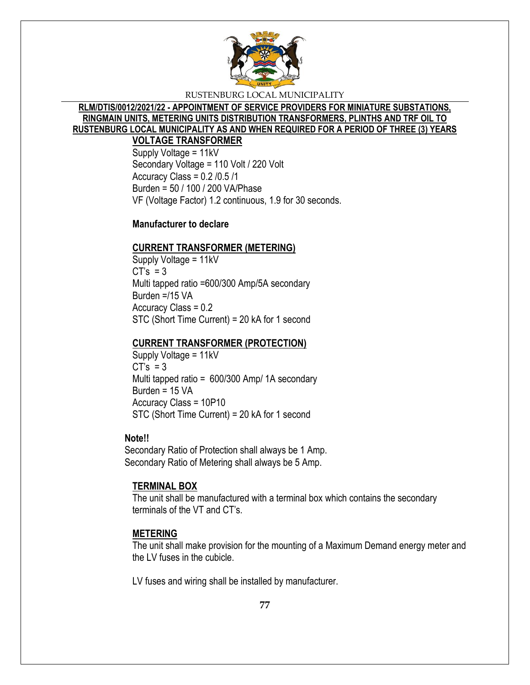

# **RLM/DTIS/0012/2021/22 - APPOINTMENT OF SERVICE PROVIDERS FOR MINIATURE SUBSTATIONS, RINGMAIN UNITS, METERING UNITS DISTRIBUTION TRANSFORMERS, PLINTHS AND TRF OIL TO RUSTENBURG LOCAL MUNICIPALITY AS AND WHEN REQUIRED FOR A PERIOD OF THREE (3) YEARS**

## **VOLTAGE TRANSFORMER**

Supply Voltage = 11kV Secondary Voltage = 110 Volt / 220 Volt Accuracy Class =  $0.2 / 0.5 / 1$ Burden = 50 / 100 / 200 VA/Phase VF (Voltage Factor) 1.2 continuous, 1.9 for 30 seconds.

## **Manufacturer to declare**

## **CURRENT TRANSFORMER (METERING)**

Supply Voltage = 11kV  $CT's = 3$ Multi tapped ratio =600/300 Amp/5A secondary Burden =/15 VA Accuracy Class = 0.2 STC (Short Time Current) = 20 kA for 1 second

## **CURRENT TRANSFORMER (PROTECTION)**

Supply Voltage = 11kV  $CT's = 3$ Multi tapped ratio = 600/300 Amp/ 1A secondary Burden = 15 VA Accuracy Class = 10P10 STC (Short Time Current) = 20 kA for 1 second

## **Note!!**

Secondary Ratio of Protection shall always be 1 Amp. Secondary Ratio of Metering shall always be 5 Amp.

## **TERMINAL BOX**

The unit shall be manufactured with a terminal box which contains the secondary terminals of the VT and CT's.

## **METERING**

The unit shall make provision for the mounting of a Maximum Demand energy meter and the LV fuses in the cubicle.

LV fuses and wiring shall be installed by manufacturer.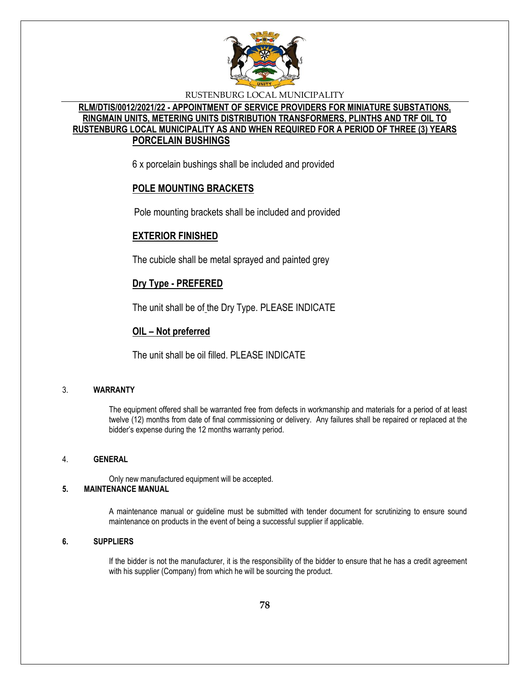

## **RLM/DTIS/0012/2021/22 - APPOINTMENT OF SERVICE PROVIDERS FOR MINIATURE SUBSTATIONS, RINGMAIN UNITS, METERING UNITS DISTRIBUTION TRANSFORMERS, PLINTHS AND TRF OIL TO RUSTENBURG LOCAL MUNICIPALITY AS AND WHEN REQUIRED FOR A PERIOD OF THREE (3) YEARS PORCELAIN BUSHINGS**

6 x porcelain bushings shall be included and provided

## **POLE MOUNTING BRACKETS**

Pole mounting brackets shall be included and provided

## **EXTERIOR FINISHED**

The cubicle shall be metal sprayed and painted grey

## **Dry Type - PREFERED**

The unit shall be of the Dry Type. PLEASE INDICATE

## **OIL – Not preferred**

The unit shall be oil filled. PLEASE INDICATE

## 3. **WARRANTY**

The equipment offered shall be warranted free from defects in workmanship and materials for a period of at least twelve (12) months from date of final commissioning or delivery. Any failures shall be repaired or replaced at the bidder's expense during the 12 months warranty period.

#### 4. **GENERAL**

Only new manufactured equipment will be accepted.

## **5. MAINTENANCE MANUAL**

A maintenance manual or guideline must be submitted with tender document for scrutinizing to ensure sound maintenance on products in the event of being a successful supplier if applicable.

#### **6. SUPPLIERS**

If the bidder is not the manufacturer, it is the responsibility of the bidder to ensure that he has a credit agreement with his supplier (Company) from which he will be sourcing the product.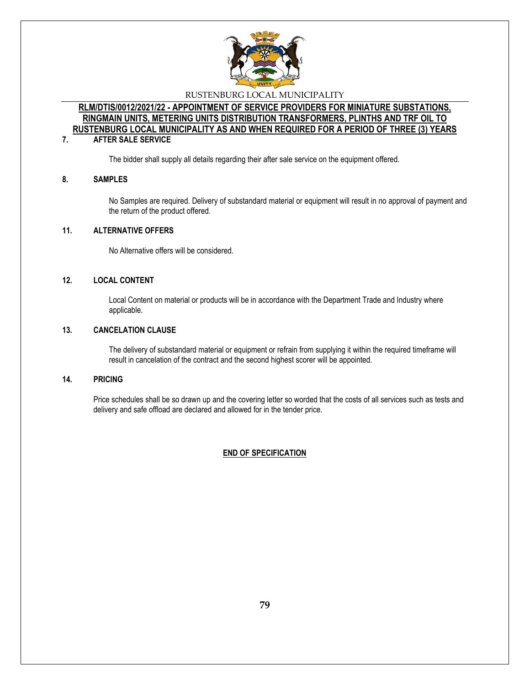

## **RLM/DTIS/0012/2021/22 - APPOINTMENT OF SERVICE PROVIDERS FOR MINIATURE SUBSTATIONS, RINGMAIN UNITS, METERING UNITS DISTRIBUTION TRANSFORMERS, PLINTHS AND TRF OIL TO RUSTENBURG LOCAL MUNICIPALITY AS AND WHEN REQUIRED FOR A PERIOD OF THREE (3) YEARS**

#### **7. AFTER SALE SERVICE**

The bidder shall supply all details regarding their after sale service on the equipment offered.

#### **8. SAMPLES**

No Samples are required. Delivery of substandard material or equipment will result in no approval of payment and the return of the product offered.

## **11. ALTERNATIVE OFFERS**

No Alternative offers will be considered.

#### **12. LOCAL CONTENT**

Local Content on material or products will be in accordance with the Department Trade and Industry where applicable.

#### **13. CANCELATION CLAUSE**

The delivery of substandard material or equipment or refrain from supplying it within the required timeframe will result in cancelation of the contract and the second highest scorer will be appointed.

#### **14. PRICING**

Price schedules shall be so drawn up and the covering letter so worded that the costs of all services such as tests and delivery and safe offload are declared and allowed for in the tender price.

#### **END OF SPECIFICATION**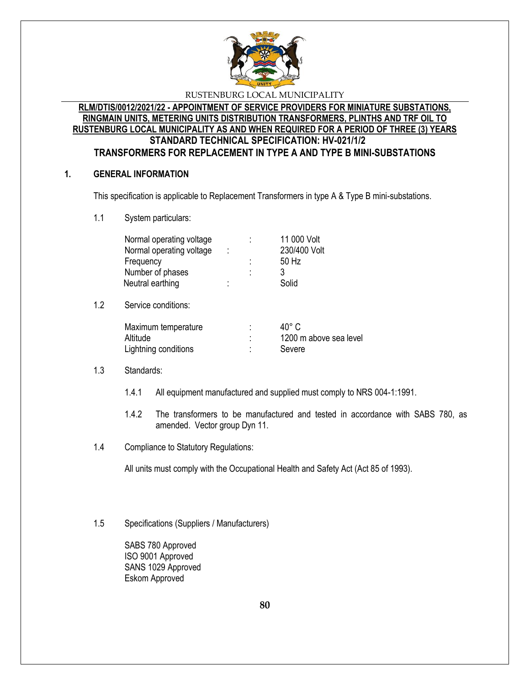

## **RLM/DTIS/0012/2021/22 - APPOINTMENT OF SERVICE PROVIDERS FOR MINIATURE SUBSTATIONS, RINGMAIN UNITS, METERING UNITS DISTRIBUTION TRANSFORMERS, PLINTHS AND TRF OIL TO RUSTENBURG LOCAL MUNICIPALITY AS AND WHEN REQUIRED FOR A PERIOD OF THREE (3) YEARS STANDARD TECHNICAL SPECIFICATION: HV-021/1/2 TRANSFORMERS FOR REPLACEMENT IN TYPE A AND TYPE B MINI-SUBSTATIONS**

## **1. GENERAL INFORMATION**

This specification is applicable to Replacement Transformers in type A & Type B mini-substations.

1.1 System particulars:

| Normal operating voltage<br>Normal operating voltage<br>Frequency<br>Number of phases<br>Neutral earthing | İ | ٠ | 11 000 Volt<br>230/400 Volt<br>50 Hz<br>3<br>Solid |
|-----------------------------------------------------------------------------------------------------------|---|---|----------------------------------------------------|
| Service conditions:                                                                                       |   |   |                                                    |
| Maximum temperature<br>Altitude<br>Lightning conditions                                                   |   | ٠ | 40° C<br>1200 m above sea level<br>Severe          |

## 1.3 Standards:

 $1.2$ 

- 1.4.1 All equipment manufactured and supplied must comply to NRS 004-1:1991.
- 1.4.2 The transformers to be manufactured and tested in accordance with SABS 780, as amended. Vector group Dyn 11.
- 1.4 Compliance to Statutory Regulations:

All units must comply with the Occupational Health and Safety Act (Act 85 of 1993).

1.5 Specifications (Suppliers / Manufacturers)

SABS 780 Approved ISO 9001 Approved SANS 1029 Approved Eskom Approved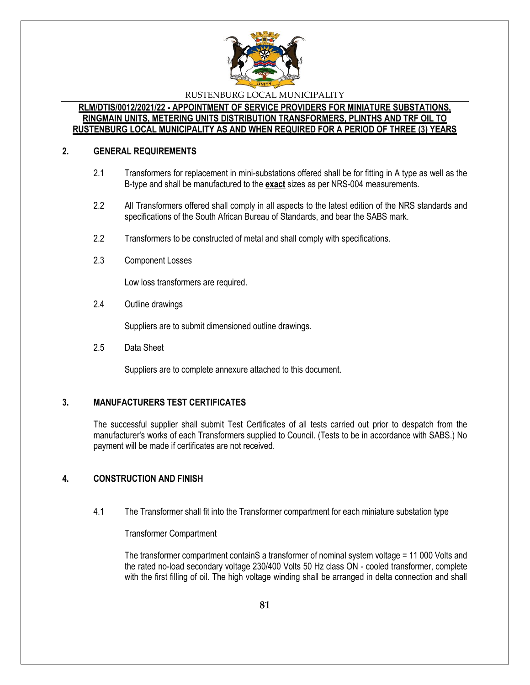

## **RLM/DTIS/0012/2021/22 - APPOINTMENT OF SERVICE PROVIDERS FOR MINIATURE SUBSTATIONS, RINGMAIN UNITS, METERING UNITS DISTRIBUTION TRANSFORMERS, PLINTHS AND TRF OIL TO RUSTENBURG LOCAL MUNICIPALITY AS AND WHEN REQUIRED FOR A PERIOD OF THREE (3) YEARS**

## **2. GENERAL REQUIREMENTS**

- 2.1 Transformers for replacement in mini-substations offered shall be for fitting in A type as well as the B-type and shall be manufactured to the **exact** sizes as per NRS-004 measurements.
- 2.2 All Transformers offered shall comply in all aspects to the latest edition of the NRS standards and specifications of the South African Bureau of Standards, and bear the SABS mark.
- 2.2 Transformers to be constructed of metal and shall comply with specifications.
- 2.3 Component Losses

Low loss transformers are required.

2.4 Outline drawings

Suppliers are to submit dimensioned outline drawings.

2.5 Data Sheet

Suppliers are to complete annexure attached to this document.

## **3. MANUFACTURERS TEST CERTIFICATES**

The successful supplier shall submit Test Certificates of all tests carried out prior to despatch from the manufacturer's works of each Transformers supplied to Council. (Tests to be in accordance with SABS.) No payment will be made if certificates are not received.

# **4. CONSTRUCTION AND FINISH**

4.1 The Transformer shall fit into the Transformer compartment for each miniature substation type

Transformer Compartment

The transformer compartment containS a transformer of nominal system voltage = 11 000 Volts and the rated no-load secondary voltage 230/400 Volts 50 Hz class ON - cooled transformer, complete with the first filling of oil. The high voltage winding shall be arranged in delta connection and shall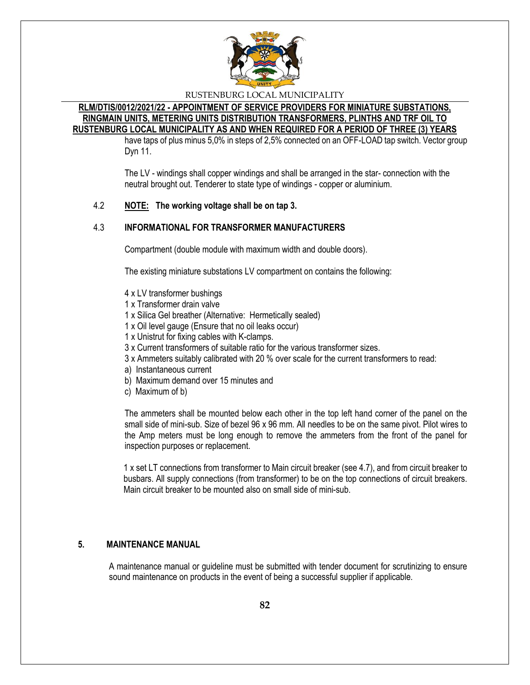

### **RLM/DTIS/0012/2021/22 - APPOINTMENT OF SERVICE PROVIDERS FOR MINIATURE SUBSTATIONS, RINGMAIN UNITS, METERING UNITS DISTRIBUTION TRANSFORMERS, PLINTHS AND TRF OIL TO RUSTENBURG LOCAL MUNICIPALITY AS AND WHEN REQUIRED FOR A PERIOD OF THREE (3) YEARS**

have taps of plus minus 5,0% in steps of 2,5% connected on an OFF-LOAD tap switch. Vector group Dyn 11.

The LV - windings shall copper windings and shall be arranged in the star- connection with the neutral brought out. Tenderer to state type of windings - copper or aluminium.

## 4.2 **NOTE: The working voltage shall be on tap 3.**

## 4.3 **INFORMATIONAL FOR TRANSFORMER MANUFACTURERS**

Compartment (double module with maximum width and double doors).

The existing miniature substations LV compartment on contains the following:

- 4 x LV transformer bushings
- 1 x Transformer drain valve
- 1 x Silica Gel breather (Alternative: Hermetically sealed)
- 1 x Oil level gauge (Ensure that no oil leaks occur)
- 1 x Unistrut for fixing cables with K-clamps.
- 3 x Current transformers of suitable ratio for the various transformer sizes.
- 3 x Ammeters suitably calibrated with 20 % over scale for the current transformers to read:
- a) Instantaneous current
- b) Maximum demand over 15 minutes and
- c) Maximum of b)

The ammeters shall be mounted below each other in the top left hand corner of the panel on the small side of mini-sub. Size of bezel 96 x 96 mm. All needles to be on the same pivot. Pilot wires to the Amp meters must be long enough to remove the ammeters from the front of the panel for inspection purposes or replacement.

1 x set LT connections from transformer to Main circuit breaker (see 4.7), and from circuit breaker to busbars. All supply connections (from transformer) to be on the top connections of circuit breakers. Main circuit breaker to be mounted also on small side of mini-sub.

## **5. MAINTENANCE MANUAL**

A maintenance manual or guideline must be submitted with tender document for scrutinizing to ensure sound maintenance on products in the event of being a successful supplier if applicable.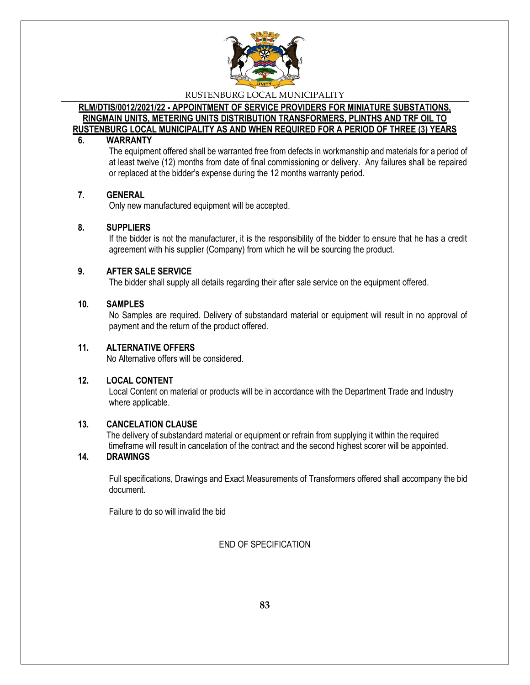

## **RLM/DTIS/0012/2021/22 - APPOINTMENT OF SERVICE PROVIDERS FOR MINIATURE SUBSTATIONS, RINGMAIN UNITS, METERING UNITS DISTRIBUTION TRANSFORMERS, PLINTHS AND TRF OIL TO RUSTENBURG LOCAL MUNICIPALITY AS AND WHEN REQUIRED FOR A PERIOD OF THREE (3) YEARS**

### **6. WARRANTY**

The equipment offered shall be warranted free from defects in workmanship and materials for a period of at least twelve (12) months from date of final commissioning or delivery. Any failures shall be repaired or replaced at the bidder's expense during the 12 months warranty period.

### **7. GENERAL**

Only new manufactured equipment will be accepted.

## **8. SUPPLIERS**

If the bidder is not the manufacturer, it is the responsibility of the bidder to ensure that he has a credit agreement with his supplier (Company) from which he will be sourcing the product.

## **9. AFTER SALE SERVICE**

The bidder shall supply all details regarding their after sale service on the equipment offered.

### **10. SAMPLES**

No Samples are required. Delivery of substandard material or equipment will result in no approval of payment and the return of the product offered.

## **11. ALTERNATIVE OFFERS**

No Alternative offers will be considered.

## **12. LOCAL CONTENT**

Local Content on material or products will be in accordance with the Department Trade and Industry where applicable.

## **13. CANCELATION CLAUSE**

 The delivery of substandard material or equipment or refrain from supplying it within the required timeframe will result in cancelation of the contract and the second highest scorer will be appointed.

## **14. DRAWINGS**

Full specifications, Drawings and Exact Measurements of Transformers offered shall accompany the bid document.

Failure to do so will invalid the bid

END OF SPECIFICATION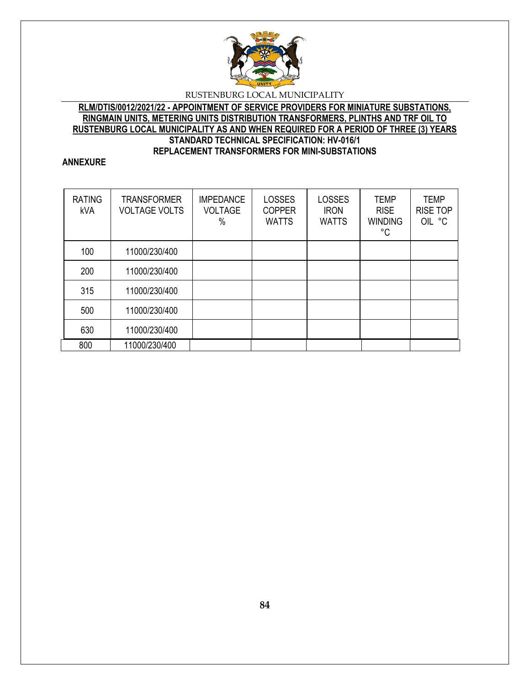

## **RLM/DTIS/0012/2021/22 - APPOINTMENT OF SERVICE PROVIDERS FOR MINIATURE SUBSTATIONS, RINGMAIN UNITS, METERING UNITS DISTRIBUTION TRANSFORMERS, PLINTHS AND TRF OIL TO RUSTENBURG LOCAL MUNICIPALITY AS AND WHEN REQUIRED FOR A PERIOD OF THREE (3) YEARS STANDARD TECHNICAL SPECIFICATION: HV-016/1 REPLACEMENT TRANSFORMERS FOR MINI-SUBSTATIONS**

## **ANNEXURE**

| <b>RATING</b><br>kVA | <b>TRANSFORMER</b><br><b>VOLTAGE VOLTS</b> | <b>IMPEDANCE</b><br><b>VOLTAGE</b><br>% | <b>LOSSES</b><br><b>COPPER</b><br><b>WATTS</b> | <b>LOSSES</b><br><b>IRON</b><br><b>WATTS</b> | <b>TEMP</b><br><b>RISE</b><br><b>WINDING</b><br>°C | <b>TEMP</b><br><b>RISE TOP</b><br>OIL °C |
|----------------------|--------------------------------------------|-----------------------------------------|------------------------------------------------|----------------------------------------------|----------------------------------------------------|------------------------------------------|
| 100                  | 11000/230/400                              |                                         |                                                |                                              |                                                    |                                          |
| 200                  | 11000/230/400                              |                                         |                                                |                                              |                                                    |                                          |
| 315                  | 11000/230/400                              |                                         |                                                |                                              |                                                    |                                          |
| 500                  | 11000/230/400                              |                                         |                                                |                                              |                                                    |                                          |
| 630                  | 11000/230/400                              |                                         |                                                |                                              |                                                    |                                          |
| 800                  | 11000/230/400                              |                                         |                                                |                                              |                                                    |                                          |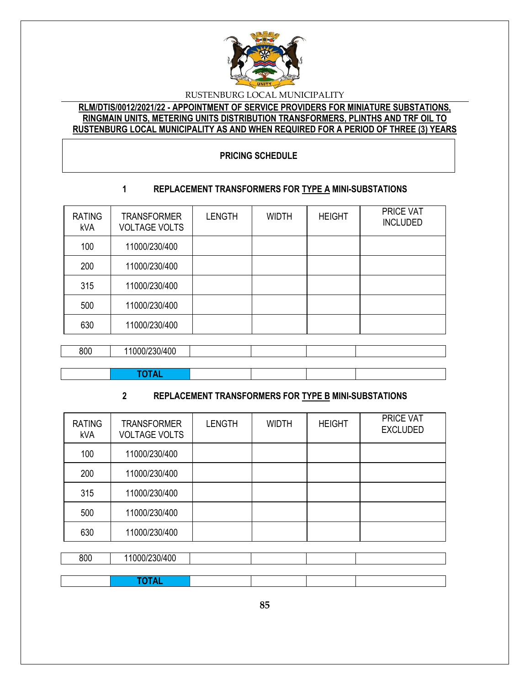

## **RLM/DTIS/0012/2021/22 - APPOINTMENT OF SERVICE PROVIDERS FOR MINIATURE SUBSTATIONS, RINGMAIN UNITS, METERING UNITS DISTRIBUTION TRANSFORMERS, PLINTHS AND TRF OIL TO RUSTENBURG LOCAL MUNICIPALITY AS AND WHEN REQUIRED FOR A PERIOD OF THREE (3) YEARS**

## **PRICING SCHEDULE**

# **1 REPLACEMENT TRANSFORMERS FOR TYPE A MINI-SUBSTATIONS**

| <b>RATING</b><br>kVA | <b>TRANSFORMER</b><br><b>VOLTAGE VOLTS</b> | <b>LENGTH</b> | <b>WIDTH</b> | <b>HEIGHT</b> | PRICE VAT<br><b>INCLUDED</b> |
|----------------------|--------------------------------------------|---------------|--------------|---------------|------------------------------|
| 100                  | 11000/230/400                              |               |              |               |                              |
| 200                  | 11000/230/400                              |               |              |               |                              |
| 315                  | 11000/230/400                              |               |              |               |                              |
| 500                  | 11000/230/400                              |               |              |               |                              |
| 630                  | 11000/230/400                              |               |              |               |                              |
|                      |                                            |               |              |               |                              |
| 800                  | 11000/230/400                              |               |              |               |                              |

## **TOTAL**

# **2 REPLACEMENT TRANSFORMERS FOR TYPE B MINI-SUBSTATIONS**

| <b>RATING</b><br>kVA | <b>TRANSFORMER</b><br><b>VOLTAGE VOLTS</b> | <b>LENGTH</b> | <b>WIDTH</b> | <b>HEIGHT</b> | PRICE VAT<br><b>EXCLUDED</b> |
|----------------------|--------------------------------------------|---------------|--------------|---------------|------------------------------|
| 100                  | 11000/230/400                              |               |              |               |                              |
| 200                  | 11000/230/400                              |               |              |               |                              |
| 315                  | 11000/230/400                              |               |              |               |                              |
| 500                  | 11000/230/400                              |               |              |               |                              |
| 630                  | 11000/230/400                              |               |              |               |                              |
|                      |                                            |               |              |               |                              |
| RUU                  | 11000/230/400                              |               |              |               |                              |

|     | FAT A I<br>____ |  |  |
|-----|-----------------|--|--|
|     |                 |  |  |
| 800 | 1000/230/400    |  |  |